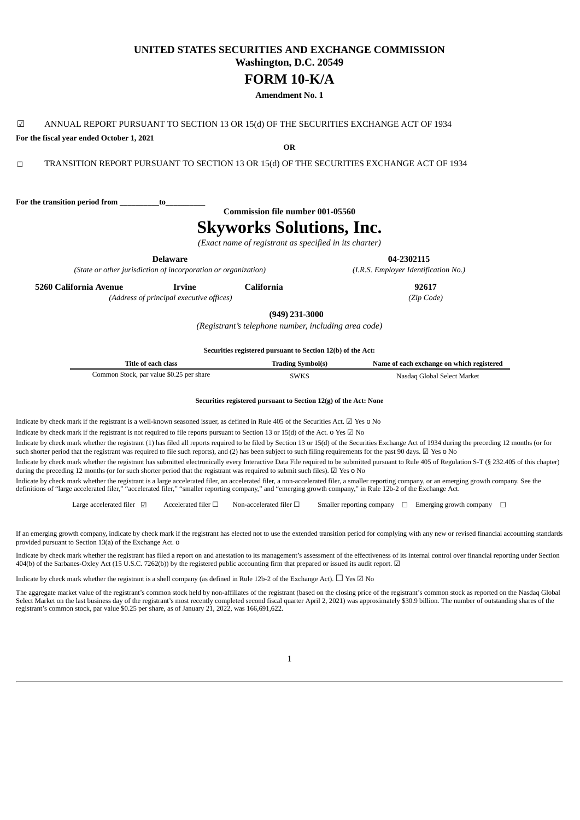# **UNITED STATES SECURITIES AND EXCHANGE COMMISSION Washington, D.C. 20549**

# **FORM 10-K/A**

#### **Amendment No. 1**

☑ ANNUAL REPORT PURSUANT TO SECTION 13 OR 15(d) OF THE SECURITIES EXCHANGE ACT OF 1934

**For the fiscal year ended October 1, 2021**

**OR**

☐ TRANSITION REPORT PURSUANT TO SECTION 13 OR 15(d) OF THE SECURITIES EXCHANGE ACT OF 1934

**For the transition period from \_\_\_\_\_\_\_\_\_\_to\_\_\_\_\_\_\_\_\_\_**

**Commission file number 001-05560**

# **Skyworks Solutions, Inc.**

*(Exact name of registrant as specified in its charter)*

**Delaware 04-2302115**

*(State or other jurisdiction of incorporation or organization) (I.R.S. Employer Identification No.)*

**5260 California Avenue Irvine California 92617**

*(Address of principal executive offices) (Zip Code)*

**(949) 231-3000**

*(Registrant's telephone number, including area code)*

**Securities registered pursuant to Section 12(b) of the Act:**

| Title of each class                      | <b>Trading Symbol(s)</b> | Name of each exchange on which registered |
|------------------------------------------|--------------------------|-------------------------------------------|
| Common Stock, par value \$0.25 per share | SWKS                     | Nasdag Global Select Market               |

#### **Securities registered pursuant to Section 12(g) of the Act: None**

Indicate by check mark if the registrant is a well-known seasoned issuer, as defined in Rule 405 of the Securities Act. ☑ Yes o No

Indicate by check mark if the registrant is not required to file reports pursuant to Section 13 or 15(d) of the Act. o Yes ☑ No

Indicate by check mark whether the registrant (1) has filed all reports required to be filed by Section 13 or 15(d) of the Securities Exchange Act of 1934 during the preceding 12 months (or for such shorter period that the registrant was required to file such reports), and (2) has been subject to such filing requirements for the past 90 days. ☑ Yes o No

Indicate by check mark whether the registrant has submitted electronically every Interactive Data File required to be submitted pursuant to Rule 405 of Regulation S-T (§ 232.405 of this chapter) during the preceding 12 months (or for such shorter period that the registrant was required to submit such files). ☑ Yes o No

Indicate by check mark whether the registrant is a large accelerated filer, an accelerated filer, a non-accelerated filer, a smaller reporting company, or an emerging growth company. See the definitions of "large accelerated filer," "accelerated filer," "smaller reporting company," and "emerging growth company," in Rule 12b-2 of the Exchange Act.

Large accelerated filer □ Accelerated filer □ Non-accelerated filer □ Smaller reporting company □ Emerging growth company □

If an emerging growth company, indicate by check mark if the registrant has elected not to use the extended transition period for complying with any new or revised financial accounting standards provided pursuant to Section 13(a) of the Exchange Act. o

Indicate by check mark whether the registrant has filed a report on and attestation to its management's assessment of the effectiveness of its internal control over financial reporting under Section 404(b) of the Sarbanes-Oxley Act (15 U.S.C. 7262(b)) by the registered public accounting firm that prepared or issued its audit report. ☑

Indicate by check mark whether the registrant is a shell company (as defined in Rule 12b-2 of the Exchange Act).  $\Box$  Yes  $\Box$  No

The aggregate market value of the registrant's common stock held by non-affiliates of the registrant (based on the closing price of the registrant's common stock as reported on the Nasdaq Global Select Market on the last business day of the registrant's most recently completed second fiscal quarter April 2, 2021) was approximately \$30.9 billion. The number of outstanding shares of the registrant's common stock, par value \$0.25 per share, as of January 21, 2022, was 166,691,622.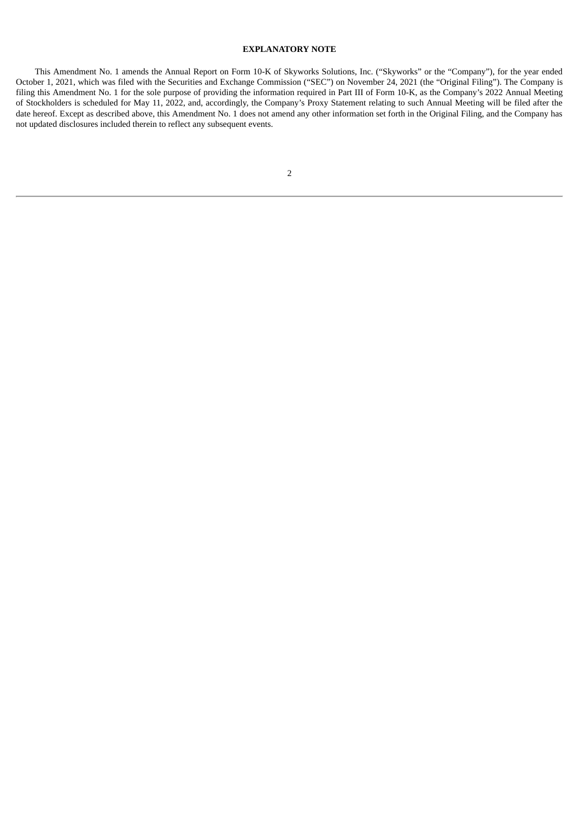#### **EXPLANATORY NOTE**

This Amendment No. 1 amends the Annual Report on Form 10-K of Skyworks Solutions, Inc. ("Skyworks" or the "Company"), for the year ended October 1, 2021, which was filed with the Securities and Exchange Commission ("SEC") on November 24, 2021 (the "Original Filing"). The Company is filing this Amendment No. 1 for the sole purpose of providing the information required in Part III of Form 10-K, as the Company's 2022 Annual Meeting of Stockholders is scheduled for May 11, 2022, and, accordingly, the Company's Proxy Statement relating to such Annual Meeting will be filed after the date hereof. Except as described above, this Amendment No. 1 does not amend any other information set forth in the Original Filing, and the Company has not updated disclosures included therein to reflect any subsequent events.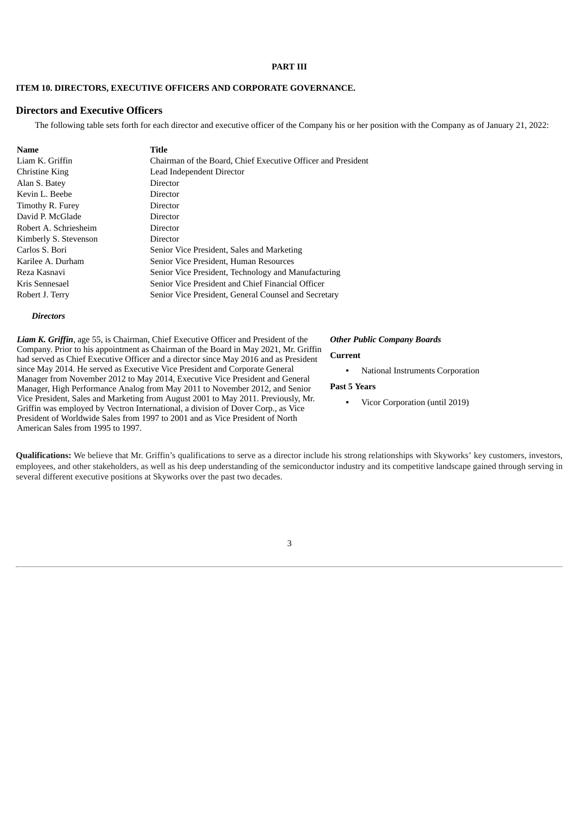#### **PART III**

#### **ITEM 10. DIRECTORS, EXECUTIVE OFFICERS AND CORPORATE GOVERNANCE.**

#### **Directors and Executive Officers**

The following table sets forth for each director and executive officer of the Company his or her position with the Company as of January 21, 2022:

| Name                  | Title                                                        |
|-----------------------|--------------------------------------------------------------|
| Liam K. Griffin       | Chairman of the Board, Chief Executive Officer and President |
| Christine King        | Lead Independent Director                                    |
| Alan S. Batey         | Director                                                     |
| Kevin L. Beebe        | Director                                                     |
| Timothy R. Furey      | Director                                                     |
| David P. McGlade      | Director                                                     |
| Robert A. Schriesheim | Director                                                     |
| Kimberly S. Stevenson | Director                                                     |
| Carlos S. Bori        | Senior Vice President, Sales and Marketing                   |
| Karilee A. Durham     | Senior Vice President, Human Resources                       |
| Reza Kasnavi          | Senior Vice President, Technology and Manufacturing          |
| Kris Sennesael        | Senior Vice President and Chief Financial Officer            |
| Robert J. Terry       | Senior Vice President, General Counsel and Secretary         |

#### *Directors*

*Liam K. Griffin*, age 55, is Chairman, Chief Executive Officer and President of the Company. Prior to his appointment as Chairman of the Board in May 2021, Mr. Griffin had served as Chief Executive Officer and a director since May 2016 and as President since May 2014. He served as Executive Vice President and Corporate General Manager from November 2012 to May 2014, Executive Vice President and General Manager, High Performance Analog from May 2011 to November 2012, and Senior Vice President, Sales and Marketing from August 2001 to May 2011. Previously, Mr. Griffin was employed by Vectron International, a division of Dover Corp., as Vice President of Worldwide Sales from 1997 to 2001 and as Vice President of North American Sales from 1995 to 1997.

#### *Other Public Company Boards*

#### **Current**

**•** National Instruments Corporation

#### **Past 5 Years**

**•** Vicor Corporation (until 2019)

**Qualifications:** We believe that Mr. Griffin's qualifications to serve as a director include his strong relationships with Skyworks' key customers, investors, employees, and other stakeholders, as well as his deep understanding of the semiconductor industry and its competitive landscape gained through serving in several different executive positions at Skyworks over the past two decades.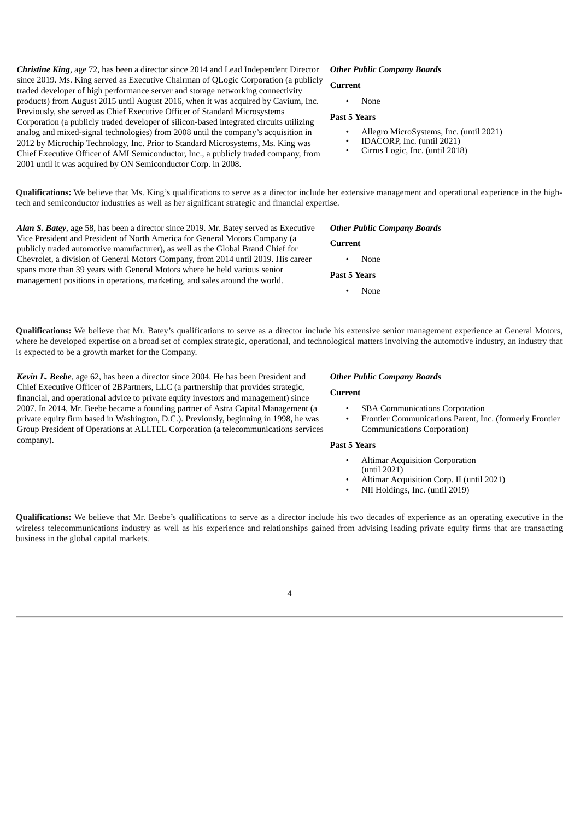*Christine King*, age 72, has been a director since 2014 and Lead Independent Director since 2019. Ms. King served as Executive Chairman of QLogic Corporation (a publicly traded developer of high performance server and storage networking connectivity products) from August 2015 until August 2016, when it was acquired by Cavium, Inc. Previously, she served as Chief Executive Officer of Standard Microsystems Corporation (a publicly traded developer of silicon-based integrated circuits utilizing analog and mixed-signal technologies) from 2008 until the company's acquisition in 2012 by Microchip Technology, Inc. Prior to Standard Microsystems, Ms. King was Chief Executive Officer of AMI Semiconductor, Inc., a publicly traded company, from 2001 until it was acquired by ON Semiconductor Corp. in 2008.

# *Other Public Company Boards* **Current**

*Other Public Company Boards*

*Other Public Company Boards*

# • None

# **Past 5 Years**

- Allegro MicroSystems, Inc. (until 2021)
- IDACORP, Inc. (until 2021)
- Cirrus Logic, Inc. (until 2018)

**Qualifications:** We believe that Ms. King's qualifications to serve as a director include her extensive management and operational experience in the hightech and semiconductor industries as well as her significant strategic and financial expertise.

*Alan S. Batey*, age 58, has been a director since 2019. Mr. Batey served as Executive Vice President and President of North America for General Motors Company (a publicly traded automotive manufacturer), as well as the Global Brand Chief for Chevrolet, a division of General Motors Company, from 2014 until 2019. His career spans more than 39 years with General Motors where he held various senior management positions in operations, marketing, and sales around the world.

| Qualifications: We believe that Mr. Batey's qualifications to serve as a director include his extensive senior management experience at General Motors,      |
|--------------------------------------------------------------------------------------------------------------------------------------------------------------|
| where he developed expertise on a broad set of complex strategic, operational, and technological matters involving the automotive industry, an industry that |
| is expected to be a growth market for the Company.                                                                                                           |

*Kevin L. Beebe*, age 62, has been a director since 2004. He has been President and Chief Executive Officer of 2BPartners, LLC (a partnership that provides strategic, financial, and operational advice to private equity investors and management) since 2007. In 2014, Mr. Beebe became a founding partner of Astra Capital Management (a private equity firm based in Washington, D.C.). Previously, beginning in 1998, he was Group President of Operations at ALLTEL Corporation (a telecommunications services company).

# **Current**

**Current**

• None **Past 5 Years**

• None

- SBA Communications Corporation
- Frontier Communications Parent, Inc. (formerly Frontier Communications Corporation)

#### **Past 5 Years**

- Altimar Acquisition Corporation (until 2021)
- Altimar Acquisition Corp. II (until 2021)
- NII Holdings, Inc. (until 2019)

**Qualifications:** We believe that Mr. Beebe's qualifications to serve as a director include his two decades of experience as an operating executive in the wireless telecommunications industry as well as his experience and relationships gained from advising leading private equity firms that are transacting business in the global capital markets.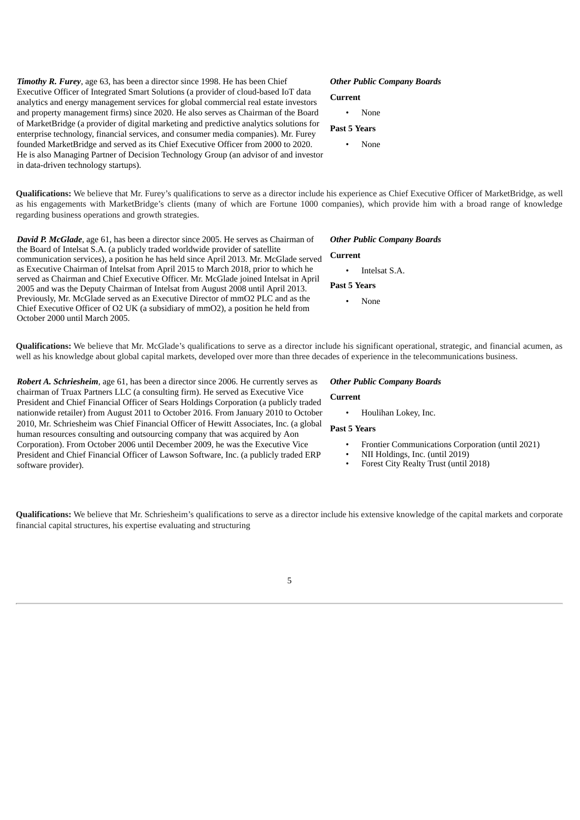*Timothy R. Furey*, age 63, has been a director since 1998. He has been Chief Executive Officer of Integrated Smart Solutions (a provider of cloud-based IoT data analytics and energy management services for global commercial real estate investors and property management firms) since 2020. He also serves as Chairman of the Board of MarketBridge (a provider of digital marketing and predictive analytics solutions for enterprise technology, financial services, and consumer media companies). Mr. Furey founded MarketBridge and served as its Chief Executive Officer from 2000 to 2020. He is also Managing Partner of Decision Technology Group (an advisor of and investor in data-driven technology startups).

**Qualifications:** We believe that Mr. Furey's qualifications to serve as a director include his experience as Chief Executive Officer of MarketBridge, as well as his engagements with MarketBridge's clients (many of which are Fortune 1000 companies), which provide him with a broad range of knowledge regarding business operations and growth strategies.

*David P. McGlade*, age 61, has been a director since 2005. He serves as Chairman of the Board of Intelsat S.A. (a publicly traded worldwide provider of satellite communication services), a position he has held since April 2013. Mr. McGlade served as Executive Chairman of Intelsat from April 2015 to March 2018, prior to which he served as Chairman and Chief Executive Officer. Mr. McGlade joined Intelsat in April 2005 and was the Deputy Chairman of Intelsat from August 2008 until April 2013. Previously, Mr. McGlade served as an Executive Director of mmO2 PLC and as the Chief Executive Officer of O2 UK (a subsidiary of mmO2), a position he held from October 2000 until March 2005.

**Qualifications:** We believe that Mr. McGlade's qualifications to serve as a director include his significant operational, strategic, and financial acumen, as well as his knowledge about global capital markets, developed over more than three decades of experience in the telecommunications business.

*Robert A. Schriesheim*, age 61, has been a director since 2006. He currently serves as chairman of Truax Partners LLC (a consulting firm). He served as Executive Vice President and Chief Financial Officer of Sears Holdings Corporation (a publicly traded nationwide retailer) from August 2011 to October 2016. From January 2010 to October 2010, Mr. Schriesheim was Chief Financial Officer of Hewitt Associates, Inc. (a global human resources consulting and outsourcing company that was acquired by Aon Corporation). From October 2006 until December 2009, he was the Executive Vice President and Chief Financial Officer of Lawson Software, Inc. (a publicly traded ERP software provider).

# *Other Public Company Boards*

# **Current**

- None
- **Past 5 Years**
	- None

#### *Other Public Company Boards*

#### **Current**

• Intelsat S.A.

#### **Past 5 Years**

• None

#### *Other Public Company Boards*

#### **Current**

• Houlihan Lokey, Inc.

#### **Past 5 Years**

- Frontier Communications Corporation (until 2021)
- NII Holdings, Inc. (until 2019)
- Forest City Realty Trust (until 2018)

**Qualifications:** We believe that Mr. Schriesheim's qualifications to serve as a director include his extensive knowledge of the capital markets and corporate financial capital structures, his expertise evaluating and structuring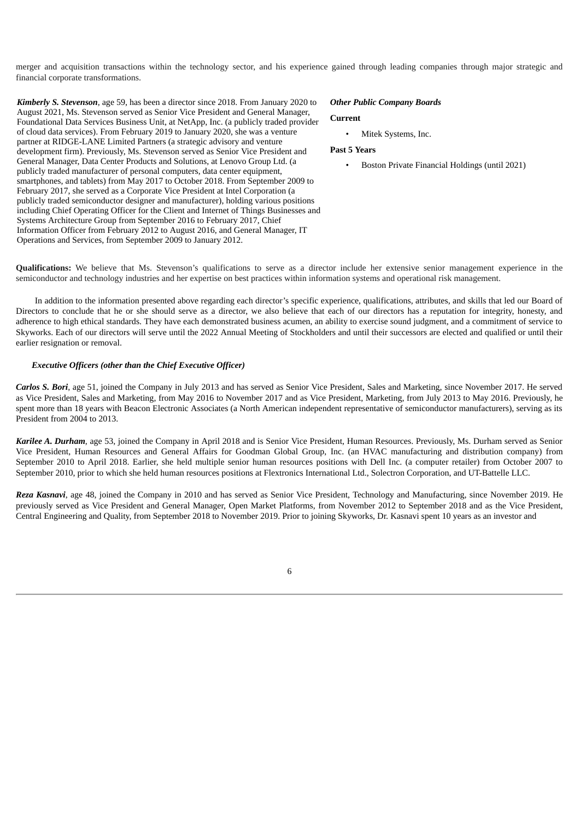merger and acquisition transactions within the technology sector, and his experience gained through leading companies through major strategic and financial corporate transformations.

*Kimberly S. Stevenson*, age 59, has been a director since 2018. From January 2020 to August 2021, Ms. Stevenson served as Senior Vice President and General Manager, Foundational Data Services Business Unit, at NetApp, Inc. (a publicly traded provider of cloud data services). From February 2019 to January 2020, she was a venture partner at RIDGE-LANE Limited Partners (a strategic advisory and venture development firm). Previously, Ms. Stevenson served as Senior Vice President and General Manager, Data Center Products and Solutions, at Lenovo Group Ltd. (a publicly traded manufacturer of personal computers, data center equipment, smartphones, and tablets) from May 2017 to October 2018. From September 2009 to February 2017, she served as a Corporate Vice President at Intel Corporation (a publicly traded semiconductor designer and manufacturer), holding various positions including Chief Operating Officer for the Client and Internet of Things Businesses and Systems Architecture Group from September 2016 to February 2017, Chief Information Officer from February 2012 to August 2016, and General Manager, IT Operations and Services, from September 2009 to January 2012.

#### *Other Public Company Boards*

#### **Current**

• Mitek Systems, Inc.

#### **Past 5 Years**

• Boston Private Financial Holdings (until 2021)

**Qualifications:** We believe that Ms. Stevenson's qualifications to serve as a director include her extensive senior management experience in the semiconductor and technology industries and her expertise on best practices within information systems and operational risk management.

In addition to the information presented above regarding each director's specific experience, qualifications, attributes, and skills that led our Board of Directors to conclude that he or she should serve as a director, we also believe that each of our directors has a reputation for integrity, honesty, and adherence to high ethical standards. They have each demonstrated business acumen, an ability to exercise sound judgment, and a commitment of service to Skyworks. Each of our directors will serve until the 2022 Annual Meeting of Stockholders and until their successors are elected and qualified or until their earlier resignation or removal.

#### *Executive Officers (other than the Chief Executive Officer)*

*Carlos S. Bori*, age 51, joined the Company in July 2013 and has served as Senior Vice President, Sales and Marketing, since November 2017. He served as Vice President, Sales and Marketing, from May 2016 to November 2017 and as Vice President, Marketing, from July 2013 to May 2016. Previously, he spent more than 18 years with Beacon Electronic Associates (a North American independent representative of semiconductor manufacturers), serving as its President from 2004 to 2013.

*Karilee A. Durham*, age 53, joined the Company in April 2018 and is Senior Vice President, Human Resources. Previously, Ms. Durham served as Senior Vice President, Human Resources and General Affairs for Goodman Global Group, Inc. (an HVAC manufacturing and distribution company) from September 2010 to April 2018. Earlier, she held multiple senior human resources positions with Dell Inc. (a computer retailer) from October 2007 to September 2010, prior to which she held human resources positions at Flextronics International Ltd., Solectron Corporation, and UT-Battelle LLC.

*Reza Kasnavi*, age 48, joined the Company in 2010 and has served as Senior Vice President, Technology and Manufacturing, since November 2019. He previously served as Vice President and General Manager, Open Market Platforms, from November 2012 to September 2018 and as the Vice President, Central Engineering and Quality, from September 2018 to November 2019. Prior to joining Skyworks, Dr. Kasnavi spent 10 years as an investor and

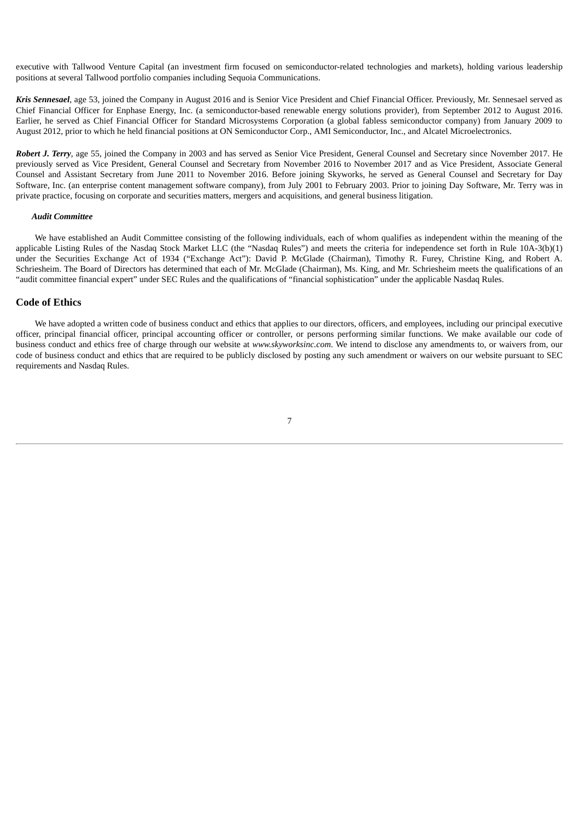executive with Tallwood Venture Capital (an investment firm focused on semiconductor-related technologies and markets), holding various leadership positions at several Tallwood portfolio companies including Sequoia Communications.

*Kris Sennesael*, age 53, joined the Company in August 2016 and is Senior Vice President and Chief Financial Officer. Previously, Mr. Sennesael served as Chief Financial Officer for Enphase Energy, Inc. (a semiconductor-based renewable energy solutions provider), from September 2012 to August 2016. Earlier, he served as Chief Financial Officer for Standard Microsystems Corporation (a global fabless semiconductor company) from January 2009 to August 2012, prior to which he held financial positions at ON Semiconductor Corp., AMI Semiconductor, Inc., and Alcatel Microelectronics.

*Robert J. Terry*, age 55, joined the Company in 2003 and has served as Senior Vice President, General Counsel and Secretary since November 2017. He previously served as Vice President, General Counsel and Secretary from November 2016 to November 2017 and as Vice President, Associate General Counsel and Assistant Secretary from June 2011 to November 2016. Before joining Skyworks, he served as General Counsel and Secretary for Day Software, Inc. (an enterprise content management software company), from July 2001 to February 2003. Prior to joining Day Software, Mr. Terry was in private practice, focusing on corporate and securities matters, mergers and acquisitions, and general business litigation.

#### *Audit Committee*

We have established an Audit Committee consisting of the following individuals, each of whom qualifies as independent within the meaning of the applicable Listing Rules of the Nasdaq Stock Market LLC (the "Nasdaq Rules") and meets the criteria for independence set forth in Rule 10A-3(b)(1) under the Securities Exchange Act of 1934 ("Exchange Act"): David P. McGlade (Chairman), Timothy R. Furey, Christine King, and Robert A. Schriesheim. The Board of Directors has determined that each of Mr. McGlade (Chairman), Ms. King, and Mr. Schriesheim meets the qualifications of an "audit committee financial expert" under SEC Rules and the qualifications of "financial sophistication" under the applicable Nasdaq Rules.

#### **Code of Ethics**

We have adopted a written code of business conduct and ethics that applies to our directors, officers, and employees, including our principal executive officer, principal financial officer, principal accounting officer or controller, or persons performing similar functions. We make available our code of business conduct and ethics free of charge through our website at *www.skyworksinc.com*. We intend to disclose any amendments to, or waivers from, our code of business conduct and ethics that are required to be publicly disclosed by posting any such amendment or waivers on our website pursuant to SEC requirements and Nasdaq Rules.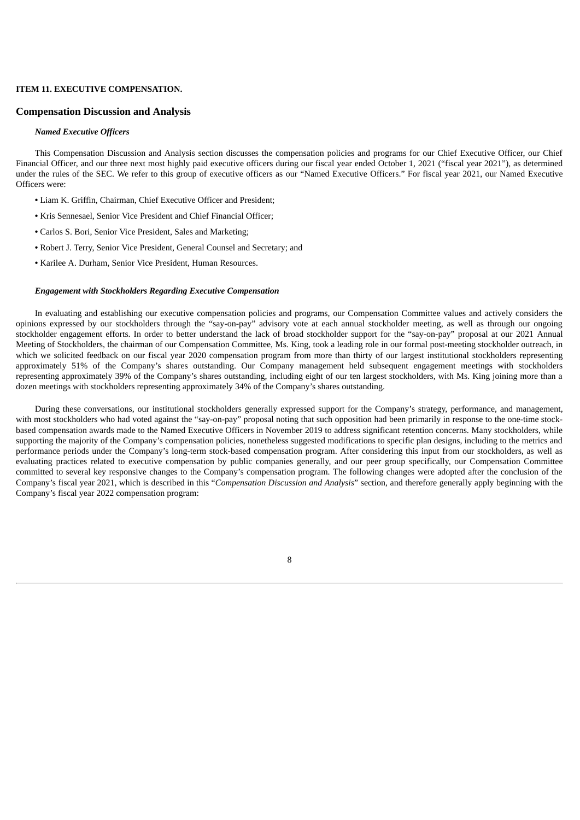#### **ITEM 11. EXECUTIVE COMPENSATION.**

#### **Compensation Discussion and Analysis**

#### *Named Executive Officers*

This Compensation Discussion and Analysis section discusses the compensation policies and programs for our Chief Executive Officer, our Chief Financial Officer, and our three next most highly paid executive officers during our fiscal year ended October 1, 2021 ("fiscal year 2021"), as determined under the rules of the SEC. We refer to this group of executive officers as our "Named Executive Officers." For fiscal year 2021, our Named Executive Officers were:

- **•** Liam K. Griffin, Chairman, Chief Executive Officer and President;
- **•** Kris Sennesael, Senior Vice President and Chief Financial Officer;
- **•** Carlos S. Bori, Senior Vice President, Sales and Marketing;
- **•** Robert J. Terry, Senior Vice President, General Counsel and Secretary; and
- **•** Karilee A. Durham, Senior Vice President, Human Resources.

# *Engagement with Stockholders Regarding Executive Compensation*

In evaluating and establishing our executive compensation policies and programs, our Compensation Committee values and actively considers the opinions expressed by our stockholders through the "say-on-pay" advisory vote at each annual stockholder meeting, as well as through our ongoing stockholder engagement efforts. In order to better understand the lack of broad stockholder support for the "say-on-pay" proposal at our 2021 Annual Meeting of Stockholders, the chairman of our Compensation Committee, Ms. King, took a leading role in our formal post-meeting stockholder outreach, in which we solicited feedback on our fiscal year 2020 compensation program from more than thirty of our largest institutional stockholders representing approximately 51% of the Company's shares outstanding. Our Company management held subsequent engagement meetings with stockholders representing approximately 39% of the Company's shares outstanding, including eight of our ten largest stockholders, with Ms. King joining more than a dozen meetings with stockholders representing approximately 34% of the Company's shares outstanding.

During these conversations, our institutional stockholders generally expressed support for the Company's strategy, performance, and management, with most stockholders who had voted against the "say-on-pay" proposal noting that such opposition had been primarily in response to the one-time stockbased compensation awards made to the Named Executive Officers in November 2019 to address significant retention concerns. Many stockholders, while supporting the majority of the Company's compensation policies, nonetheless suggested modifications to specific plan designs, including to the metrics and performance periods under the Company's long-term stock-based compensation program. After considering this input from our stockholders, as well as evaluating practices related to executive compensation by public companies generally, and our peer group specifically, our Compensation Committee committed to several key responsive changes to the Company's compensation program. The following changes were adopted after the conclusion of the Company's fiscal year 2021, which is described in this "*Compensation Discussion and Analysis*" section, and therefore generally apply beginning with the Company's fiscal year 2022 compensation program: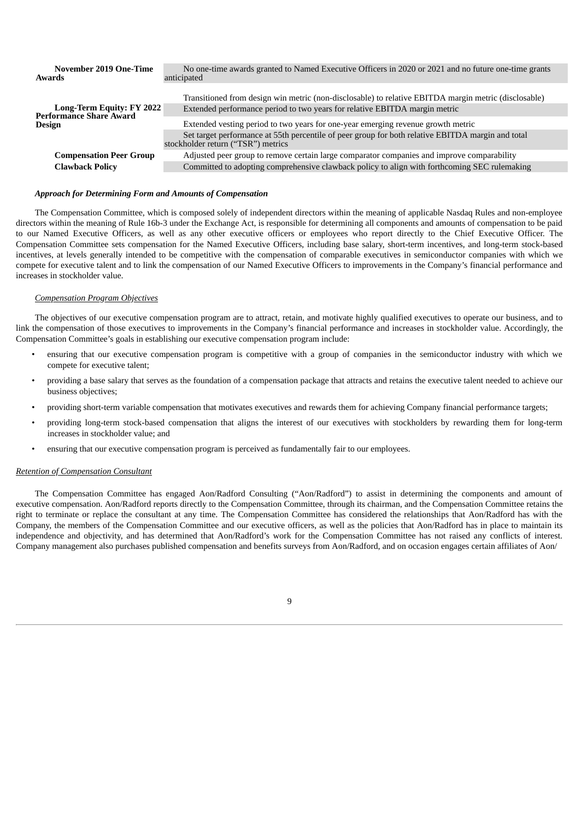| November 2019 One-Time<br><b>Awards</b>                     | No one-time awards granted to Named Executive Officers in 2020 or 2021 and no future one-time grants<br>anticipated                     |
|-------------------------------------------------------------|-----------------------------------------------------------------------------------------------------------------------------------------|
|                                                             | Transitioned from design win metric (non-disclosable) to relative EBITDA margin metric (disclosable)                                    |
| <b>Long-Term Equity: FY 2022</b><br>Performance Share Award | Extended performance period to two years for relative EBITDA margin metric                                                              |
| <b>Design</b>                                               | Extended vesting period to two years for one-year emerging revenue growth metric                                                        |
|                                                             | Set target performance at 55th percentile of peer group for both relative EBITDA margin and total<br>stockholder return ("TSR") metrics |
| <b>Compensation Peer Group</b>                              | Adjusted peer group to remove certain large comparator companies and improve comparability                                              |
| <b>Clawback Policy</b>                                      | Committed to adopting comprehensive clawback policy to align with forthcoming SEC rulemaking                                            |

#### *Approach for Determining Form and Amounts of Compensation*

The Compensation Committee, which is composed solely of independent directors within the meaning of applicable Nasdaq Rules and non-employee directors within the meaning of Rule 16b-3 under the Exchange Act, is responsible for determining all components and amounts of compensation to be paid to our Named Executive Officers, as well as any other executive officers or employees who report directly to the Chief Executive Officer. The Compensation Committee sets compensation for the Named Executive Officers, including base salary, short-term incentives, and long-term stock-based incentives, at levels generally intended to be competitive with the compensation of comparable executives in semiconductor companies with which we compete for executive talent and to link the compensation of our Named Executive Officers to improvements in the Company's financial performance and increases in stockholder value.

#### *Compensation Program Objectives*

The objectives of our executive compensation program are to attract, retain, and motivate highly qualified executives to operate our business, and to link the compensation of those executives to improvements in the Company's financial performance and increases in stockholder value. Accordingly, the Compensation Committee's goals in establishing our executive compensation program include:

- ensuring that our executive compensation program is competitive with a group of companies in the semiconductor industry with which we compete for executive talent;
- providing a base salary that serves as the foundation of a compensation package that attracts and retains the executive talent needed to achieve our business objectives;
- providing short-term variable compensation that motivates executives and rewards them for achieving Company financial performance targets;
- providing long-term stock-based compensation that aligns the interest of our executives with stockholders by rewarding them for long-term increases in stockholder value; and
- ensuring that our executive compensation program is perceived as fundamentally fair to our employees.

#### *Retention of Compensation Consultant*

The Compensation Committee has engaged Aon/Radford Consulting ("Aon/Radford") to assist in determining the components and amount of executive compensation. Aon/Radford reports directly to the Compensation Committee, through its chairman, and the Compensation Committee retains the right to terminate or replace the consultant at any time. The Compensation Committee has considered the relationships that Aon/Radford has with the Company, the members of the Compensation Committee and our executive officers, as well as the policies that Aon/Radford has in place to maintain its independence and objectivity, and has determined that Aon/Radford's work for the Compensation Committee has not raised any conflicts of interest. Company management also purchases published compensation and benefits surveys from Aon/Radford, and on occasion engages certain affiliates of Aon/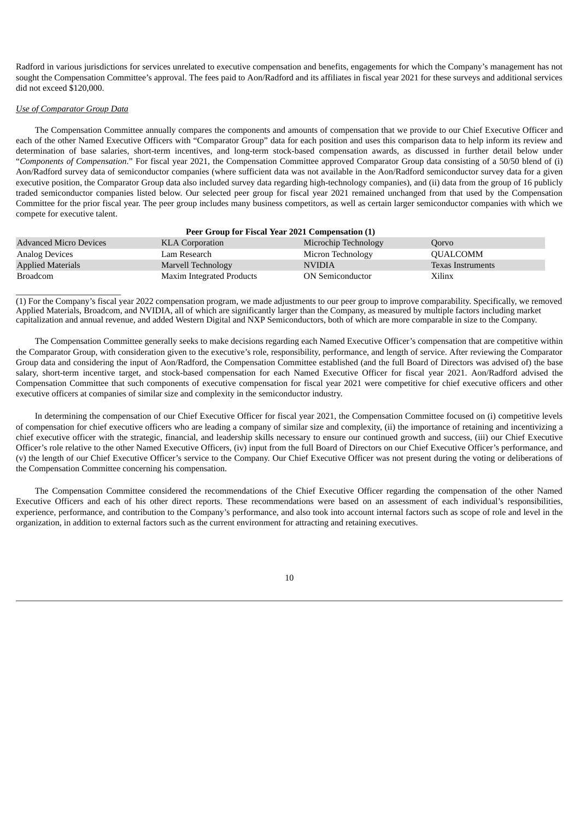Radford in various jurisdictions for services unrelated to executive compensation and benefits, engagements for which the Company's management has not sought the Compensation Committee's approval. The fees paid to Aon/Radford and its affiliates in fiscal year 2021 for these surveys and additional services did not exceed \$120,000.

#### *Use of Comparator Group Data*

 $\frac{1}{2}$  ,  $\frac{1}{2}$  ,  $\frac{1}{2}$  ,  $\frac{1}{2}$  ,  $\frac{1}{2}$  ,  $\frac{1}{2}$  ,  $\frac{1}{2}$  ,  $\frac{1}{2}$  ,  $\frac{1}{2}$  ,  $\frac{1}{2}$  ,  $\frac{1}{2}$  ,  $\frac{1}{2}$  ,  $\frac{1}{2}$  ,  $\frac{1}{2}$  ,  $\frac{1}{2}$  ,  $\frac{1}{2}$  ,  $\frac{1}{2}$  ,  $\frac{1}{2}$  ,  $\frac{1$ 

The Compensation Committee annually compares the components and amounts of compensation that we provide to our Chief Executive Officer and each of the other Named Executive Officers with "Comparator Group" data for each position and uses this comparison data to help inform its review and determination of base salaries, short-term incentives, and long-term stock-based compensation awards, as discussed in further detail below under "*Components of Compensation*." For fiscal year 2021, the Compensation Committee approved Comparator Group data consisting of a 50/50 blend of (i) Aon/Radford survey data of semiconductor companies (where sufficient data was not available in the Aon/Radford semiconductor survey data for a given executive position, the Comparator Group data also included survey data regarding high-technology companies), and (ii) data from the group of 16 publicly traded semiconductor companies listed below. Our selected peer group for fiscal year 2021 remained unchanged from that used by the Compensation Committee for the prior fiscal year. The peer group includes many business competitors, as well as certain larger semiconductor companies with which we compete for executive talent.

| Advanced Micro Devices   | <b>KLA</b> Corporation    | Microchip Technology    | Oorvo                    |
|--------------------------|---------------------------|-------------------------|--------------------------|
| <b>Analog Devices</b>    | Lam Research              | Micron Technology       | QUALCOMM                 |
| <b>Applied Materials</b> | Marvell Technology        | <b>NVIDIA</b>           | <b>Texas Instruments</b> |
| Broadcom                 | Maxim Integrated Products | <b>ON Semiconductor</b> | Xilinx                   |

(1) For the Company's fiscal year 2022 compensation program, we made adjustments to our peer group to improve comparability. Specifically, we removed Applied Materials, Broadcom, and NVIDIA, all of which are significantly larger than the Company, as measured by multiple factors including market capitalization and annual revenue, and added Western Digital and NXP Semiconductors, both of which are more comparable in size to the Company.

The Compensation Committee generally seeks to make decisions regarding each Named Executive Officer's compensation that are competitive within the Comparator Group, with consideration given to the executive's role, responsibility, performance, and length of service. After reviewing the Comparator Group data and considering the input of Aon/Radford, the Compensation Committee established (and the full Board of Directors was advised of) the base salary, short-term incentive target, and stock-based compensation for each Named Executive Officer for fiscal year 2021. Aon/Radford advised the Compensation Committee that such components of executive compensation for fiscal year 2021 were competitive for chief executive officers and other executive officers at companies of similar size and complexity in the semiconductor industry.

In determining the compensation of our Chief Executive Officer for fiscal year 2021, the Compensation Committee focused on (i) competitive levels of compensation for chief executive officers who are leading a company of similar size and complexity, (ii) the importance of retaining and incentivizing a chief executive officer with the strategic, financial, and leadership skills necessary to ensure our continued growth and success, (iii) our Chief Executive Officer's role relative to the other Named Executive Officers, (iv) input from the full Board of Directors on our Chief Executive Officer's performance, and (v) the length of our Chief Executive Officer's service to the Company. Our Chief Executive Officer was not present during the voting or deliberations of the Compensation Committee concerning his compensation.

The Compensation Committee considered the recommendations of the Chief Executive Officer regarding the compensation of the other Named Executive Officers and each of his other direct reports. These recommendations were based on an assessment of each individual's responsibilities, experience, performance, and contribution to the Company's performance, and also took into account internal factors such as scope of role and level in the organization, in addition to external factors such as the current environment for attracting and retaining executives.

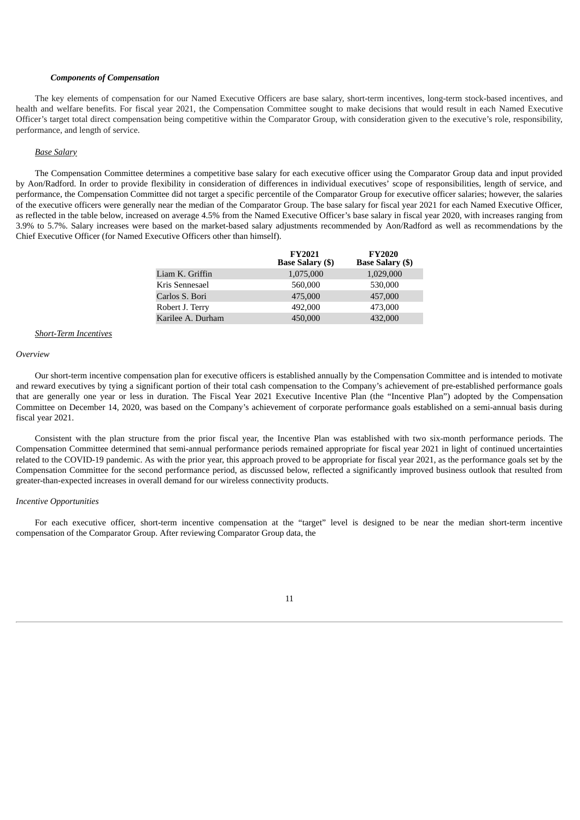#### *Components of Compensation*

The key elements of compensation for our Named Executive Officers are base salary, short-term incentives, long-term stock-based incentives, and health and welfare benefits. For fiscal year 2021, the Compensation Committee sought to make decisions that would result in each Named Executive Officer's target total direct compensation being competitive within the Comparator Group, with consideration given to the executive's role, responsibility, performance, and length of service.

#### *Base Salary*

The Compensation Committee determines a competitive base salary for each executive officer using the Comparator Group data and input provided by Aon/Radford. In order to provide flexibility in consideration of differences in individual executives' scope of responsibilities, length of service, and performance, the Compensation Committee did not target a specific percentile of the Comparator Group for executive officer salaries; however, the salaries of the executive officers were generally near the median of the Comparator Group. The base salary for fiscal year 2021 for each Named Executive Officer, as reflected in the table below, increased on average 4.5% from the Named Executive Officer's base salary in fiscal year 2020, with increases ranging from 3.9% to 5.7%. Salary increases were based on the market-based salary adjustments recommended by Aon/Radford as well as recommendations by the Chief Executive Officer (for Named Executive Officers other than himself).

|                   | <b>FY2021</b><br><b>Base Salary (\$)</b> | <b>FY2020</b><br><b>Base Salary (\$)</b> |
|-------------------|------------------------------------------|------------------------------------------|
| Liam K. Griffin   | 1,075,000                                | 1,029,000                                |
| Kris Sennesael    | 560,000                                  | 530,000                                  |
| Carlos S. Bori    | 475,000                                  | 457,000                                  |
| Robert J. Terry   | 492,000                                  | 473,000                                  |
| Karilee A. Durham | 450,000                                  | 432,000                                  |

#### *Short-Term Incentives*

#### *Overview*

Our short-term incentive compensation plan for executive officers is established annually by the Compensation Committee and is intended to motivate and reward executives by tying a significant portion of their total cash compensation to the Company's achievement of pre-established performance goals that are generally one year or less in duration. The Fiscal Year 2021 Executive Incentive Plan (the "Incentive Plan") adopted by the Compensation Committee on December 14, 2020, was based on the Company's achievement of corporate performance goals established on a semi-annual basis during fiscal year 2021.

Consistent with the plan structure from the prior fiscal year, the Incentive Plan was established with two six-month performance periods. The Compensation Committee determined that semi-annual performance periods remained appropriate for fiscal year 2021 in light of continued uncertainties related to the COVID-19 pandemic. As with the prior year, this approach proved to be appropriate for fiscal year 2021, as the performance goals set by the Compensation Committee for the second performance period, as discussed below, reflected a significantly improved business outlook that resulted from greater-than-expected increases in overall demand for our wireless connectivity products.

#### *Incentive Opportunities*

For each executive officer, short-term incentive compensation at the "target" level is designed to be near the median short-term incentive compensation of the Comparator Group. After reviewing Comparator Group data, the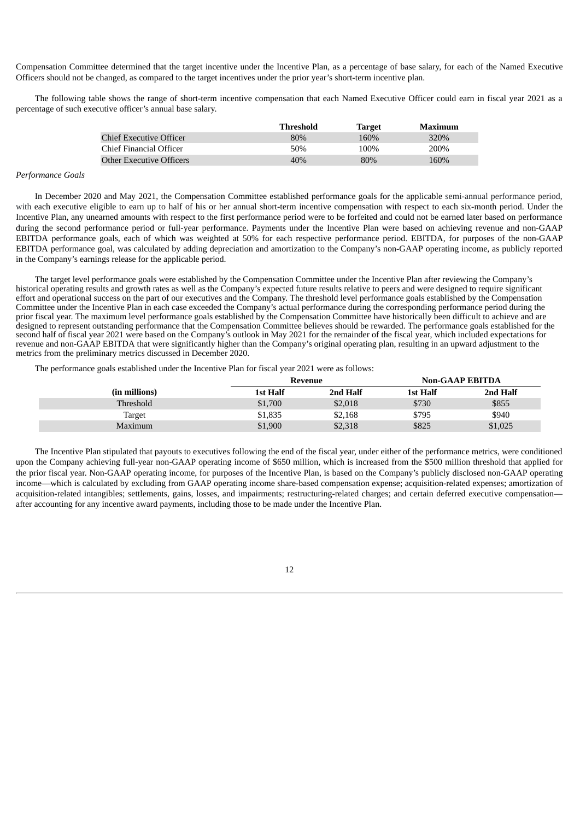Compensation Committee determined that the target incentive under the Incentive Plan, as a percentage of base salary, for each of the Named Executive Officers should not be changed, as compared to the target incentives under the prior year's short-term incentive plan.

The following table shows the range of short-term incentive compensation that each Named Executive Officer could earn in fiscal year 2021 as a percentage of such executive officer's annual base salary.

|                          | Threshold | Target | Maximum |
|--------------------------|-----------|--------|---------|
| Chief Executive Officer  | 80%       | 160%   | 320%    |
| Chief Financial Officer  | 50%       | 100%   | 200\%   |
| Other Executive Officers | 40%       | 80%    | 160%    |

#### *Performance Goals*

In December 2020 and May 2021, the Compensation Committee established performance goals for the applicable semi-annual performance period, with each executive eligible to earn up to half of his or her annual short-term incentive compensation with respect to each six-month period. Under the Incentive Plan, any unearned amounts with respect to the first performance period were to be forfeited and could not be earned later based on performance during the second performance period or full-year performance. Payments under the Incentive Plan were based on achieving revenue and non-GAAP EBITDA performance goals, each of which was weighted at 50% for each respective performance period. EBITDA, for purposes of the non-GAAP EBITDA performance goal, was calculated by adding depreciation and amortization to the Company's non-GAAP operating income, as publicly reported in the Company's earnings release for the applicable period.

The target level performance goals were established by the Compensation Committee under the Incentive Plan after reviewing the Company's historical operating results and growth rates as well as the Company's expected future results relative to peers and were designed to require significant effort and operational success on the part of our executives and the Company. The threshold level performance goals established by the Compensation Committee under the Incentive Plan in each case exceeded the Company's actual performance during the corresponding performance period during the prior fiscal year. The maximum level performance goals established by the Compensation Committee have historically been difficult to achieve and are designed to represent outstanding performance that the Compensation Committee believes should be rewarded. The performance goals established for the second half of fiscal year 2021 were based on the Company's outlook in May 2021 for the remainder of the fiscal year, which included expectations for revenue and non-GAAP EBITDA that were significantly higher than the Company's original operating plan, resulting in an upward adjustment to the metrics from the preliminary metrics discussed in December 2020.

The performance goals established under the Incentive Plan for fiscal year 2021 were as follows:

|               |          | Revenue  |          | <b>Non-GAAP EBITDA</b> |
|---------------|----------|----------|----------|------------------------|
| (in millions) | 1st Half | 2nd Half | 1st Half | 2nd Half               |
| Threshold     | \$1,700  | \$2,018  | \$730    | \$855                  |
| Target        | \$1,835  | \$2,168  | \$795    | \$940                  |
| Maximum       | \$1,900  | \$2,318  | \$825    | \$1,025                |

The Incentive Plan stipulated that payouts to executives following the end of the fiscal year, under either of the performance metrics, were conditioned upon the Company achieving full-year non-GAAP operating income of \$650 million, which is increased from the \$500 million threshold that applied for the prior fiscal year. Non-GAAP operating income, for purposes of the Incentive Plan, is based on the Company's publicly disclosed non-GAAP operating income—which is calculated by excluding from GAAP operating income share-based compensation expense; acquisition-related expenses; amortization of acquisition-related intangibles; settlements, gains, losses, and impairments; restructuring-related charges; and certain deferred executive compensation after accounting for any incentive award payments, including those to be made under the Incentive Plan.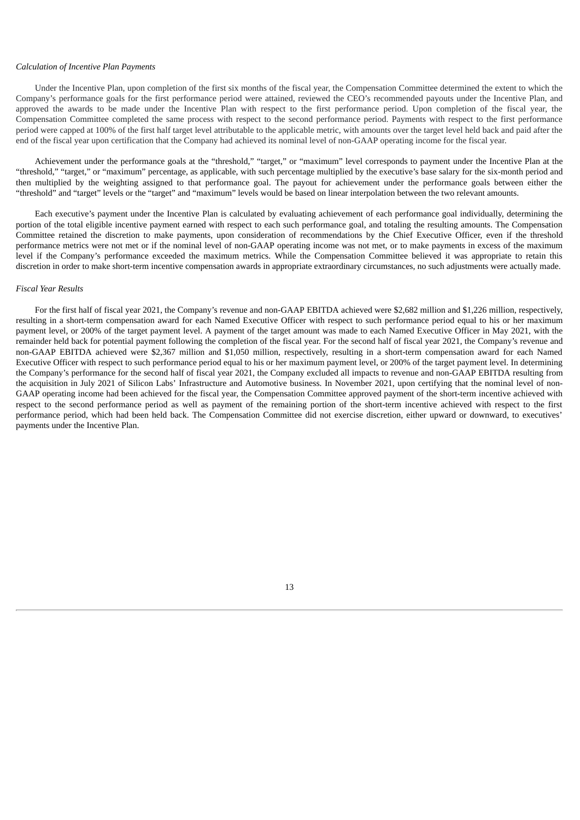#### *Calculation of Incentive Plan Payments*

Under the Incentive Plan, upon completion of the first six months of the fiscal year, the Compensation Committee determined the extent to which the Company's performance goals for the first performance period were attained, reviewed the CEO's recommended payouts under the Incentive Plan, and approved the awards to be made under the Incentive Plan with respect to the first performance period. Upon completion of the fiscal year, the Compensation Committee completed the same process with respect to the second performance period. Payments with respect to the first performance period were capped at 100% of the first half target level attributable to the applicable metric, with amounts over the target level held back and paid after the end of the fiscal year upon certification that the Company had achieved its nominal level of non-GAAP operating income for the fiscal year.

Achievement under the performance goals at the "threshold," "target," or "maximum" level corresponds to payment under the Incentive Plan at the "threshold," "target," or "maximum" percentage, as applicable, with such percentage multiplied by the executive's base salary for the six-month period and then multiplied by the weighting assigned to that performance goal. The payout for achievement under the performance goals between either the "threshold" and "target" levels or the "target" and "maximum" levels would be based on linear interpolation between the two relevant amounts.

Each executive's payment under the Incentive Plan is calculated by evaluating achievement of each performance goal individually, determining the portion of the total eligible incentive payment earned with respect to each such performance goal, and totaling the resulting amounts. The Compensation Committee retained the discretion to make payments, upon consideration of recommendations by the Chief Executive Officer, even if the threshold performance metrics were not met or if the nominal level of non-GAAP operating income was not met, or to make payments in excess of the maximum level if the Company's performance exceeded the maximum metrics. While the Compensation Committee believed it was appropriate to retain this discretion in order to make short-term incentive compensation awards in appropriate extraordinary circumstances, no such adjustments were actually made.

#### *Fiscal Year Results*

For the first half of fiscal year 2021, the Company's revenue and non-GAAP EBITDA achieved were \$2,682 million and \$1,226 million, respectively, resulting in a short-term compensation award for each Named Executive Officer with respect to such performance period equal to his or her maximum payment level, or 200% of the target payment level. A payment of the target amount was made to each Named Executive Officer in May 2021, with the remainder held back for potential payment following the completion of the fiscal year. For the second half of fiscal year 2021, the Company's revenue and non-GAAP EBITDA achieved were \$2,367 million and \$1,050 million, respectively, resulting in a short-term compensation award for each Named Executive Officer with respect to such performance period equal to his or her maximum payment level, or 200% of the target payment level. In determining the Company's performance for the second half of fiscal year 2021, the Company excluded all impacts to revenue and non-GAAP EBITDA resulting from the acquisition in July 2021 of Silicon Labs' Infrastructure and Automotive business. In November 2021, upon certifying that the nominal level of non-GAAP operating income had been achieved for the fiscal year, the Compensation Committee approved payment of the short-term incentive achieved with respect to the second performance period as well as payment of the remaining portion of the short-term incentive achieved with respect to the first performance period, which had been held back. The Compensation Committee did not exercise discretion, either upward or downward, to executives' payments under the Incentive Plan.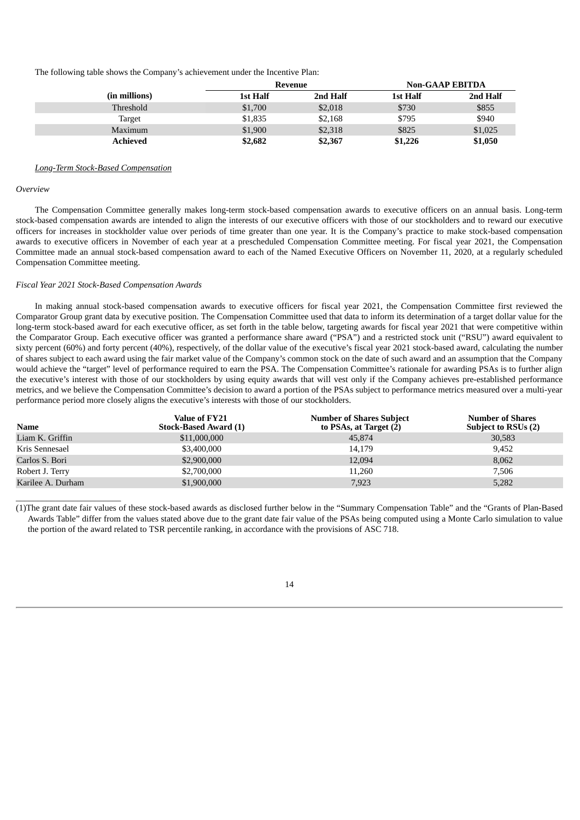The following table shows the Company's achievement under the Incentive Plan:

|               | Revenue  |          |          | <b>Non-GAAP EBITDA</b> |
|---------------|----------|----------|----------|------------------------|
| (in millions) | 1st Half | 2nd Half | 1st Half | 2nd Half               |
| Threshold     | \$1,700  | \$2,018  | \$730    | \$855                  |
| Target        | \$1,835  | \$2,168  | \$795    | \$940                  |
| Maximum       | \$1,900  | \$2,318  | \$825    | \$1,025                |
| Achieved      | \$2,682  | \$2,367  | \$1,226  | \$1,050                |

#### *Long-Term Stock-Based Compensation*

#### *Overview*

Г

The Compensation Committee generally makes long-term stock-based compensation awards to executive officers on an annual basis. Long-term stock-based compensation awards are intended to align the interests of our executive officers with those of our stockholders and to reward our executive officers for increases in stockholder value over periods of time greater than one year. It is the Company's practice to make stock-based compensation awards to executive officers in November of each year at a prescheduled Compensation Committee meeting. For fiscal year 2021, the Compensation Committee made an annual stock-based compensation award to each of the Named Executive Officers on November 11, 2020, at a regularly scheduled Compensation Committee meeting.

#### *Fiscal Year 2021 Stock-Based Compensation Awards*

 $\_$ 

In making annual stock-based compensation awards to executive officers for fiscal year 2021, the Compensation Committee first reviewed the Comparator Group grant data by executive position. The Compensation Committee used that data to inform its determination of a target dollar value for the long-term stock-based award for each executive officer, as set forth in the table below, targeting awards for fiscal year 2021 that were competitive within the Comparator Group. Each executive officer was granted a performance share award ("PSA") and a restricted stock unit ("RSU") award equivalent to sixty percent (60%) and forty percent (40%), respectively, of the dollar value of the executive's fiscal year 2021 stock-based award, calculating the number of shares subject to each award using the fair market value of the Company's common stock on the date of such award and an assumption that the Company would achieve the "target" level of performance required to earn the PSA. The Compensation Committee's rationale for awarding PSAs is to further align the executive's interest with those of our stockholders by using equity awards that will vest only if the Company achieves pre-established performance metrics, and we believe the Compensation Committee's decision to award a portion of the PSAs subject to performance metrics measured over a multi-year performance period more closely aligns the executive's interests with those of our stockholders.

| <b>Name</b>       | Value of FY21<br><b>Stock-Based Award (1)</b> | <b>Number of Shares Subject</b><br>to PSAs, at Target (2) | <b>Number of Shares</b><br><b>Subject to RSUs (2)</b> |
|-------------------|-----------------------------------------------|-----------------------------------------------------------|-------------------------------------------------------|
| Liam K. Griffin   | \$11,000,000                                  | 45,874                                                    | 30,583                                                |
| Kris Sennesael    | \$3,400,000                                   | 14.179                                                    | 9.452                                                 |
| Carlos S. Bori    | \$2,900,000                                   | 12,094                                                    | 8,062                                                 |
| Robert J. Terry   | \$2,700,000                                   | 11,260                                                    | 7,506                                                 |
| Karilee A. Durham | \$1,900,000                                   | 7,923                                                     | 5,282                                                 |

(1)The grant date fair values of these stock-based awards as disclosed further below in the "Summary Compensation Table" and the "Grants of Plan-Based Awards Table" differ from the values stated above due to the grant date fair value of the PSAs being computed using a Monte Carlo simulation to value the portion of the award related to TSR percentile ranking, in accordance with the provisions of ASC 718.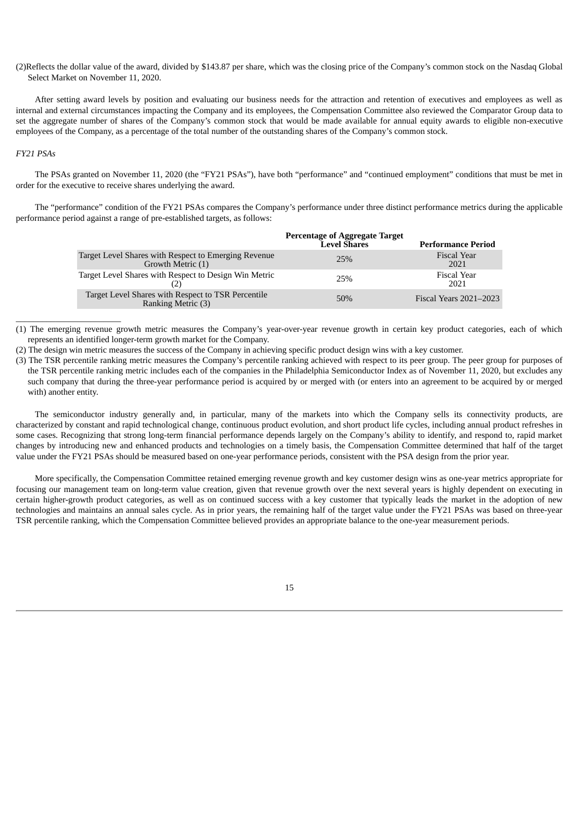(2)Reflects the dollar value of the award, divided by \$143.87 per share, which was the closing price of the Company's common stock on the Nasdaq Global Select Market on November 11, 2020.

After setting award levels by position and evaluating our business needs for the attraction and retention of executives and employees as well as internal and external circumstances impacting the Company and its employees, the Compensation Committee also reviewed the Comparator Group data to set the aggregate number of shares of the Company's common stock that would be made available for annual equity awards to eligible non-executive employees of the Company, as a percentage of the total number of the outstanding shares of the Company's common stock.

#### *FY21 PSAs*

 $\frac{1}{2}$  ,  $\frac{1}{2}$  ,  $\frac{1}{2}$  ,  $\frac{1}{2}$  ,  $\frac{1}{2}$  ,  $\frac{1}{2}$  ,  $\frac{1}{2}$  ,  $\frac{1}{2}$  ,  $\frac{1}{2}$  ,  $\frac{1}{2}$  ,  $\frac{1}{2}$  ,  $\frac{1}{2}$  ,  $\frac{1}{2}$  ,  $\frac{1}{2}$  ,  $\frac{1}{2}$  ,  $\frac{1}{2}$  ,  $\frac{1}{2}$  ,  $\frac{1}{2}$  ,  $\frac{1$ 

The PSAs granted on November 11, 2020 (the "FY21 PSAs"), have both "performance" and "continued employment" conditions that must be met in order for the executive to receive shares underlying the award.

The "performance" condition of the FY21 PSAs compares the Company's performance under three distinct performance metrics during the applicable performance period against a range of pre-established targets, as follows:

|                                                                           | <b>Percentage of Aggregate Target<br/>Level Shares</b> | <b>Performance Period</b>     |
|---------------------------------------------------------------------------|--------------------------------------------------------|-------------------------------|
| Target Level Shares with Respect to Emerging Revenue<br>Growth Metric (1) | 25%                                                    | Fiscal Year<br>2021           |
| Target Level Shares with Respect to Design Win Metric                     | 25%                                                    | Fiscal Year<br>2021           |
| Target Level Shares with Respect to TSR Percentile<br>Ranking Metric (3)  | 50%                                                    | <b>Fiscal Years 2021-2023</b> |

(1) The emerging revenue growth metric measures the Company's year-over-year revenue growth in certain key product categories, each of which represents an identified longer-term growth market for the Company.

(2) The design win metric measures the success of the Company in achieving specific product design wins with a key customer.

(3) The TSR percentile ranking metric measures the Company's percentile ranking achieved with respect to its peer group. The peer group for purposes of the TSR percentile ranking metric includes each of the companies in the Philadelphia Semiconductor Index as of November 11, 2020, but excludes any such company that during the three-year performance period is acquired by or merged with (or enters into an agreement to be acquired by or merged with) another entity.

The semiconductor industry generally and, in particular, many of the markets into which the Company sells its connectivity products, are characterized by constant and rapid technological change, continuous product evolution, and short product life cycles, including annual product refreshes in some cases. Recognizing that strong long-term financial performance depends largely on the Company's ability to identify, and respond to, rapid market changes by introducing new and enhanced products and technologies on a timely basis, the Compensation Committee determined that half of the target value under the FY21 PSAs should be measured based on one-year performance periods, consistent with the PSA design from the prior year.

More specifically, the Compensation Committee retained emerging revenue growth and key customer design wins as one-year metrics appropriate for focusing our management team on long-term value creation, given that revenue growth over the next several years is highly dependent on executing in certain higher-growth product categories, as well as on continued success with a key customer that typically leads the market in the adoption of new technologies and maintains an annual sales cycle. As in prior years, the remaining half of the target value under the FY21 PSAs was based on three-year TSR percentile ranking, which the Compensation Committee believed provides an appropriate balance to the one-year measurement periods.

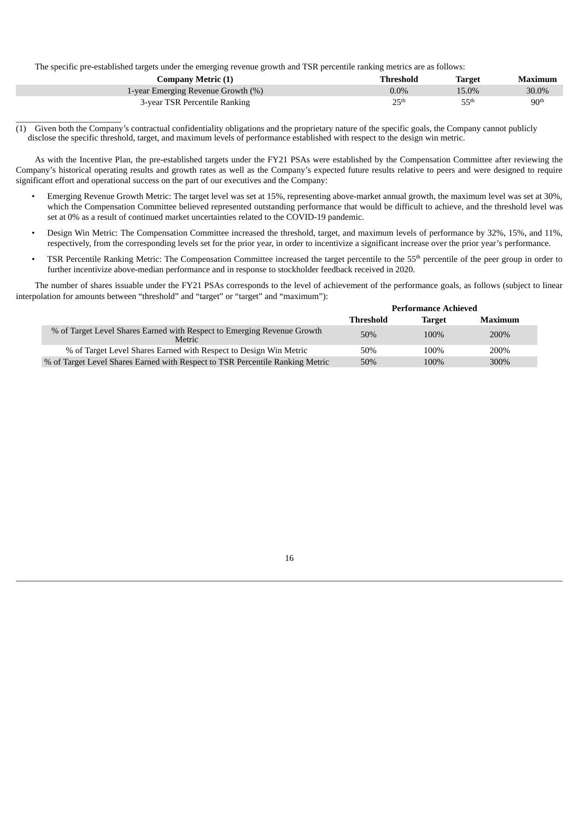The specific pre-established targets under the emerging revenue growth and TSR percentile ranking metrics are as follows:

| <b>Company Metric (1)</b>          | Threshold        | <b>Target</b>    | Maximum             |
|------------------------------------|------------------|------------------|---------------------|
| 1-year Emerging Revenue Growth (%) | $0.0\%$          | 15.0%            | 30.0%               |
| 3-year TSR Percentile Ranking      | 25 <sup>th</sup> | 55 <sup>th</sup> | $Q()$ <sup>th</sup> |

 $\frac{1}{2}$  ,  $\frac{1}{2}$  ,  $\frac{1}{2}$  ,  $\frac{1}{2}$  ,  $\frac{1}{2}$  ,  $\frac{1}{2}$  ,  $\frac{1}{2}$  ,  $\frac{1}{2}$  ,  $\frac{1}{2}$  ,  $\frac{1}{2}$  ,  $\frac{1}{2}$  ,  $\frac{1}{2}$  ,  $\frac{1}{2}$  ,  $\frac{1}{2}$  ,  $\frac{1}{2}$  ,  $\frac{1}{2}$  ,  $\frac{1}{2}$  ,  $\frac{1}{2}$  ,  $\frac{1$ (1) Given both the Company's contractual confidentiality obligations and the proprietary nature of the specific goals, the Company cannot publicly disclose the specific threshold, target, and maximum levels of performance established with respect to the design win metric.

As with the Incentive Plan, the pre-established targets under the FY21 PSAs were established by the Compensation Committee after reviewing the Company's historical operating results and growth rates as well as the Company's expected future results relative to peers and were designed to require significant effort and operational success on the part of our executives and the Company:

- Emerging Revenue Growth Metric: The target level was set at 15%, representing above-market annual growth, the maximum level was set at 30%, which the Compensation Committee believed represented outstanding performance that would be difficult to achieve, and the threshold level was set at 0% as a result of continued market uncertainties related to the COVID-19 pandemic.
- Design Win Metric: The Compensation Committee increased the threshold, target, and maximum levels of performance by 32%, 15%, and 11%, respectively, from the corresponding levels set for the prior year, in order to incentivize a significant increase over the prior year's performance.
- TSR Percentile Ranking Metric: The Compensation Committee increased the target percentile to the 55<sup>th</sup> percentile of the peer group in order to further incentivize above-median performance and in response to stockholder feedback received in 2020.

The number of shares issuable under the FY21 PSAs corresponds to the level of achievement of the performance goals, as follows (subject to linear interpolation for amounts between "threshold" and "target" or "target" and "maximum"):

|                                                                                          | <b>Performance Achieved</b> |        |         |  |
|------------------------------------------------------------------------------------------|-----------------------------|--------|---------|--|
|                                                                                          | Threshold                   | Target | Maximum |  |
| % of Target Level Shares Earned with Respect to Emerging Revenue Growth<br><b>Metric</b> | 50%                         | 100\%  | 200\%   |  |
| % of Target Level Shares Earned with Respect to Design Win Metric                        | 50%                         | 100%   | 200%    |  |
| % of Target Level Shares Earned with Respect to TSR Percentile Ranking Metric            | 50%                         | 100%   | 300%    |  |

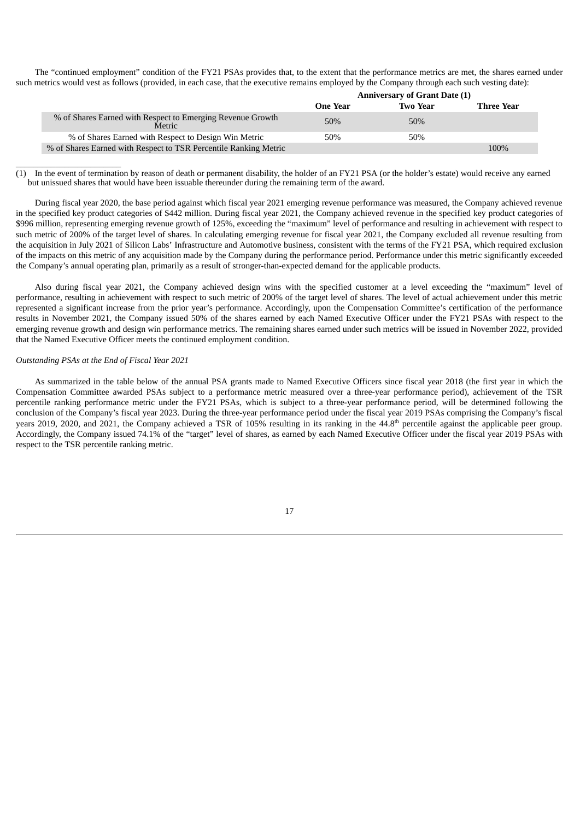The "continued employment" condition of the FY21 PSAs provides that, to the extent that the performance metrics are met, the shares earned under such metrics would vest as follows (provided, in each case, that the executive remains employed by the Company through each such vesting date):

|                                                                      | <b>Anniversary of Grant Date (1)</b> |          |            |  |
|----------------------------------------------------------------------|--------------------------------------|----------|------------|--|
|                                                                      | <b>One Year</b>                      | Two Year | Three Year |  |
| % of Shares Earned with Respect to Emerging Revenue Growth<br>Metric | 50%                                  | 50%      |            |  |
| % of Shares Earned with Respect to Design Win Metric                 | 50%                                  | 50%      |            |  |
| % of Shares Earned with Respect to TSR Percentile Ranking Metric     |                                      |          | 100%       |  |

(1) In the event of termination by reason of death or permanent disability, the holder of an FY21 PSA (or the holder's estate) would receive any earned but unissued shares that would have been issuable thereunder during the remaining term of the award.

During fiscal year 2020, the base period against which fiscal year 2021 emerging revenue performance was measured, the Company achieved revenue in the specified key product categories of \$442 million. During fiscal year 2021, the Company achieved revenue in the specified key product categories of \$996 million, representing emerging revenue growth of 125%, exceeding the "maximum" level of performance and resulting in achievement with respect to such metric of 200% of the target level of shares. In calculating emerging revenue for fiscal year 2021, the Company excluded all revenue resulting from the acquisition in July 2021 of Silicon Labs' Infrastructure and Automotive business, consistent with the terms of the FY21 PSA, which required exclusion of the impacts on this metric of any acquisition made by the Company during the performance period. Performance under this metric significantly exceeded the Company's annual operating plan, primarily as a result of stronger-than-expected demand for the applicable products.

Also during fiscal year 2021, the Company achieved design wins with the specified customer at a level exceeding the "maximum" level of performance, resulting in achievement with respect to such metric of 200% of the target level of shares. The level of actual achievement under this metric represented a significant increase from the prior year's performance. Accordingly, upon the Compensation Committee's certification of the performance results in November 2021, the Company issued 50% of the shares earned by each Named Executive Officer under the FY21 PSAs with respect to the emerging revenue growth and design win performance metrics. The remaining shares earned under such metrics will be issued in November 2022, provided that the Named Executive Officer meets the continued employment condition.

#### *Outstanding PSAs at the End of Fiscal Year 2021*

 $\_$ 

As summarized in the table below of the annual PSA grants made to Named Executive Officers since fiscal year 2018 (the first year in which the Compensation Committee awarded PSAs subject to a performance metric measured over a three-year performance period), achievement of the TSR percentile ranking performance metric under the FY21 PSAs, which is subject to a three-year performance period, will be determined following the conclusion of the Company's fiscal year 2023. During the three-year performance period under the fiscal year 2019 PSAs comprising the Company's fiscal years 2019, 2020, and 2021, the Company achieved a TSR of 105% resulting in its ranking in the 44.8<sup>th</sup> percentile against the applicable peer group. Accordingly, the Company issued 74.1% of the "target" level of shares, as earned by each Named Executive Officer under the fiscal year 2019 PSAs with respect to the TSR percentile ranking metric.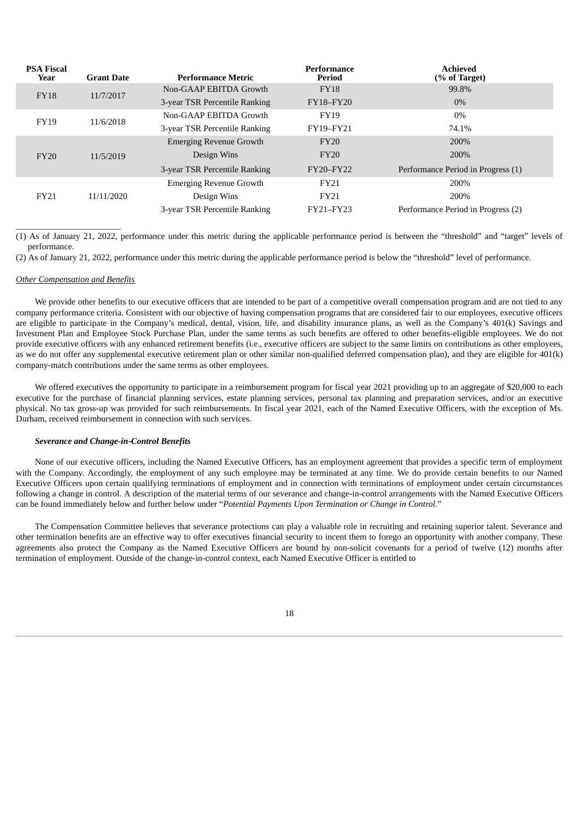| <b>PSA Fiscal</b><br>Year | <b>Grant Date</b> | <b>Performance Metric</b>      | Performance<br>Period | Achieved<br>(% of Target)          |
|---------------------------|-------------------|--------------------------------|-----------------------|------------------------------------|
| <b>FY18</b>               | 11/7/2017         | Non-GAAP EBITDA Growth         | <b>FY18</b>           | 99.8%                              |
|                           |                   | 3-year TSR Percentile Ranking  | FY18-FY20             | $0\%$                              |
| <b>FY19</b>               | 11/6/2018         | Non-GAAP EBITDA Growth         | <b>FY19</b>           | $0\%$                              |
|                           |                   | 3-year TSR Percentile Ranking  | <b>FY19-FY21</b>      | 74.1%                              |
|                           | FY20<br>11/5/2019 | <b>Emerging Revenue Growth</b> | FY20                  | 200%                               |
|                           |                   | Design Wins                    | <b>FY20</b>           | 200%                               |
|                           |                   | 3-year TSR Percentile Ranking  | FY20-FY22             | Performance Period in Progress (1) |
|                           |                   | <b>Emerging Revenue Growth</b> | <b>FY21</b>           | 200%                               |
| FY21                      | 11/11/2020        | Design Wins                    | <b>FY21</b>           | 200%                               |
|                           |                   | 3-year TSR Percentile Ranking  | <b>FY21-FY23</b>      | Performance Period in Progress (2) |

(1) As of January 21, 2022, performance under this metric during the applicable performance period is between the "threshold" and "target" levels of performance.

(2) As of January 21, 2022, performance under this metric during the applicable performance period is below the "threshold" level of performance.

#### *Other Compensation and Benefits*

 $\_$ 

We provide other benefits to our executive officers that are intended to be part of a competitive overall compensation program and are not tied to any company performance criteria. Consistent with our objective of having compensation programs that are considered fair to our employees, executive officers are eligible to participate in the Company's medical, dental, vision, life, and disability insurance plans, as well as the Company's 401(k) Savings and Investment Plan and Employee Stock Purchase Plan, under the same terms as such benefits are offered to other benefits-eligible employees. We do not provide executive officers with any enhanced retirement benefits (i.e., executive officers are subject to the same limits on contributions as other employees, as we do not offer any supplemental executive retirement plan or other similar non-qualified deferred compensation plan), and they are eligible for 401(k) company-match contributions under the same terms as other employees.

We offered executives the opportunity to participate in a reimbursement program for fiscal year 2021 providing up to an aggregate of \$20,000 to each executive for the purchase of financial planning services, estate planning services, personal tax planning and preparation services, and/or an executive physical. No tax gross-up was provided for such reimbursements. In fiscal year 2021, each of the Named Executive Officers, with the exception of Ms. Durham, received reimbursement in connection with such services.

#### *Severance and Change-in-Control Benefits*

None of our executive officers, including the Named Executive Officers, has an employment agreement that provides a specific term of employment with the Company. Accordingly, the employment of any such employee may be terminated at any time. We do provide certain benefits to our Named Executive Officers upon certain qualifying terminations of employment and in connection with terminations of employment under certain circumstances following a change in control. A description of the material terms of our severance and change-in-control arrangements with the Named Executive Officers can be found immediately below and further below under "*Potential Payments Upon Termination or Change in Control.*"

The Compensation Committee believes that severance protections can play a valuable role in recruiting and retaining superior talent. Severance and other termination benefits are an effective way to offer executives financial security to incent them to forego an opportunity with another company. These agreements also protect the Company as the Named Executive Officers are bound by non-solicit covenants for a period of twelve (12) months after termination of employment. Outside of the change-in-control context, each Named Executive Officer is entitled to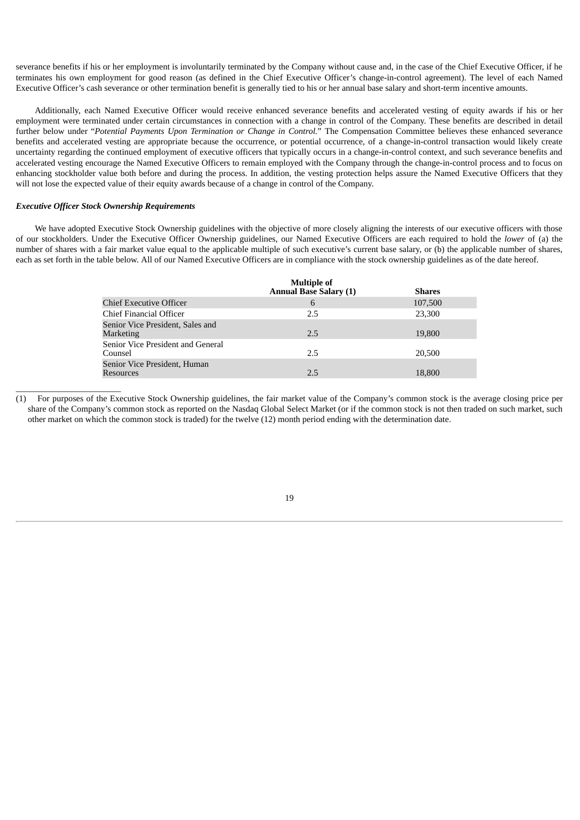severance benefits if his or her employment is involuntarily terminated by the Company without cause and, in the case of the Chief Executive Officer, if he terminates his own employment for good reason (as defined in the Chief Executive Officer's change-in-control agreement). The level of each Named Executive Officer's cash severance or other termination benefit is generally tied to his or her annual base salary and short-term incentive amounts.

Additionally, each Named Executive Officer would receive enhanced severance benefits and accelerated vesting of equity awards if his or her employment were terminated under certain circumstances in connection with a change in control of the Company. These benefits are described in detail further below under "*Potential Payments Upon Termination or Change in Control.*" The Compensation Committee believes these enhanced severance benefits and accelerated vesting are appropriate because the occurrence, or potential occurrence, of a change-in-control transaction would likely create uncertainty regarding the continued employment of executive officers that typically occurs in a change-in-control context, and such severance benefits and accelerated vesting encourage the Named Executive Officers to remain employed with the Company through the change-in-control process and to focus on enhancing stockholder value both before and during the process. In addition, the vesting protection helps assure the Named Executive Officers that they will not lose the expected value of their equity awards because of a change in control of the Company.

#### *Executive Officer Stock Ownership Requirements*

 $\_$ 

We have adopted Executive Stock Ownership guidelines with the objective of more closely aligning the interests of our executive officers with those of our stockholders. Under the Executive Officer Ownership guidelines, our Named Executive Officers are each required to hold the *lower* of (a) the number of shares with a fair market value equal to the applicable multiple of such executive's current base salary, or (b) the applicable number of shares, each as set forth in the table below. All of our Named Executive Officers are in compliance with the stock ownership guidelines as of the date hereof.

|                                               | <b>Multiple of</b><br><b>Annual Base Salary (1)</b> | <b>Shares</b> |
|-----------------------------------------------|-----------------------------------------------------|---------------|
| <b>Chief Executive Officer</b>                | 6                                                   | 107,500       |
| Chief Financial Officer                       | 2.5                                                 | 23,300        |
| Senior Vice President, Sales and<br>Marketing | 2.5                                                 | 19,800        |
| Senior Vice President and General<br>Counsel  | 2.5                                                 | 20,500        |
| Senior Vice President, Human<br>Resources     | 2.5                                                 | 18,800        |

(1) For purposes of the Executive Stock Ownership guidelines, the fair market value of the Company's common stock is the average closing price per share of the Company's common stock as reported on the Nasdaq Global Select Market (or if the common stock is not then traded on such market, such other market on which the common stock is traded) for the twelve (12) month period ending with the determination date.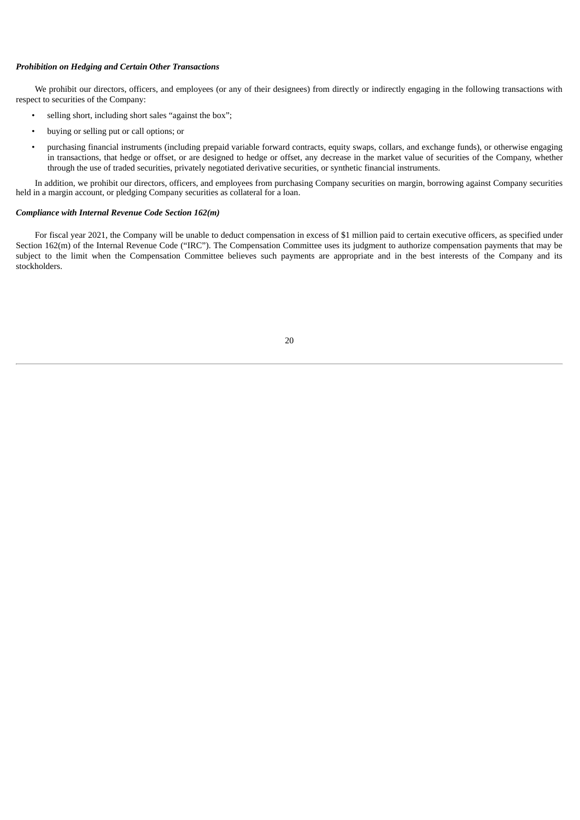#### *Prohibition on Hedging and Certain Other Transactions*

We prohibit our directors, officers, and employees (or any of their designees) from directly or indirectly engaging in the following transactions with respect to securities of the Company:

- selling short, including short sales "against the box";
- buying or selling put or call options; or
- purchasing financial instruments (including prepaid variable forward contracts, equity swaps, collars, and exchange funds), or otherwise engaging in transactions, that hedge or offset, or are designed to hedge or offset, any decrease in the market value of securities of the Company, whether through the use of traded securities, privately negotiated derivative securities, or synthetic financial instruments.

In addition, we prohibit our directors, officers, and employees from purchasing Company securities on margin, borrowing against Company securities held in a margin account, or pledging Company securities as collateral for a loan.

#### *Compliance with Internal Revenue Code Section 162(m)*

For fiscal year 2021, the Company will be unable to deduct compensation in excess of \$1 million paid to certain executive officers, as specified under Section 162(m) of the Internal Revenue Code ("IRC"). The Compensation Committee uses its judgment to authorize compensation payments that may be subject to the limit when the Compensation Committee believes such payments are appropriate and in the best interests of the Company and its stockholders.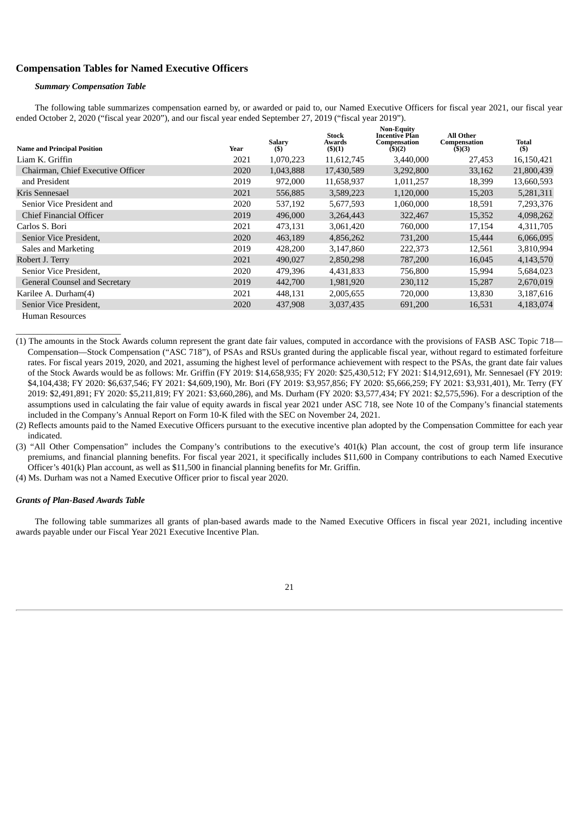# **Compensation Tables for Named Executive Officers**

#### *Summary Compensation Table*

The following table summarizes compensation earned by, or awarded or paid to, our Named Executive Officers for fiscal year 2021, our fiscal year ended October 2, 2020 ("fiscal year 2020"), and our fiscal year ended September 27, 2019 ("fiscal year 2019").

| <b>Name and Principal Position</b>   | Year | <b>Salary</b><br>(5) | <b>Stock</b><br>Awards<br>$($ \$ $)(1)$ | <b>Non-Equity</b><br>Incentive Plan<br>Compensation<br>$($ \$)(2) | <b>All Other</b><br>Compensation<br>(3)(3) | Total<br>$($ \$ |
|--------------------------------------|------|----------------------|-----------------------------------------|-------------------------------------------------------------------|--------------------------------------------|-----------------|
| Liam K. Griffin                      | 2021 | 1,070,223            | 11,612,745                              | 3,440,000                                                         | 27,453                                     | 16,150,421      |
| Chairman, Chief Executive Officer    | 2020 | 1,043,888            | 17,430,589                              | 3,292,800                                                         | 33,162                                     | 21,800,439      |
| and President                        | 2019 | 972,000              | 11,658,937                              | 1,011,257                                                         | 18,399                                     | 13,660,593      |
| Kris Sennesael                       | 2021 | 556,885              | 3,589,223                               | 1,120,000                                                         | 15,203                                     | 5,281,311       |
| Senior Vice President and            | 2020 | 537,192              | 5,677,593                               | 1,060,000                                                         | 18,591                                     | 7,293,376       |
| Chief Financial Officer              | 2019 | 496,000              | 3,264,443                               | 322,467                                                           | 15,352                                     | 4,098,262       |
| Carlos S. Bori                       | 2021 | 473,131              | 3,061,420                               | 760,000                                                           | 17,154                                     | 4,311,705       |
| Senior Vice President,               | 2020 | 463,189              | 4,856,262                               | 731,200                                                           | 15,444                                     | 6,066,095       |
| Sales and Marketing                  | 2019 | 428,200              | 3,147,860                               | 222,373                                                           | 12,561                                     | 3,810,994       |
| Robert J. Terry                      | 2021 | 490,027              | 2,850,298                               | 787,200                                                           | 16,045                                     | 4,143,570       |
| Senior Vice President,               | 2020 | 479,396              | 4,431,833                               | 756,800                                                           | 15,994                                     | 5,684,023       |
| <b>General Counsel and Secretary</b> | 2019 | 442,700              | 1,981,920                               | 230,112                                                           | 15,287                                     | 2,670,019       |
| Karilee A. Durham(4)                 | 2021 | 448,131              | 2,005,655                               | 720,000                                                           | 13,830                                     | 3,187,616       |
| Senior Vice President,               | 2020 | 437,908              | 3,037,435                               | 691,200                                                           | 16,531                                     | 4,183,074       |
| <b>Human Resources</b>               |      |                      |                                         |                                                                   |                                            |                 |

<sup>(1)</sup> The amounts in the Stock Awards column represent the grant date fair values, computed in accordance with the provisions of FASB ASC Topic 718— Compensation—Stock Compensation ("ASC 718"), of PSAs and RSUs granted during the applicable fiscal year, without regard to estimated forfeiture rates. For fiscal years 2019, 2020, and 2021, assuming the highest level of performance achievement with respect to the PSAs, the grant date fair values of the Stock Awards would be as follows: Mr. Griffin (FY 2019: \$14,658,935; FY 2020: \$25,430,512; FY 2021: \$14,912,691), Mr. Sennesael (FY 2019: \$4,104,438; FY 2020: \$6,637,546; FY 2021: \$4,609,190), Mr. Bori (FY 2019: \$3,957,856; FY 2020: \$5,666,259; FY 2021: \$3,931,401), Mr. Terry (FY 2019: \$2,491,891; FY 2020: \$5,211,819; FY 2021: \$3,660,286), and Ms. Durham (FY 2020: \$3,577,434; FY 2021: \$2,575,596). For a description of the assumptions used in calculating the fair value of equity awards in fiscal year 2021 under ASC 718, see Note 10 of the Company's financial statements included in the Company's Annual Report on Form 10-K filed with the SEC on November 24, 2021.

(2) Reflects amounts paid to the Named Executive Officers pursuant to the executive incentive plan adopted by the Compensation Committee for each year indicated.

(3) "All Other Compensation" includes the Company's contributions to the executive's 401(k) Plan account, the cost of group term life insurance premiums, and financial planning benefits. For fiscal year 2021, it specifically includes \$11,600 in Company contributions to each Named Executive Officer's 401(k) Plan account, as well as \$11,500 in financial planning benefits for Mr. Griffin.

(4) Ms. Durham was not a Named Executive Officer prior to fiscal year 2020.

#### *Grants of Plan-Based Awards Table*

 $\frac{1}{2}$  ,  $\frac{1}{2}$  ,  $\frac{1}{2}$  ,  $\frac{1}{2}$  ,  $\frac{1}{2}$  ,  $\frac{1}{2}$  ,  $\frac{1}{2}$  ,  $\frac{1}{2}$  ,  $\frac{1}{2}$  ,  $\frac{1}{2}$  ,  $\frac{1}{2}$  ,  $\frac{1}{2}$  ,  $\frac{1}{2}$  ,  $\frac{1}{2}$  ,  $\frac{1}{2}$  ,  $\frac{1}{2}$  ,  $\frac{1}{2}$  ,  $\frac{1}{2}$  ,  $\frac{1$ 

The following table summarizes all grants of plan-based awards made to the Named Executive Officers in fiscal year 2021, including incentive awards payable under our Fiscal Year 2021 Executive Incentive Plan.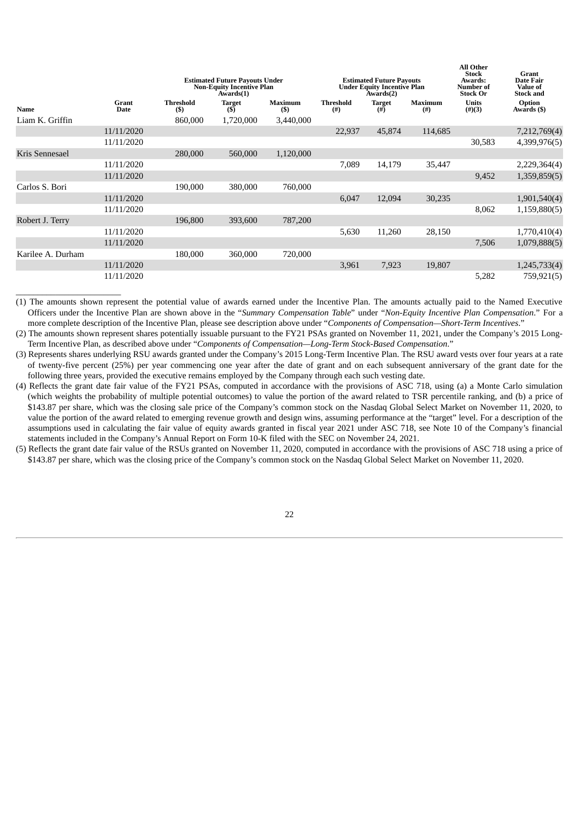|                   |               |                           | <b>Estimated Future Payouts Under</b><br><b>Non-Equity Incentive Plan</b><br>Awards(1) |                  | <b>Estimated Future Payouts</b><br><b>Under Equity Incentive Plan</b><br>Awards(2) |                      |                 | <b>All Other</b><br><b>Stock</b><br>Awards:<br><b>Number of</b><br><b>Stock Or</b> | Grant<br><b>Date Fair</b><br><b>Value of</b><br><b>Stock and</b> |
|-------------------|---------------|---------------------------|----------------------------------------------------------------------------------------|------------------|------------------------------------------------------------------------------------|----------------------|-----------------|------------------------------------------------------------------------------------|------------------------------------------------------------------|
| Name              | Grant<br>Date | <b>Threshold</b><br>$($)$ | <b>Target</b><br>(5)                                                                   | Maximum<br>$($)$ | <b>Threshold</b><br>(# )                                                           | <b>Target</b><br>(#) | Maximum<br>(# ) | <b>Units</b><br>$(\#)(3)$                                                          | Option<br>Awards (\$)                                            |
| Liam K. Griffin   |               | 860,000                   | 1,720,000                                                                              | 3,440,000        |                                                                                    |                      |                 |                                                                                    |                                                                  |
|                   | 11/11/2020    |                           |                                                                                        |                  | 22,937                                                                             | 45,874               | 114,685         |                                                                                    | 7,212,769(4)                                                     |
|                   | 11/11/2020    |                           |                                                                                        |                  |                                                                                    |                      |                 | 30,583                                                                             | 4,399,976(5)                                                     |
| Kris Sennesael    |               | 280,000                   | 560,000                                                                                | 1,120,000        |                                                                                    |                      |                 |                                                                                    |                                                                  |
|                   | 11/11/2020    |                           |                                                                                        |                  | 7,089                                                                              | 14,179               | 35,447          |                                                                                    | 2,229,364(4)                                                     |
|                   | 11/11/2020    |                           |                                                                                        |                  |                                                                                    |                      |                 | 9,452                                                                              | 1,359,859(5)                                                     |
| Carlos S. Bori    |               | 190,000                   | 380,000                                                                                | 760,000          |                                                                                    |                      |                 |                                                                                    |                                                                  |
|                   | 11/11/2020    |                           |                                                                                        |                  | 6,047                                                                              | 12,094               | 30,235          |                                                                                    | 1,901,540(4)                                                     |
|                   | 11/11/2020    |                           |                                                                                        |                  |                                                                                    |                      |                 | 8,062                                                                              | 1,159,880(5)                                                     |
| Robert J. Terry   |               | 196,800                   | 393,600                                                                                | 787,200          |                                                                                    |                      |                 |                                                                                    |                                                                  |
|                   | 11/11/2020    |                           |                                                                                        |                  | 5,630                                                                              | 11,260               | 28,150          |                                                                                    | 1,770,410(4)                                                     |
|                   | 11/11/2020    |                           |                                                                                        |                  |                                                                                    |                      |                 | 7,506                                                                              | 1,079,888(5)                                                     |
| Karilee A. Durham |               | 180,000                   | 360,000                                                                                | 720,000          |                                                                                    |                      |                 |                                                                                    |                                                                  |
|                   | 11/11/2020    |                           |                                                                                        |                  | 3,961                                                                              | 7,923                | 19,807          |                                                                                    | 1,245,733(4)                                                     |
|                   | 11/11/2020    |                           |                                                                                        |                  |                                                                                    |                      |                 | 5,282                                                                              | 759,921(5)                                                       |

(1) The amounts shown represent the potential value of awards earned under the Incentive Plan. The amounts actually paid to the Named Executive Officers under the Incentive Plan are shown above in the "*Summary Compensation Table*" under "*Non-Equity Incentive Plan Compensation*." For a more complete description of the Incentive Plan, please see description above under "*Components of Compensation—Short-Term Incentives*."

 $\frac{1}{2}$  ,  $\frac{1}{2}$  ,  $\frac{1}{2}$  ,  $\frac{1}{2}$  ,  $\frac{1}{2}$  ,  $\frac{1}{2}$  ,  $\frac{1}{2}$  ,  $\frac{1}{2}$  ,  $\frac{1}{2}$  ,  $\frac{1}{2}$  ,  $\frac{1}{2}$  ,  $\frac{1}{2}$  ,  $\frac{1}{2}$  ,  $\frac{1}{2}$  ,  $\frac{1}{2}$  ,  $\frac{1}{2}$  ,  $\frac{1}{2}$  ,  $\frac{1}{2}$  ,  $\frac{1$ 

(2) The amounts shown represent shares potentially issuable pursuant to the FY21 PSAs granted on November 11, 2021, under the Company's 2015 Long-Term Incentive Plan, as described above under "*Components of Compensation—Long-Term Stock-Based Compensation*."

(3) Represents shares underlying RSU awards granted under the Company's 2015 Long-Term Incentive Plan. The RSU award vests over four years at a rate of twenty-five percent (25%) per year commencing one year after the date of grant and on each subsequent anniversary of the grant date for the following three years, provided the executive remains employed by the Company through each such vesting date.

(4) Reflects the grant date fair value of the FY21 PSAs, computed in accordance with the provisions of ASC 718, using (a) a Monte Carlo simulation (which weights the probability of multiple potential outcomes) to value the portion of the award related to TSR percentile ranking, and (b) a price of \$143.87 per share, which was the closing sale price of the Company's common stock on the Nasdaq Global Select Market on November 11, 2020, to value the portion of the award related to emerging revenue growth and design wins, assuming performance at the "target" level. For a description of the assumptions used in calculating the fair value of equity awards granted in fiscal year 2021 under ASC 718, see Note 10 of the Company's financial statements included in the Company's Annual Report on Form 10-K filed with the SEC on November 24, 2021.

(5) Reflects the grant date fair value of the RSUs granted on November 11, 2020, computed in accordance with the provisions of ASC 718 using a price of \$143.87 per share, which was the closing price of the Company's common stock on the Nasdaq Global Select Market on November 11, 2020.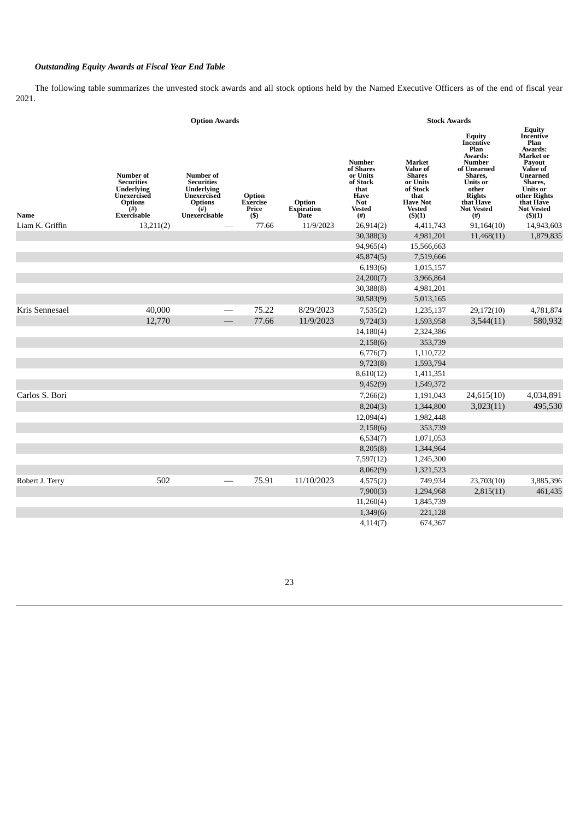# *Outstanding Equity Awards at Fiscal Year End Table*

The following table summarizes the unvested stock awards and all stock options held by the Named Executive Officers as of the end of fiscal year 2021.

|                 | <b>Option Awards</b>                                                                                                |                                                                                                                     |                                               |                                     | <b>Stock Awards</b>                                                                                                   |                                                                                                                                 |                                                                                                                                                                               |                                                                                                                                                                                               |
|-----------------|---------------------------------------------------------------------------------------------------------------------|---------------------------------------------------------------------------------------------------------------------|-----------------------------------------------|-------------------------------------|-----------------------------------------------------------------------------------------------------------------------|---------------------------------------------------------------------------------------------------------------------------------|-------------------------------------------------------------------------------------------------------------------------------------------------------------------------------|-----------------------------------------------------------------------------------------------------------------------------------------------------------------------------------------------|
| Name            | Number of<br><b>Securities</b><br><b>Underlying</b><br>Unexercised<br><b>Options</b><br>$\text{Exercisable}^{(\#)}$ | <b>Number of</b><br><b>Securities</b><br><b>Underlying</b><br>Unexercised<br><b>Options</b><br>(H)<br>Unexercisable | Option<br><b>Exercise</b><br>Price<br>$($ \$) | Option<br><b>Expiration</b><br>Date | <b>Number</b><br>of Shares<br>or Units<br>of Stock<br>that<br><b>Have</b><br><b>Not</b><br><b>Vested</b><br>$($ # $)$ | Market<br><b>Value of</b><br><b>Shares</b><br>or Units<br>of Stock<br>that<br><b>Have Not</b><br><b>Vested</b><br>$($ \$ $)(1)$ | Equity<br>Incentive<br>Plan<br>Awards:<br><b>Number</b><br>of Unearned<br>Shares,<br><b>Units or</b><br>other<br><b>Rights</b><br>that Have<br><b>Not Vested</b><br>$($ # $)$ | <b>Equity</b><br>Incentive<br>Plan<br>Awards:<br>Market or<br>Payout<br>Value of<br><b>Unearned</b><br>Shares,<br>Units or<br>other Rights<br>that Have<br><b>Not Vested</b><br>$($ \$ $)(1)$ |
| Liam K. Griffin | 13,211(2)                                                                                                           |                                                                                                                     | 77.66                                         | 11/9/2023                           | 26,914(2)                                                                                                             | 4,411,743                                                                                                                       | 91,164(10)                                                                                                                                                                    | 14,943,603                                                                                                                                                                                    |
|                 |                                                                                                                     |                                                                                                                     |                                               |                                     | 30,388(3)                                                                                                             | 4,981,201                                                                                                                       | 11,468(11)                                                                                                                                                                    | 1,879,835                                                                                                                                                                                     |
|                 |                                                                                                                     |                                                                                                                     |                                               |                                     | 94,965(4)                                                                                                             | 15,566,663                                                                                                                      |                                                                                                                                                                               |                                                                                                                                                                                               |
|                 |                                                                                                                     |                                                                                                                     |                                               |                                     | 45,874(5)                                                                                                             | 7,519,666                                                                                                                       |                                                                                                                                                                               |                                                                                                                                                                                               |
|                 |                                                                                                                     |                                                                                                                     |                                               |                                     | 6,193(6)                                                                                                              | 1,015,157                                                                                                                       |                                                                                                                                                                               |                                                                                                                                                                                               |
|                 |                                                                                                                     |                                                                                                                     |                                               |                                     | 24,200(7)                                                                                                             | 3,966,864                                                                                                                       |                                                                                                                                                                               |                                                                                                                                                                                               |
|                 |                                                                                                                     |                                                                                                                     |                                               |                                     | 30,388(8)                                                                                                             | 4,981,201                                                                                                                       |                                                                                                                                                                               |                                                                                                                                                                                               |
|                 |                                                                                                                     |                                                                                                                     |                                               |                                     | 30,583(9)                                                                                                             | 5,013,165                                                                                                                       |                                                                                                                                                                               |                                                                                                                                                                                               |
| Kris Sennesael  | 40,000                                                                                                              |                                                                                                                     | 75.22                                         | 8/29/2023                           | 7,535(2)                                                                                                              | 1,235,137                                                                                                                       | 29,172(10)                                                                                                                                                                    | 4,781,874                                                                                                                                                                                     |
|                 | 12,770                                                                                                              |                                                                                                                     | 77.66                                         | 11/9/2023                           | 9,724(3)                                                                                                              | 1,593,958                                                                                                                       | 3,544(11)                                                                                                                                                                     | 580,932                                                                                                                                                                                       |
|                 |                                                                                                                     |                                                                                                                     |                                               |                                     | 14,180(4)                                                                                                             | 2,324,386                                                                                                                       |                                                                                                                                                                               |                                                                                                                                                                                               |
|                 |                                                                                                                     |                                                                                                                     |                                               |                                     | 2,158(6)                                                                                                              | 353,739                                                                                                                         |                                                                                                                                                                               |                                                                                                                                                                                               |
|                 |                                                                                                                     |                                                                                                                     |                                               |                                     | 6,776(7)                                                                                                              | 1,110,722                                                                                                                       |                                                                                                                                                                               |                                                                                                                                                                                               |
|                 |                                                                                                                     |                                                                                                                     |                                               |                                     | 9,723(8)                                                                                                              | 1,593,794                                                                                                                       |                                                                                                                                                                               |                                                                                                                                                                                               |
|                 |                                                                                                                     |                                                                                                                     |                                               |                                     | 8,610(12)                                                                                                             | 1,411,351                                                                                                                       |                                                                                                                                                                               |                                                                                                                                                                                               |
|                 |                                                                                                                     |                                                                                                                     |                                               |                                     | 9,452(9)                                                                                                              | 1,549,372                                                                                                                       |                                                                                                                                                                               |                                                                                                                                                                                               |
| Carlos S. Bori  |                                                                                                                     |                                                                                                                     |                                               |                                     | 7,266(2)                                                                                                              | 1,191,043                                                                                                                       | 24,615(10)                                                                                                                                                                    | 4,034,891                                                                                                                                                                                     |
|                 |                                                                                                                     |                                                                                                                     |                                               |                                     | 8,204(3)                                                                                                              | 1,344,800                                                                                                                       | 3,023(11)                                                                                                                                                                     | 495,530                                                                                                                                                                                       |
|                 |                                                                                                                     |                                                                                                                     |                                               |                                     | 12,094(4)                                                                                                             | 1,982,448                                                                                                                       |                                                                                                                                                                               |                                                                                                                                                                                               |
|                 |                                                                                                                     |                                                                                                                     |                                               |                                     | 2,158(6)                                                                                                              | 353,739                                                                                                                         |                                                                                                                                                                               |                                                                                                                                                                                               |
|                 |                                                                                                                     |                                                                                                                     |                                               |                                     | 6,534(7)                                                                                                              | 1,071,053                                                                                                                       |                                                                                                                                                                               |                                                                                                                                                                                               |
|                 |                                                                                                                     |                                                                                                                     |                                               |                                     | 8,205(8)                                                                                                              | 1,344,964                                                                                                                       |                                                                                                                                                                               |                                                                                                                                                                                               |
|                 |                                                                                                                     |                                                                                                                     |                                               |                                     | 7,597(12)                                                                                                             | 1,245,300                                                                                                                       |                                                                                                                                                                               |                                                                                                                                                                                               |
|                 |                                                                                                                     |                                                                                                                     |                                               |                                     | 8,062(9)                                                                                                              | 1,321,523                                                                                                                       |                                                                                                                                                                               |                                                                                                                                                                                               |
| Robert J. Terry | 502                                                                                                                 |                                                                                                                     | 75.91                                         | 11/10/2023                          | 4,575(2)                                                                                                              | 749,934                                                                                                                         | 23,703(10)                                                                                                                                                                    | 3,885,396                                                                                                                                                                                     |
|                 |                                                                                                                     |                                                                                                                     |                                               |                                     | 7,900(3)                                                                                                              | 1,294,968                                                                                                                       | 2,815(11)                                                                                                                                                                     | 461,435                                                                                                                                                                                       |
|                 |                                                                                                                     |                                                                                                                     |                                               |                                     | 11,260(4)                                                                                                             | 1,845,739                                                                                                                       |                                                                                                                                                                               |                                                                                                                                                                                               |
|                 |                                                                                                                     |                                                                                                                     |                                               |                                     | 1,349(6)                                                                                                              | 221,128                                                                                                                         |                                                                                                                                                                               |                                                                                                                                                                                               |
|                 |                                                                                                                     |                                                                                                                     |                                               |                                     | 4,114(7)                                                                                                              | 674,367                                                                                                                         |                                                                                                                                                                               |                                                                                                                                                                                               |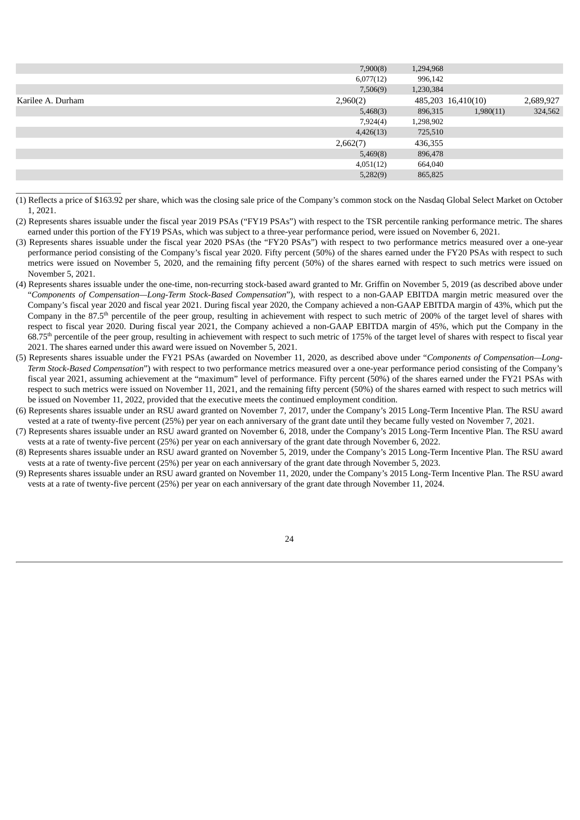|                   | 7,900(8)  | 1,294,968 |                    |           |
|-------------------|-----------|-----------|--------------------|-----------|
|                   | 6,077(12) | 996,142   |                    |           |
|                   | 7,506(9)  | 1,230,384 |                    |           |
| Karilee A. Durham | 2,960(2)  |           | 485,203 16,410(10) | 2,689,927 |
|                   | 5,468(3)  | 896,315   | 1,980(11)          | 324,562   |
|                   | 7,924(4)  | 1,298,902 |                    |           |
|                   | 4,426(13) | 725,510   |                    |           |
|                   | 2,662(7)  | 436,355   |                    |           |
|                   | 5,469(8)  | 896,478   |                    |           |
|                   | 4,051(12) | 664,040   |                    |           |
|                   | 5,282(9)  | 865,825   |                    |           |
|                   |           |           |                    |           |

(1) Reflects a price of \$163.92 per share, which was the closing sale price of the Company's common stock on the Nasdaq Global Select Market on October 1, 2021.

 $\_$ 

- (3) Represents shares issuable under the fiscal year 2020 PSAs (the "FY20 PSAs") with respect to two performance metrics measured over a one-year performance period consisting of the Company's fiscal year 2020. Fifty percent (50%) of the shares earned under the FY20 PSAs with respect to such metrics were issued on November 5, 2020, and the remaining fifty percent (50%) of the shares earned with respect to such metrics were issued on November 5, 2021.
- (4) Represents shares issuable under the one-time, non-recurring stock-based award granted to Mr. Griffin on November 5, 2019 (as described above under "*Components of Compensation—Long-Term Stock-Based Compensation*"), with respect to a non-GAAP EBITDA margin metric measured over the Company's fiscal year 2020 and fiscal year 2021. During fiscal year 2020, the Company achieved a non-GAAP EBITDA margin of 43%, which put the Company in the 87.5<sup>th</sup> percentile of the peer group, resulting in achievement with respect to such metric of 200% of the target level of shares with respect to fiscal year 2020. During fiscal year 2021, the Company achieved a non-GAAP EBITDA margin of 45%, which put the Company in the 68.75<sup>th</sup> percentile of the peer group, resulting in achievement with respect to such metric of 175% of the target level of shares with respect to fiscal year 2021. The shares earned under this award were issued on November 5, 2021.
- (5) Represents shares issuable under the FY21 PSAs (awarded on November 11, 2020, as described above under "*Components of Compensation—Long-Term Stock-Based Compensation*") with respect to two performance metrics measured over a one-year performance period consisting of the Company's fiscal year 2021, assuming achievement at the "maximum" level of performance. Fifty percent (50%) of the shares earned under the FY21 PSAs with respect to such metrics were issued on November 11, 2021, and the remaining fifty percent (50%) of the shares earned with respect to such metrics will be issued on November 11, 2022, provided that the executive meets the continued employment condition.
- (6) Represents shares issuable under an RSU award granted on November 7, 2017, under the Company's 2015 Long-Term Incentive Plan. The RSU award vested at a rate of twenty-five percent (25%) per year on each anniversary of the grant date until they became fully vested on November 7, 2021.
- (7) Represents shares issuable under an RSU award granted on November 6, 2018, under the Company's 2015 Long-Term Incentive Plan. The RSU award vests at a rate of twenty-five percent (25%) per year on each anniversary of the grant date through November 6, 2022.
- (8) Represents shares issuable under an RSU award granted on November 5, 2019, under the Company's 2015 Long-Term Incentive Plan. The RSU award vests at a rate of twenty-five percent (25%) per year on each anniversary of the grant date through November 5, 2023.
- (9) Represents shares issuable under an RSU award granted on November 11, 2020, under the Company's 2015 Long-Term Incentive Plan. The RSU award vests at a rate of twenty-five percent (25%) per year on each anniversary of the grant date through November 11, 2024.

<sup>(2)</sup> Represents shares issuable under the fiscal year 2019 PSAs ("FY19 PSAs") with respect to the TSR percentile ranking performance metric. The shares earned under this portion of the FY19 PSAs, which was subject to a three-year performance period, were issued on November 6, 2021.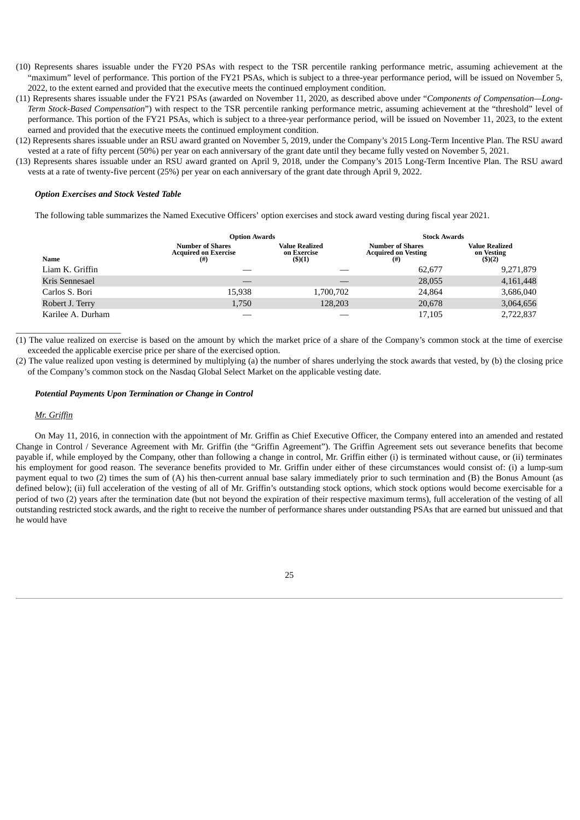- (10) Represents shares issuable under the FY20 PSAs with respect to the TSR percentile ranking performance metric, assuming achievement at the "maximum" level of performance. This portion of the FY21 PSAs, which is subject to a three-year performance period, will be issued on November 5, 2022, to the extent earned and provided that the executive meets the continued employment condition.
- (11) Represents shares issuable under the FY21 PSAs (awarded on November 11, 2020, as described above under "*Components of Compensation—Long-Term Stock-Based Compensation*") with respect to the TSR percentile ranking performance metric, assuming achievement at the "threshold" level of performance. This portion of the FY21 PSAs, which is subject to a three-year performance period, will be issued on November 11, 2023, to the extent earned and provided that the executive meets the continued employment condition.
- (12) Represents shares issuable under an RSU award granted on November 5, 2019, under the Company's 2015 Long-Term Incentive Plan. The RSU award vested at a rate of fifty percent (50%) per year on each anniversary of the grant date until they became fully vested on November 5, 2021.
- (13) Represents shares issuable under an RSU award granted on April 9, 2018, under the Company's 2015 Long-Term Incentive Plan. The RSU award vests at a rate of twenty-five percent (25%) per year on each anniversary of the grant date through April 9, 2022.

#### *Option Exercises and Stock Vested Table*

The following table summarizes the Named Executive Officers' option exercises and stock award vesting during fiscal year 2021.

|                   | <b>Option Awards</b>                                               |                                                | <b>Stock Awards</b>                                               |                                        |  |
|-------------------|--------------------------------------------------------------------|------------------------------------------------|-------------------------------------------------------------------|----------------------------------------|--|
| Name              | <b>Number of Shares</b><br><b>Acquired on Exercise</b><br>$^{(#)}$ | Value Realized<br>on Exercise<br>$($ \$ $)(1)$ | <b>Number of Shares</b><br><b>Acquired on Vesting</b><br>$^{(#)}$ | Value Realized<br>on Vesting<br>(5)(2) |  |
| Liam K. Griffin   |                                                                    |                                                | 62.677                                                            | 9,271,879                              |  |
| Kris Sennesael    |                                                                    |                                                | 28,055                                                            | 4,161,448                              |  |
| Carlos S. Bori    | 15.938                                                             | 1,700,702                                      | 24.864                                                            | 3,686,040                              |  |
| Robert J. Terry   | 1,750                                                              | 128,203                                        | 20,678                                                            | 3,064,656                              |  |
| Karilee A. Durham |                                                                    |                                                | 17,105                                                            | 2,722,837                              |  |

(1) The value realized on exercise is based on the amount by which the market price of a share of the Company's common stock at the time of exercise exceeded the applicable exercise price per share of the exercised option.

(2) The value realized upon vesting is determined by multiplying (a) the number of shares underlying the stock awards that vested, by (b) the closing price of the Company's common stock on the Nasdaq Global Select Market on the applicable vesting date.

#### *Potential Payments Upon Termination or Change in Control*

#### *Mr. Griffin*

 $\_$ 

On May 11, 2016, in connection with the appointment of Mr. Griffin as Chief Executive Officer, the Company entered into an amended and restated Change in Control / Severance Agreement with Mr. Griffin (the "Griffin Agreement"). The Griffin Agreement sets out severance benefits that become payable if, while employed by the Company, other than following a change in control, Mr. Griffin either (i) is terminated without cause, or (ii) terminates his employment for good reason. The severance benefits provided to Mr. Griffin under either of these circumstances would consist of: (i) a lump-sum payment equal to two (2) times the sum of (A) his then-current annual base salary immediately prior to such termination and (B) the Bonus Amount (as defined below); (ii) full acceleration of the vesting of all of Mr. Griffin's outstanding stock options, which stock options would become exercisable for a period of two (2) years after the termination date (but not beyond the expiration of their respective maximum terms), full acceleration of the vesting of all outstanding restricted stock awards, and the right to receive the number of performance shares under outstanding PSAs that are earned but unissued and that he would have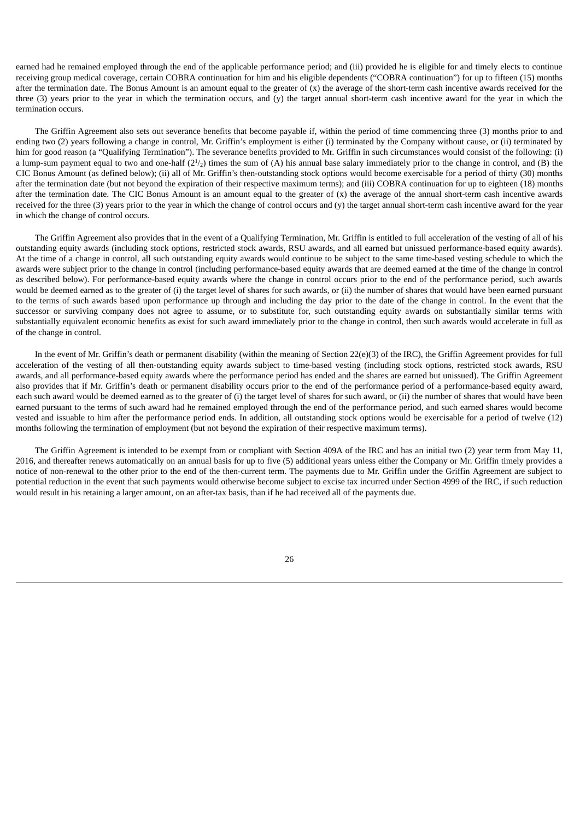earned had he remained employed through the end of the applicable performance period; and (iii) provided he is eligible for and timely elects to continue receiving group medical coverage, certain COBRA continuation for him and his eligible dependents ("COBRA continuation") for up to fifteen (15) months after the termination date. The Bonus Amount is an amount equal to the greater of  $(x)$  the average of the short-term cash incentive awards received for the three (3) years prior to the year in which the termination occurs, and (y) the target annual short-term cash incentive award for the year in which the termination occurs.

The Griffin Agreement also sets out severance benefits that become payable if, within the period of time commencing three (3) months prior to and ending two (2) years following a change in control, Mr. Griffin's employment is either (i) terminated by the Company without cause, or (ii) terminated by him for good reason (a "Qualifying Termination"). The severance benefits provided to Mr. Griffin in such circumstances would consist of the following: (i) a lump-sum payment equal to two and one-half  $(2<sup>1</sup>/<sub>2</sub>)$  times the sum of (A) his annual base salary immediately prior to the change in control, and (B) the CIC Bonus Amount (as defined below); (ii) all of Mr. Griffin's then-outstanding stock options would become exercisable for a period of thirty (30) months after the termination date (but not beyond the expiration of their respective maximum terms); and (iii) COBRA continuation for up to eighteen (18) months after the termination date. The CIC Bonus Amount is an amount equal to the greater of  $(x)$  the average of the annual short-term cash incentive awards received for the three  $(3)$  years prior to the year in which the change of control occurs and  $(y)$  the target annual short-term cash incentive award for the year in which the change of control occurs.

The Griffin Agreement also provides that in the event of a Qualifying Termination, Mr. Griffin is entitled to full acceleration of the vesting of all of his outstanding equity awards (including stock options, restricted stock awards, RSU awards, and all earned but unissued performance-based equity awards). At the time of a change in control, all such outstanding equity awards would continue to be subject to the same time-based vesting schedule to which the awards were subject prior to the change in control (including performance-based equity awards that are deemed earned at the time of the change in control as described below). For performance-based equity awards where the change in control occurs prior to the end of the performance period, such awards would be deemed earned as to the greater of (i) the target level of shares for such awards, or (ii) the number of shares that would have been earned pursuant to the terms of such awards based upon performance up through and including the day prior to the date of the change in control. In the event that the successor or surviving company does not agree to assume, or to substitute for, such outstanding equity awards on substantially similar terms with substantially equivalent economic benefits as exist for such award immediately prior to the change in control, then such awards would accelerate in full as of the change in control.

In the event of Mr. Griffin's death or permanent disability (within the meaning of Section 22(e)(3) of the IRC), the Griffin Agreement provides for full acceleration of the vesting of all then-outstanding equity awards subject to time-based vesting (including stock options, restricted stock awards, RSU awards, and all performance-based equity awards where the performance period has ended and the shares are earned but unissued). The Griffin Agreement also provides that if Mr. Griffin's death or permanent disability occurs prior to the end of the performance period of a performance-based equity award, each such award would be deemed earned as to the greater of (i) the target level of shares for such award, or (ii) the number of shares that would have been earned pursuant to the terms of such award had he remained employed through the end of the performance period, and such earned shares would become vested and issuable to him after the performance period ends. In addition, all outstanding stock options would be exercisable for a period of twelve (12) months following the termination of employment (but not beyond the expiration of their respective maximum terms).

The Griffin Agreement is intended to be exempt from or compliant with Section 409A of the IRC and has an initial two (2) year term from May 11, 2016, and thereafter renews automatically on an annual basis for up to five (5) additional years unless either the Company or Mr. Griffin timely provides a notice of non-renewal to the other prior to the end of the then-current term. The payments due to Mr. Griffin under the Griffin Agreement are subject to potential reduction in the event that such payments would otherwise become subject to excise tax incurred under Section 4999 of the IRC, if such reduction would result in his retaining a larger amount, on an after-tax basis, than if he had received all of the payments due.

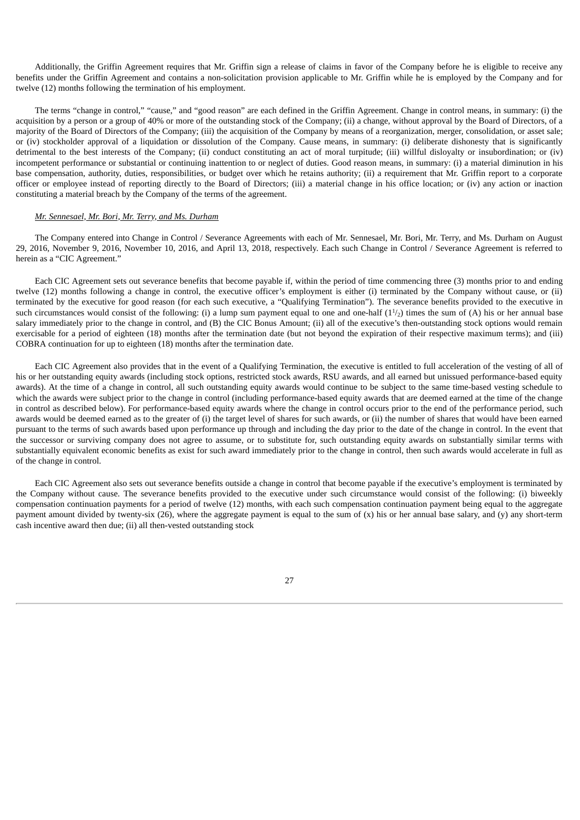Additionally, the Griffin Agreement requires that Mr. Griffin sign a release of claims in favor of the Company before he is eligible to receive any benefits under the Griffin Agreement and contains a non-solicitation provision applicable to Mr. Griffin while he is employed by the Company and for twelve (12) months following the termination of his employment.

The terms "change in control," "cause," and "good reason" are each defined in the Griffin Agreement. Change in control means, in summary: (i) the acquisition by a person or a group of 40% or more of the outstanding stock of the Company; (ii) a change, without approval by the Board of Directors, of a majority of the Board of Directors of the Company; (iii) the acquisition of the Company by means of a reorganization, merger, consolidation, or asset sale; or (iv) stockholder approval of a liquidation or dissolution of the Company. Cause means, in summary: (i) deliberate dishonesty that is significantly detrimental to the best interests of the Company; (ii) conduct constituting an act of moral turpitude; (iii) willful disloyalty or insubordination; or (iv) incompetent performance or substantial or continuing inattention to or neglect of duties. Good reason means, in summary: (i) a material diminution in his base compensation, authority, duties, responsibilities, or budget over which he retains authority; (ii) a requirement that Mr. Griffin report to a corporate officer or employee instead of reporting directly to the Board of Directors; (iii) a material change in his office location; or (iv) any action or inaction constituting a material breach by the Company of the terms of the agreement.

#### *Mr. Sennesael, Mr. Bori, Mr. Terry, and Ms. Durham*

The Company entered into Change in Control / Severance Agreements with each of Mr. Sennesael, Mr. Bori, Mr. Terry, and Ms. Durham on August 29, 2016, November 9, 2016, November 10, 2016, and April 13, 2018, respectively. Each such Change in Control / Severance Agreement is referred to herein as a "CIC Agreement."

Each CIC Agreement sets out severance benefits that become payable if, within the period of time commencing three (3) months prior to and ending twelve (12) months following a change in control, the executive officer's employment is either (i) terminated by the Company without cause, or (ii) terminated by the executive for good reason (for each such executive, a "Qualifying Termination"). The severance benefits provided to the executive in such circumstances would consist of the following: (i) a lump sum payment equal to one and one-half  $(1<sup>1</sup>/<sub>2</sub>)$  times the sum of  $(A)$  his or her annual base salary immediately prior to the change in control, and (B) the CIC Bonus Amount; (ii) all of the executive's then-outstanding stock options would remain exercisable for a period of eighteen (18) months after the termination date (but not beyond the expiration of their respective maximum terms); and (iii) COBRA continuation for up to eighteen (18) months after the termination date.

Each CIC Agreement also provides that in the event of a Qualifying Termination, the executive is entitled to full acceleration of the vesting of all of his or her outstanding equity awards (including stock options, restricted stock awards, RSU awards, and all earned but unissued performance-based equity awards). At the time of a change in control, all such outstanding equity awards would continue to be subject to the same time-based vesting schedule to which the awards were subject prior to the change in control (including performance-based equity awards that are deemed earned at the time of the change in control as described below). For performance-based equity awards where the change in control occurs prior to the end of the performance period, such awards would be deemed earned as to the greater of (i) the target level of shares for such awards, or (ii) the number of shares that would have been earned pursuant to the terms of such awards based upon performance up through and including the day prior to the date of the change in control. In the event that the successor or surviving company does not agree to assume, or to substitute for, such outstanding equity awards on substantially similar terms with substantially equivalent economic benefits as exist for such award immediately prior to the change in control, then such awards would accelerate in full as of the change in control.

Each CIC Agreement also sets out severance benefits outside a change in control that become payable if the executive's employment is terminated by the Company without cause. The severance benefits provided to the executive under such circumstance would consist of the following: (i) biweekly compensation continuation payments for a period of twelve (12) months, with each such compensation continuation payment being equal to the aggregate payment amount divided by twenty-six (26), where the aggregate payment is equal to the sum of  $(x)$  his or her annual base salary, and  $(y)$  any short-term cash incentive award then due; (ii) all then-vested outstanding stock

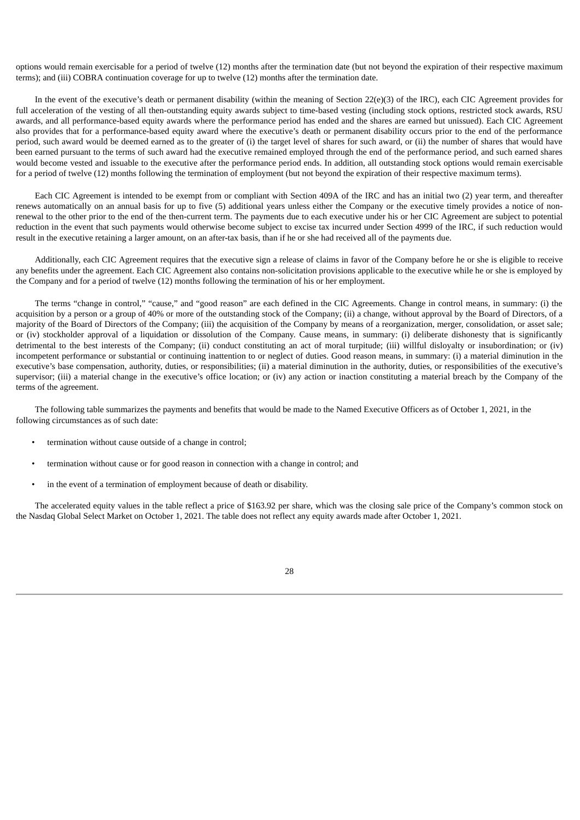options would remain exercisable for a period of twelve (12) months after the termination date (but not beyond the expiration of their respective maximum terms); and (iii) COBRA continuation coverage for up to twelve (12) months after the termination date.

In the event of the executive's death or permanent disability (within the meaning of Section 22(e)(3) of the IRC), each CIC Agreement provides for full acceleration of the vesting of all then-outstanding equity awards subject to time-based vesting (including stock options, restricted stock awards, RSU awards, and all performance-based equity awards where the performance period has ended and the shares are earned but unissued). Each CIC Agreement also provides that for a performance-based equity award where the executive's death or permanent disability occurs prior to the end of the performance period, such award would be deemed earned as to the greater of (i) the target level of shares for such award, or (ii) the number of shares that would have been earned pursuant to the terms of such award had the executive remained employed through the end of the performance period, and such earned shares would become vested and issuable to the executive after the performance period ends. In addition, all outstanding stock options would remain exercisable for a period of twelve (12) months following the termination of employment (but not beyond the expiration of their respective maximum terms).

Each CIC Agreement is intended to be exempt from or compliant with Section 409A of the IRC and has an initial two (2) year term, and thereafter renews automatically on an annual basis for up to five (5) additional years unless either the Company or the executive timely provides a notice of nonrenewal to the other prior to the end of the then-current term. The payments due to each executive under his or her CIC Agreement are subject to potential reduction in the event that such payments would otherwise become subject to excise tax incurred under Section 4999 of the IRC, if such reduction would result in the executive retaining a larger amount, on an after-tax basis, than if he or she had received all of the payments due.

Additionally, each CIC Agreement requires that the executive sign a release of claims in favor of the Company before he or she is eligible to receive any benefits under the agreement. Each CIC Agreement also contains non-solicitation provisions applicable to the executive while he or she is employed by the Company and for a period of twelve (12) months following the termination of his or her employment.

The terms "change in control," "cause," and "good reason" are each defined in the CIC Agreements. Change in control means, in summary: (i) the acquisition by a person or a group of 40% or more of the outstanding stock of the Company; (ii) a change, without approval by the Board of Directors, of a majority of the Board of Directors of the Company; (iii) the acquisition of the Company by means of a reorganization, merger, consolidation, or asset sale; or (iv) stockholder approval of a liquidation or dissolution of the Company. Cause means, in summary: (i) deliberate dishonesty that is significantly detrimental to the best interests of the Company; (ii) conduct constituting an act of moral turpitude; (iii) willful disloyalty or insubordination; or (iv) incompetent performance or substantial or continuing inattention to or neglect of duties. Good reason means, in summary: (i) a material diminution in the executive's base compensation, authority, duties, or responsibilities; (ii) a material diminution in the authority, duties, or responsibilities of the executive's supervisor; (iii) a material change in the executive's office location; or (iv) any action or inaction constituting a material breach by the Company of the terms of the agreement.

The following table summarizes the payments and benefits that would be made to the Named Executive Officers as of October 1, 2021, in the following circumstances as of such date:

- termination without cause outside of a change in control;
- termination without cause or for good reason in connection with a change in control; and
- in the event of a termination of employment because of death or disability.

The accelerated equity values in the table reflect a price of \$163.92 per share, which was the closing sale price of the Company's common stock on the Nasdaq Global Select Market on October 1, 2021. The table does not reflect any equity awards made after October 1, 2021.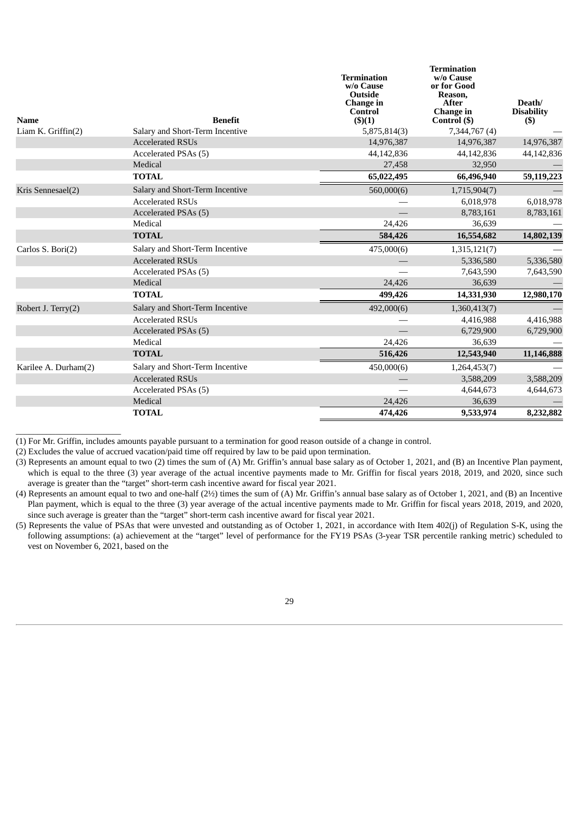| <b>Name</b>          | <b>Benefit</b>                  | <b>Termination</b><br>w/o Cause<br><b>Outside</b><br><b>Change in</b><br>Control<br>(3)(1) | TELTIINIAUON<br>w/o Cause<br>or for Good<br>Reason,<br><b>After</b><br>Change in<br>Control (\$) | Death/<br><b>Disability</b><br>$(\$)$ |
|----------------------|---------------------------------|--------------------------------------------------------------------------------------------|--------------------------------------------------------------------------------------------------|---------------------------------------|
| Liam K. Griffin(2)   | Salary and Short-Term Incentive | 5,875,814(3)                                                                               | 7,344,767(4)                                                                                     |                                       |
|                      | <b>Accelerated RSUs</b>         | 14,976,387                                                                                 | 14,976,387                                                                                       | 14,976,387                            |
|                      | Accelerated PSAs (5)            | 44,142,836                                                                                 | 44,142,836                                                                                       | 44,142,836                            |
|                      | Medical                         | 27,458                                                                                     | 32,950                                                                                           |                                       |
|                      | <b>TOTAL</b>                    | 65,022,495                                                                                 | 66,496,940                                                                                       | 59,119,223                            |
| Kris Sennesael(2)    | Salary and Short-Term Incentive | 560,000(6)                                                                                 | 1,715,904(7)                                                                                     |                                       |
|                      | <b>Accelerated RSUs</b>         |                                                                                            | 6,018,978                                                                                        | 6,018,978                             |
|                      | Accelerated PSAs (5)            |                                                                                            | 8,783,161                                                                                        | 8,783,161                             |
|                      | Medical                         | 24,426                                                                                     | 36,639                                                                                           |                                       |
|                      | <b>TOTAL</b>                    | 584,426                                                                                    | 16,554,682                                                                                       | 14,802,139                            |
| Carlos S. Bori(2)    | Salary and Short-Term Incentive | 475,000(6)                                                                                 | 1,315,121(7)                                                                                     |                                       |
|                      | <b>Accelerated RSUs</b>         |                                                                                            | 5,336,580                                                                                        | 5,336,580                             |
|                      | Accelerated PSAs (5)            |                                                                                            | 7,643,590                                                                                        | 7,643,590                             |
|                      | Medical                         | 24,426                                                                                     | 36,639                                                                                           |                                       |
|                      | <b>TOTAL</b>                    | 499,426                                                                                    | 14,331,930                                                                                       | 12,980,170                            |
| Robert J. Terry(2)   | Salary and Short-Term Incentive | 492,000(6)                                                                                 | 1,360,413(7)                                                                                     |                                       |
|                      | <b>Accelerated RSUs</b>         |                                                                                            | 4,416,988                                                                                        | 4,416,988                             |
|                      | Accelerated PSAs (5)            |                                                                                            | 6,729,900                                                                                        | 6,729,900                             |
|                      | Medical                         | 24,426                                                                                     | 36,639                                                                                           |                                       |
|                      | <b>TOTAL</b>                    | 516,426                                                                                    | 12,543,940                                                                                       | 11,146,888                            |
| Karilee A. Durham(2) | Salary and Short-Term Incentive | 450,000(6)                                                                                 | 1,264,453(7)                                                                                     |                                       |
|                      | <b>Accelerated RSUs</b>         |                                                                                            | 3,588,209                                                                                        | 3,588,209                             |
|                      | Accelerated PSAs (5)            |                                                                                            | 4,644,673                                                                                        | 4,644,673                             |
|                      | Medical                         | 24,426                                                                                     | 36,639                                                                                           |                                       |
|                      | <b>TOTAL</b>                    | 474,426                                                                                    | 9,533,974                                                                                        | 8,232,882                             |
|                      |                                 |                                                                                            |                                                                                                  |                                       |

**Termination**

(1) For Mr. Griffin, includes amounts payable pursuant to a termination for good reason outside of a change in control.

(2) Excludes the value of accrued vacation/paid time off required by law to be paid upon termination.

 $\_$ 

(3) Represents an amount equal to two (2) times the sum of (A) Mr. Griffin's annual base salary as of October 1, 2021, and (B) an Incentive Plan payment, which is equal to the three (3) year average of the actual incentive payments made to Mr. Griffin for fiscal years 2018, 2019, and 2020, since such average is greater than the "target" short-term cash incentive award for fiscal year 2021.

(4) Represents an amount equal to two and one-half (2½) times the sum of (A) Mr. Griffin's annual base salary as of October 1, 2021, and (B) an Incentive Plan payment, which is equal to the three (3) year average of the actual incentive payments made to Mr. Griffin for fiscal years 2018, 2019, and 2020, since such average is greater than the "target" short-term cash incentive award for fiscal year 2021.

(5) Represents the value of PSAs that were unvested and outstanding as of October 1, 2021, in accordance with Item 402(j) of Regulation S-K, using the following assumptions: (a) achievement at the "target" level of performance for the FY19 PSAs (3-year TSR percentile ranking metric) scheduled to vest on November 6, 2021, based on the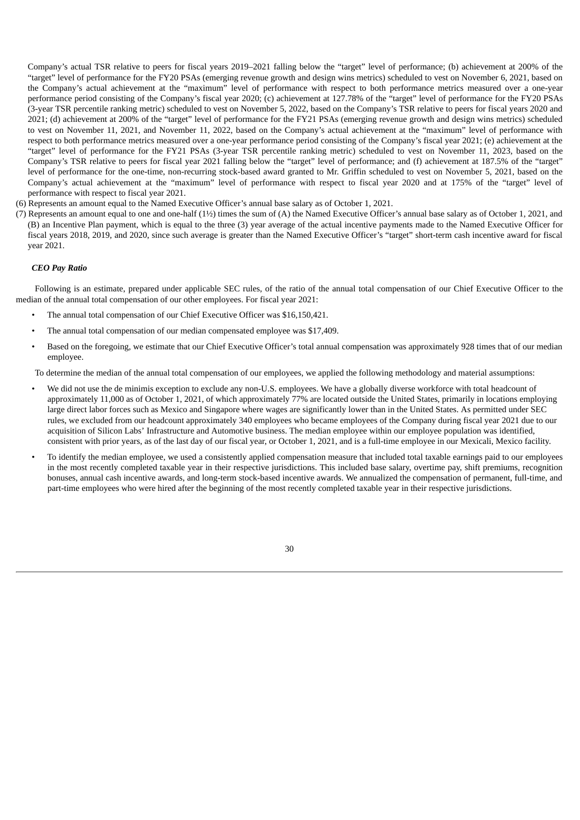Company's actual TSR relative to peers for fiscal years 2019–2021 falling below the "target" level of performance; (b) achievement at 200% of the "target" level of performance for the FY20 PSAs (emerging revenue growth and design wins metrics) scheduled to vest on November 6, 2021, based on the Company's actual achievement at the "maximum" level of performance with respect to both performance metrics measured over a one-year performance period consisting of the Company's fiscal year 2020; (c) achievement at 127.78% of the "target" level of performance for the FY20 PSAs (3-year TSR percentile ranking metric) scheduled to vest on November 5, 2022, based on the Company's TSR relative to peers for fiscal years 2020 and 2021; (d) achievement at 200% of the "target" level of performance for the FY21 PSAs (emerging revenue growth and design wins metrics) scheduled to vest on November 11, 2021, and November 11, 2022, based on the Company's actual achievement at the "maximum" level of performance with respect to both performance metrics measured over a one-year performance period consisting of the Company's fiscal year 2021; (e) achievement at the "target" level of performance for the FY21 PSAs (3-year TSR percentile ranking metric) scheduled to vest on November 11, 2023, based on the Company's TSR relative to peers for fiscal year 2021 falling below the "target" level of performance; and (f) achievement at 187.5% of the "target" level of performance for the one-time, non-recurring stock-based award granted to Mr. Griffin scheduled to vest on November 5, 2021, based on the Company's actual achievement at the "maximum" level of performance with respect to fiscal year 2020 and at 175% of the "target" level of performance with respect to fiscal year 2021.

(6) Represents an amount equal to the Named Executive Officer's annual base salary as of October 1, 2021.

(7) Represents an amount equal to one and one-half (1½) times the sum of (A) the Named Executive Officer's annual base salary as of October 1, 2021, and (B) an Incentive Plan payment, which is equal to the three (3) year average of the actual incentive payments made to the Named Executive Officer for fiscal years 2018, 2019, and 2020, since such average is greater than the Named Executive Officer's "target" short-term cash incentive award for fiscal year 2021.

#### *CEO Pay Ratio*

Following is an estimate, prepared under applicable SEC rules, of the ratio of the annual total compensation of our Chief Executive Officer to the median of the annual total compensation of our other employees. For fiscal year 2021:

- The annual total compensation of our Chief Executive Officer was \$16,150,421.
- The annual total compensation of our median compensated employee was \$17,409.
- Based on the foregoing, we estimate that our Chief Executive Officer's total annual compensation was approximately 928 times that of our median employee.

To determine the median of the annual total compensation of our employees, we applied the following methodology and material assumptions:

- We did not use the de minimis exception to exclude any non-U.S. employees. We have a globally diverse workforce with total headcount of approximately 11,000 as of October 1, 2021, of which approximately 77% are located outside the United States, primarily in locations employing large direct labor forces such as Mexico and Singapore where wages are significantly lower than in the United States. As permitted under SEC rules, we excluded from our headcount approximately 340 employees who became employees of the Company during fiscal year 2021 due to our acquisition of Silicon Labs' Infrastructure and Automotive business. The median employee within our employee population was identified, consistent with prior years, as of the last day of our fiscal year, or October 1, 2021, and is a full-time employee in our Mexicali, Mexico facility.
- To identify the median employee, we used a consistently applied compensation measure that included total taxable earnings paid to our employees in the most recently completed taxable year in their respective jurisdictions. This included base salary, overtime pay, shift premiums, recognition bonuses, annual cash incentive awards, and long-term stock-based incentive awards. We annualized the compensation of permanent, full-time, and part-time employees who were hired after the beginning of the most recently completed taxable year in their respective jurisdictions.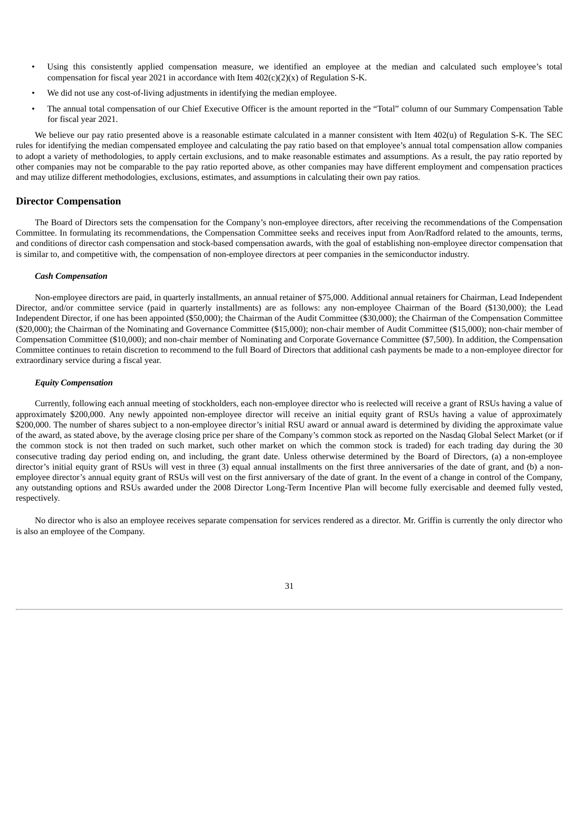- Using this consistently applied compensation measure, we identified an employee at the median and calculated such employee's total compensation for fiscal year 2021 in accordance with Item 402(c)(2)(x) of Regulation S-K.
- We did not use any cost-of-living adjustments in identifying the median employee.
- The annual total compensation of our Chief Executive Officer is the amount reported in the "Total" column of our Summary Compensation Table for fiscal year 2021.

We believe our pay ratio presented above is a reasonable estimate calculated in a manner consistent with Item 402(u) of Regulation S-K. The SEC rules for identifying the median compensated employee and calculating the pay ratio based on that employee's annual total compensation allow companies to adopt a variety of methodologies, to apply certain exclusions, and to make reasonable estimates and assumptions. As a result, the pay ratio reported by other companies may not be comparable to the pay ratio reported above, as other companies may have different employment and compensation practices and may utilize different methodologies, exclusions, estimates, and assumptions in calculating their own pay ratios.

#### **Director Compensation**

The Board of Directors sets the compensation for the Company's non-employee directors, after receiving the recommendations of the Compensation Committee. In formulating its recommendations, the Compensation Committee seeks and receives input from Aon/Radford related to the amounts, terms, and conditions of director cash compensation and stock-based compensation awards, with the goal of establishing non-employee director compensation that is similar to, and competitive with, the compensation of non-employee directors at peer companies in the semiconductor industry.

#### *Cash Compensation*

Non-employee directors are paid, in quarterly installments, an annual retainer of \$75,000. Additional annual retainers for Chairman, Lead Independent Director, and/or committee service (paid in quarterly installments) are as follows: any non-employee Chairman of the Board (\$130,000); the Lead Independent Director, if one has been appointed (\$50,000); the Chairman of the Audit Committee (\$30,000); the Chairman of the Compensation Committee (\$20,000); the Chairman of the Nominating and Governance Committee (\$15,000); non-chair member of Audit Committee (\$15,000); non-chair member of Compensation Committee (\$10,000); and non-chair member of Nominating and Corporate Governance Committee (\$7,500). In addition, the Compensation Committee continues to retain discretion to recommend to the full Board of Directors that additional cash payments be made to a non-employee director for extraordinary service during a fiscal year.

#### *Equity Compensation*

Currently, following each annual meeting of stockholders, each non-employee director who is reelected will receive a grant of RSUs having a value of approximately \$200,000. Any newly appointed non-employee director will receive an initial equity grant of RSUs having a value of approximately \$200,000. The number of shares subject to a non-employee director's initial RSU award or annual award is determined by dividing the approximate value of the award, as stated above, by the average closing price per share of the Company's common stock as reported on the Nasdaq Global Select Market (or if the common stock is not then traded on such market, such other market on which the common stock is traded) for each trading day during the 30 consecutive trading day period ending on, and including, the grant date. Unless otherwise determined by the Board of Directors, (a) a non-employee director's initial equity grant of RSUs will vest in three (3) equal annual installments on the first three anniversaries of the date of grant, and (b) a nonemployee director's annual equity grant of RSUs will vest on the first anniversary of the date of grant. In the event of a change in control of the Company, any outstanding options and RSUs awarded under the 2008 Director Long-Term Incentive Plan will become fully exercisable and deemed fully vested, respectively.

No director who is also an employee receives separate compensation for services rendered as a director. Mr. Griffin is currently the only director who is also an employee of the Company.

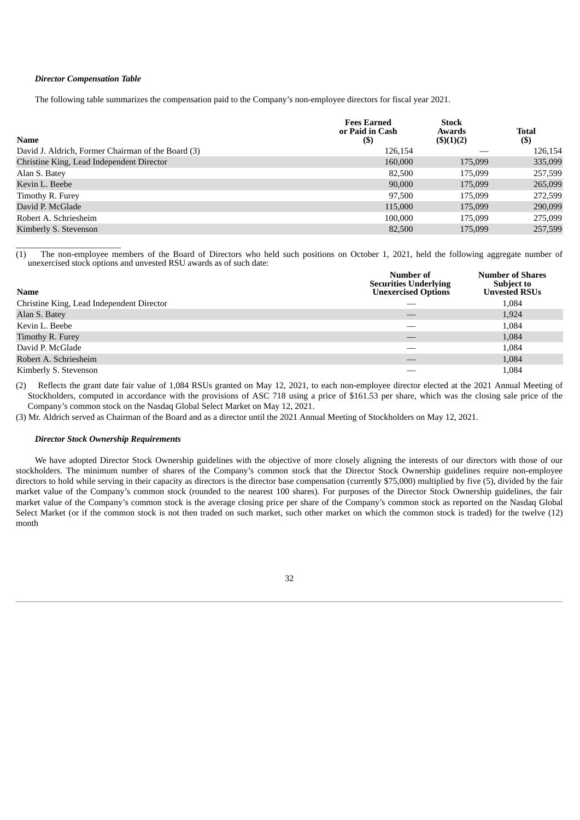#### *Director Compensation Table*

 $\_$ 

The following table summarizes the compensation paid to the Company's non-employee directors for fiscal year 2021.

| <b>Name</b>                                        | <b>Fees Earned</b><br>or Paid in Cash<br>(S) | <b>Stock</b><br>Awards<br>$($ (\$)(1)(2) | Total<br>$(\$)$ |
|----------------------------------------------------|----------------------------------------------|------------------------------------------|-----------------|
| David J. Aldrich, Former Chairman of the Board (3) | 126,154                                      |                                          | 126,154         |
| Christine King, Lead Independent Director          | 160,000                                      | 175,099                                  | 335,099         |
| Alan S. Batey                                      | 82,500                                       | 175,099                                  | 257,599         |
| Kevin L. Beebe                                     | 90,000                                       | 175,099                                  | 265,099         |
| Timothy R. Furey                                   | 97.500                                       | 175,099                                  | 272,599         |
| David P. McGlade                                   | 115,000                                      | 175,099                                  | 290,099         |
| Robert A. Schriesheim                              | 100,000                                      | 175,099                                  | 275,099         |
| Kimberly S. Stevenson                              | 82,500                                       | 175,099                                  | 257,599         |

(1) The non-employee members of the Board of Directors who held such positions on October 1, 2021, held the following aggregate number of unexercised stock options and unvested RSU awards as of such date:

| <b>Name</b>                               | Number of<br><b>Securities Underlying</b><br><b>Unexercised Options</b> | <b>Number of Shares</b><br><b>Subject to</b><br><b>Unvested RSUs</b> |
|-------------------------------------------|-------------------------------------------------------------------------|----------------------------------------------------------------------|
| Christine King, Lead Independent Director |                                                                         | 1,084                                                                |
| Alan S. Batey                             |                                                                         | 1,924                                                                |
| Kevin L. Beebe                            |                                                                         | 1,084                                                                |
| Timothy R. Furey                          |                                                                         | 1,084                                                                |
| David P. McGlade                          |                                                                         | 1,084                                                                |
| Robert A. Schriesheim                     |                                                                         | 1,084                                                                |
| Kimberly S. Stevenson                     |                                                                         | 1,084                                                                |

(2) Reflects the grant date fair value of 1,084 RSUs granted on May 12, 2021, to each non-employee director elected at the 2021 Annual Meeting of Stockholders, computed in accordance with the provisions of ASC 718 using a price of \$161.53 per share, which was the closing sale price of the Company's common stock on the Nasdaq Global Select Market on May 12, 2021.

(3) Mr. Aldrich served as Chairman of the Board and as a director until the 2021 Annual Meeting of Stockholders on May 12, 2021.

#### *Director Stock Ownership Requirements*

We have adopted Director Stock Ownership guidelines with the objective of more closely aligning the interests of our directors with those of our stockholders. The minimum number of shares of the Company's common stock that the Director Stock Ownership guidelines require non-employee directors to hold while serving in their capacity as directors is the director base compensation (currently \$75,000) multiplied by five (5), divided by the fair market value of the Company's common stock (rounded to the nearest 100 shares). For purposes of the Director Stock Ownership guidelines, the fair market value of the Company's common stock is the average closing price per share of the Company's common stock as reported on the Nasdaq Global Select Market (or if the common stock is not then traded on such market, such other market on which the common stock is traded) for the twelve (12) month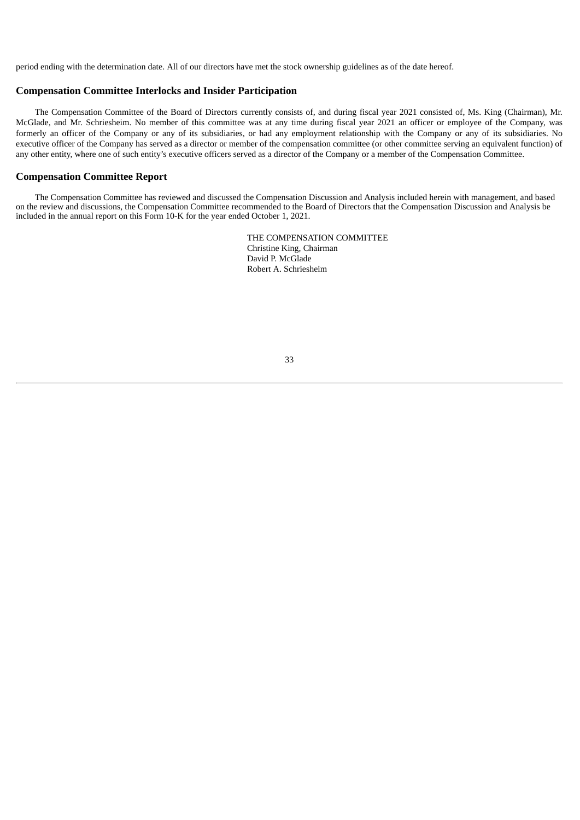period ending with the determination date. All of our directors have met the stock ownership guidelines as of the date hereof.

# **Compensation Committee Interlocks and Insider Participation**

The Compensation Committee of the Board of Directors currently consists of, and during fiscal year 2021 consisted of, Ms. King (Chairman), Mr. McGlade, and Mr. Schriesheim. No member of this committee was at any time during fiscal year 2021 an officer or employee of the Company, was formerly an officer of the Company or any of its subsidiaries, or had any employment relationship with the Company or any of its subsidiaries. No executive officer of the Company has served as a director or member of the compensation committee (or other committee serving an equivalent function) of any other entity, where one of such entity's executive officers served as a director of the Company or a member of the Compensation Committee.

#### **Compensation Committee Report**

The Compensation Committee has reviewed and discussed the Compensation Discussion and Analysis included herein with management, and based on the review and discussions, the Compensation Committee recommended to the Board of Directors that the Compensation Discussion and Analysis be included in the annual report on this Form 10-K for the year ended October 1, 2021.

> THE COMPENSATION COMMITTEE Christine King, Chairman David P. McGlade Robert A. Schriesheim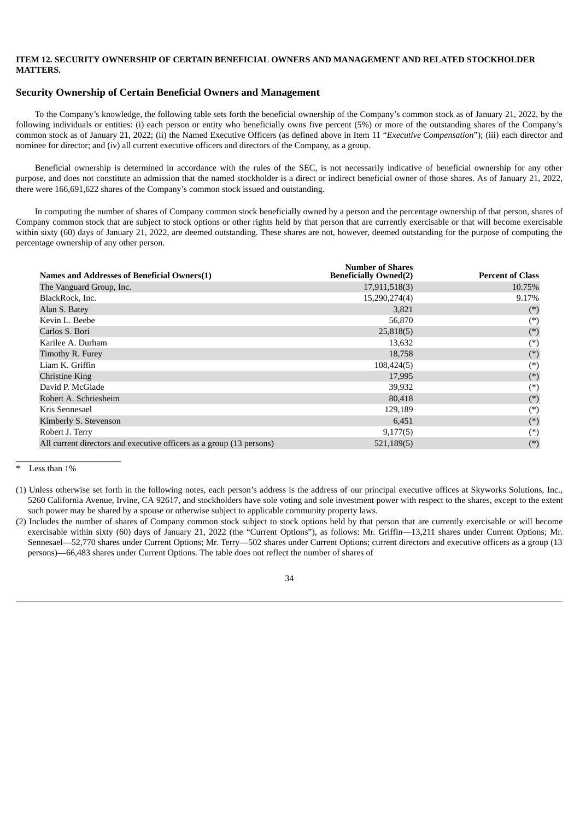#### **ITEM 12. SECURITY OWNERSHIP OF CERTAIN BENEFICIAL OWNERS AND MANAGEMENT AND RELATED STOCKHOLDER MATTERS.**

### **Security Ownership of Certain Beneficial Owners and Management**

To the Company's knowledge, the following table sets forth the beneficial ownership of the Company's common stock as of January 21, 2022, by the following individuals or entities: (i) each person or entity who beneficially owns five percent (5%) or more of the outstanding shares of the Company's common stock as of January 21, 2022; (ii) the Named Executive Officers (as defined above in Item 11 "*Executive Compensation*"); (iii) each director and nominee for director; and (iv) all current executive officers and directors of the Company, as a group.

Beneficial ownership is determined in accordance with the rules of the SEC, is not necessarily indicative of beneficial ownership for any other purpose, and does not constitute an admission that the named stockholder is a direct or indirect beneficial owner of those shares. As of January 21, 2022, there were 166,691,622 shares of the Company's common stock issued and outstanding.

In computing the number of shares of Company common stock beneficially owned by a person and the percentage ownership of that person, shares of Company common stock that are subject to stock options or other rights held by that person that are currently exercisable or that will become exercisable within sixty (60) days of January 21, 2022, are deemed outstanding. These shares are not, however, deemed outstanding for the purpose of computing the percentage ownership of any other person.

| Names and Addresses of Beneficial Owners(1)                          | <b>Number of Shares</b><br><b>Beneficially Owned(2)</b> | <b>Percent of Class</b> |
|----------------------------------------------------------------------|---------------------------------------------------------|-------------------------|
| The Vanguard Group, Inc.                                             | 17,911,518(3)                                           | 10.75%                  |
| BlackRock, Inc.                                                      | 15,290,274(4)                                           | 9.17%                   |
| Alan S. Batey                                                        | 3,821                                                   | $(*)$                   |
| Kevin L. Beebe                                                       | 56,870                                                  | $(*)$                   |
| Carlos S. Bori                                                       | 25,818(5)                                               | $(*)$                   |
| Karilee A. Durham                                                    | 13,632                                                  | $(*)$                   |
| Timothy R. Furey                                                     | 18,758                                                  | $(*)$                   |
| Liam K. Griffin                                                      | 108,424(5)                                              | $(*)$                   |
| Christine King                                                       | 17,995                                                  | $(*)$                   |
| David P. McGlade                                                     | 39,932                                                  | $(*)$                   |
| Robert A. Schriesheim                                                | 80,418                                                  | $(*)$                   |
| Kris Sennesael                                                       | 129,189                                                 | $(*)$                   |
| Kimberly S. Stevenson                                                | 6,451                                                   | $(*)$                   |
| Robert J. Terry                                                      | 9,177(5)                                                | $(*)$                   |
| All current directors and executive officers as a group (13 persons) | 521,189(5)                                              | $(*)$                   |

Less than 1%

 $\frac{1}{2}$  ,  $\frac{1}{2}$  ,  $\frac{1}{2}$  ,  $\frac{1}{2}$  ,  $\frac{1}{2}$  ,  $\frac{1}{2}$  ,  $\frac{1}{2}$  ,  $\frac{1}{2}$  ,  $\frac{1}{2}$  ,  $\frac{1}{2}$  ,  $\frac{1}{2}$  ,  $\frac{1}{2}$  ,  $\frac{1}{2}$  ,  $\frac{1}{2}$  ,  $\frac{1}{2}$  ,  $\frac{1}{2}$  ,  $\frac{1}{2}$  ,  $\frac{1}{2}$  ,  $\frac{1$ 

<sup>(2)</sup> Includes the number of shares of Company common stock subject to stock options held by that person that are currently exercisable or will become exercisable within sixty (60) days of January 21, 2022 (the "Current Options"), as follows: Mr. Griffin—13,211 shares under Current Options; Mr. Sennesael—52,770 shares under Current Options; Mr. Terry—502 shares under Current Options; current directors and executive officers as a group (13 persons)—66,483 shares under Current Options. The table does not reflect the number of shares of



<sup>(1)</sup> Unless otherwise set forth in the following notes, each person's address is the address of our principal executive offices at Skyworks Solutions, Inc., 5260 California Avenue, Irvine, CA 92617, and stockholders have sole voting and sole investment power with respect to the shares, except to the extent such power may be shared by a spouse or otherwise subject to applicable community property laws.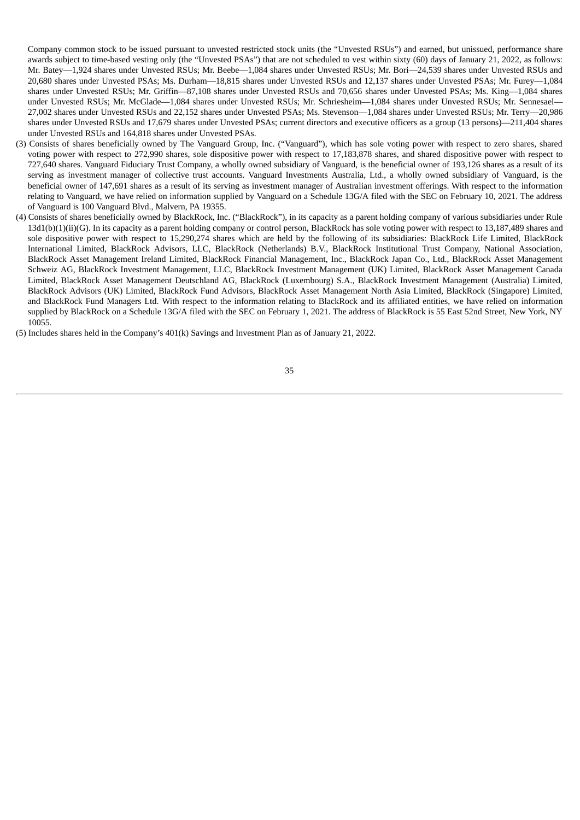Company common stock to be issued pursuant to unvested restricted stock units (the "Unvested RSUs") and earned, but unissued, performance share awards subject to time-based vesting only (the "Unvested PSAs") that are not scheduled to vest within sixty (60) days of January 21, 2022, as follows: Mr. Batey—1,924 shares under Unvested RSUs; Mr. Beebe—1,084 shares under Unvested RSUs; Mr. Bori—24,539 shares under Unvested RSUs and 20,680 shares under Unvested PSAs; Ms. Durham—18,815 shares under Unvested RSUs and 12,137 shares under Unvested PSAs; Mr. Furey—1,084 shares under Unvested RSUs; Mr. Griffin—87,108 shares under Unvested RSUs and 70,656 shares under Unvested PSAs; Ms. King—1,084 shares under Unvested RSUs; Mr. McGlade—1,084 shares under Unvested RSUs; Mr. Schriesheim—1,084 shares under Unvested RSUs; Mr. Sennesael— 27,002 shares under Unvested RSUs and 22,152 shares under Unvested PSAs; Ms. Stevenson—1,084 shares under Unvested RSUs; Mr. Terry—20,986 shares under Unvested RSUs and 17,679 shares under Unvested PSAs; current directors and executive officers as a group (13 persons)—211,404 shares under Unvested RSUs and 164,818 shares under Unvested PSAs.

- (3) Consists of shares beneficially owned by The Vanguard Group, Inc. ("Vanguard"), which has sole voting power with respect to zero shares, shared voting power with respect to 272,990 shares, sole dispositive power with respect to 17,183,878 shares, and shared dispositive power with respect to 727,640 shares. Vanguard Fiduciary Trust Company, a wholly owned subsidiary of Vanguard, is the beneficial owner of 193,126 shares as a result of its serving as investment manager of collective trust accounts. Vanguard Investments Australia, Ltd., a wholly owned subsidiary of Vanguard, is the beneficial owner of 147,691 shares as a result of its serving as investment manager of Australian investment offerings. With respect to the information relating to Vanguard, we have relied on information supplied by Vanguard on a Schedule 13G/A filed with the SEC on February 10, 2021. The address of Vanguard is 100 Vanguard Blvd., Malvern, PA 19355.
- (4) Consists of shares beneficially owned by BlackRock, Inc. ("BlackRock"), in its capacity as a parent holding company of various subsidiaries under Rule 13d1(b)(1)(ii)(G). In its capacity as a parent holding company or control person, BlackRock has sole voting power with respect to 13,187,489 shares and sole dispositive power with respect to 15,290,274 shares which are held by the following of its subsidiaries: BlackRock Life Limited, BlackRock International Limited, BlackRock Advisors, LLC, BlackRock (Netherlands) B.V., BlackRock Institutional Trust Company, National Association, BlackRock Asset Management Ireland Limited, BlackRock Financial Management, Inc., BlackRock Japan Co., Ltd., BlackRock Asset Management Schweiz AG, BlackRock Investment Management, LLC, BlackRock Investment Management (UK) Limited, BlackRock Asset Management Canada Limited, BlackRock Asset Management Deutschland AG, BlackRock (Luxembourg) S.A., BlackRock Investment Management (Australia) Limited, BlackRock Advisors (UK) Limited, BlackRock Fund Advisors, BlackRock Asset Management North Asia Limited, BlackRock (Singapore) Limited, and BlackRock Fund Managers Ltd. With respect to the information relating to BlackRock and its affiliated entities, we have relied on information supplied by BlackRock on a Schedule 13G/A filed with the SEC on February 1, 2021. The address of BlackRock is 55 East 52nd Street, New York, NY 10055.
- (5) Includes shares held in the Company's 401(k) Savings and Investment Plan as of January 21, 2022.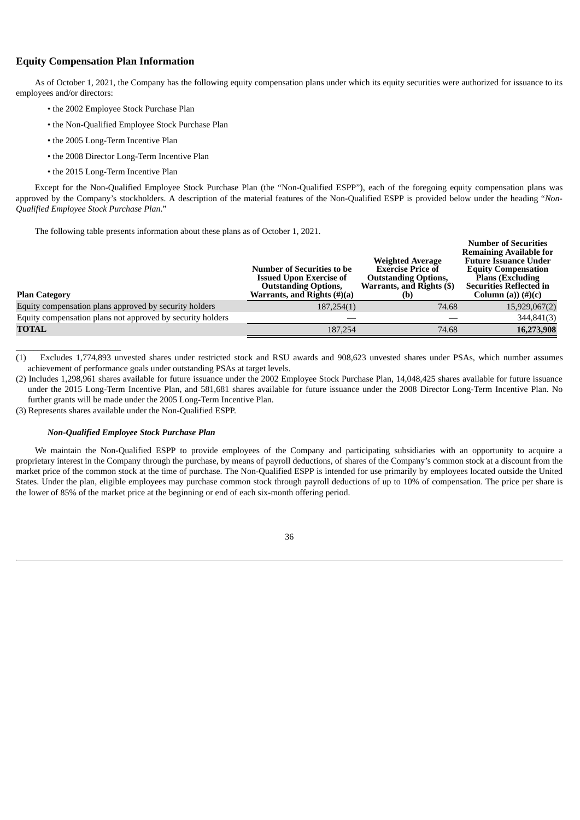# **Equity Compensation Plan Information**

As of October 1, 2021, the Company has the following equity compensation plans under which its equity securities were authorized for issuance to its employees and/or directors:

- the 2002 Employee Stock Purchase Plan
- the Non-Qualified Employee Stock Purchase Plan
- the 2005 Long-Term Incentive Plan
- the 2008 Director Long-Term Incentive Plan
- the 2015 Long-Term Incentive Plan

Except for the Non-Qualified Employee Stock Purchase Plan (the "Non-Qualified ESPP"), each of the foregoing equity compensation plans was approved by the Company's stockholders. A description of the material features of the Non-Qualified ESPP is provided below under the heading "*Non-Qualified Employee Stock Purchase Plan*."

The following table presents information about these plans as of October 1, 2021.

| <b>Plan Category</b>                                       | Number of Securities to be<br><b>Issued Upon Exercise of</b><br><b>Outstanding Options,</b><br>Warrants, and Rights (#)(a) | <b>Weighted Average</b><br><b>Exercise Price of</b><br><b>Outstanding Options,</b><br>Warrants, and Rights (\$)<br>(b) | <b>Number of Securities</b><br><b>Remaining Available for</b><br><b>Future Issuance Under</b><br><b>Equity Compensation</b><br><b>Plans (Excluding</b><br><b>Securities Reflected in</b><br>Column (a)) $(\#)(c)$ |
|------------------------------------------------------------|----------------------------------------------------------------------------------------------------------------------------|------------------------------------------------------------------------------------------------------------------------|-------------------------------------------------------------------------------------------------------------------------------------------------------------------------------------------------------------------|
| Equity compensation plans approved by security holders     | 187,254(1)                                                                                                                 | 74.68                                                                                                                  | 15,929,067(2)                                                                                                                                                                                                     |
| Equity compensation plans not approved by security holders |                                                                                                                            |                                                                                                                        | 344,841(3)                                                                                                                                                                                                        |
| <b>TOTAL</b>                                               | 187,254                                                                                                                    | 74.68                                                                                                                  | 16,273,908                                                                                                                                                                                                        |

(1) Excludes 1,774,893 unvested shares under restricted stock and RSU awards and 908,623 unvested shares under PSAs, which number assumes achievement of performance goals under outstanding PSAs at target levels.

(2) Includes 1,298,961 shares available for future issuance under the 2002 Employee Stock Purchase Plan, 14,048,425 shares available for future issuance under the 2015 Long-Term Incentive Plan, and 581,681 shares available for future issuance under the 2008 Director Long-Term Incentive Plan. No further grants will be made under the 2005 Long-Term Incentive Plan.

(3) Represents shares available under the Non-Qualified ESPP.

 $\frac{1}{2}$  ,  $\frac{1}{2}$  ,  $\frac{1}{2}$  ,  $\frac{1}{2}$  ,  $\frac{1}{2}$  ,  $\frac{1}{2}$  ,  $\frac{1}{2}$  ,  $\frac{1}{2}$  ,  $\frac{1}{2}$  ,  $\frac{1}{2}$  ,  $\frac{1}{2}$  ,  $\frac{1}{2}$  ,  $\frac{1}{2}$  ,  $\frac{1}{2}$  ,  $\frac{1}{2}$  ,  $\frac{1}{2}$  ,  $\frac{1}{2}$  ,  $\frac{1}{2}$  ,  $\frac{1$ 

#### *Non-Qualified Employee Stock Purchase Plan*

We maintain the Non-Qualified ESPP to provide employees of the Company and participating subsidiaries with an opportunity to acquire a proprietary interest in the Company through the purchase, by means of payroll deductions, of shares of the Company's common stock at a discount from the market price of the common stock at the time of purchase. The Non-Qualified ESPP is intended for use primarily by employees located outside the United States. Under the plan, eligible employees may purchase common stock through payroll deductions of up to 10% of compensation. The price per share is the lower of 85% of the market price at the beginning or end of each six-month offering period.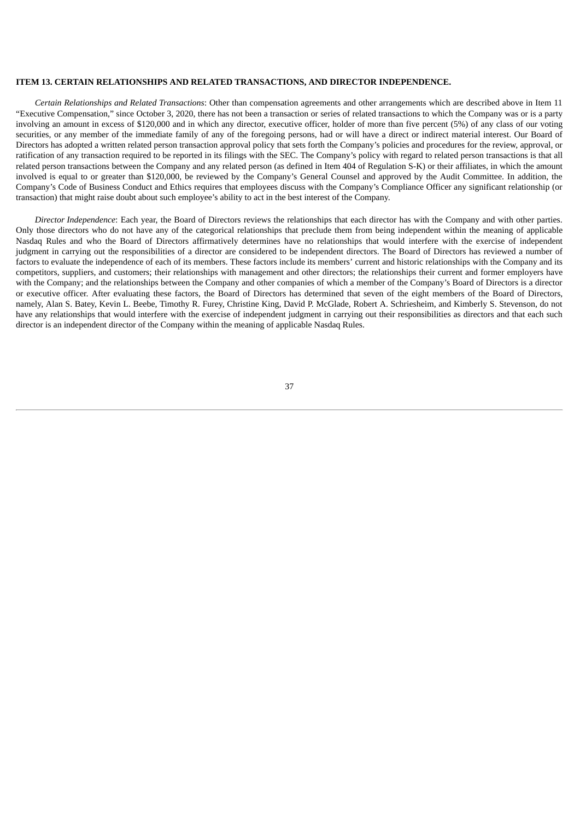#### **ITEM 13. CERTAIN RELATIONSHIPS AND RELATED TRANSACTIONS, AND DIRECTOR INDEPENDENCE.**

*Certain Relationships and Related Transactions*: Other than compensation agreements and other arrangements which are described above in Item 11 "Executive Compensation," since October 3, 2020, there has not been a transaction or series of related transactions to which the Company was or is a party involving an amount in excess of \$120,000 and in which any director, executive officer, holder of more than five percent (5%) of any class of our voting securities, or any member of the immediate family of any of the foregoing persons, had or will have a direct or indirect material interest. Our Board of Directors has adopted a written related person transaction approval policy that sets forth the Company's policies and procedures for the review, approval, or ratification of any transaction required to be reported in its filings with the SEC. The Company's policy with regard to related person transactions is that all related person transactions between the Company and any related person (as defined in Item 404 of Regulation S-K) or their affiliates, in which the amount involved is equal to or greater than \$120,000, be reviewed by the Company's General Counsel and approved by the Audit Committee. In addition, the Company's Code of Business Conduct and Ethics requires that employees discuss with the Company's Compliance Officer any significant relationship (or transaction) that might raise doubt about such employee's ability to act in the best interest of the Company.

*Director Independence*: Each year, the Board of Directors reviews the relationships that each director has with the Company and with other parties. Only those directors who do not have any of the categorical relationships that preclude them from being independent within the meaning of applicable Nasdaq Rules and who the Board of Directors affirmatively determines have no relationships that would interfere with the exercise of independent judgment in carrying out the responsibilities of a director are considered to be independent directors. The Board of Directors has reviewed a number of factors to evaluate the independence of each of its members. These factors include its members' current and historic relationships with the Company and its competitors, suppliers, and customers; their relationships with management and other directors; the relationships their current and former employers have with the Company; and the relationships between the Company and other companies of which a member of the Company's Board of Directors is a director or executive officer. After evaluating these factors, the Board of Directors has determined that seven of the eight members of the Board of Directors, namely, Alan S. Batey, Kevin L. Beebe, Timothy R. Furey, Christine King, David P. McGlade, Robert A. Schriesheim, and Kimberly S. Stevenson, do not have any relationships that would interfere with the exercise of independent judgment in carrying out their responsibilities as directors and that each such director is an independent director of the Company within the meaning of applicable Nasdaq Rules.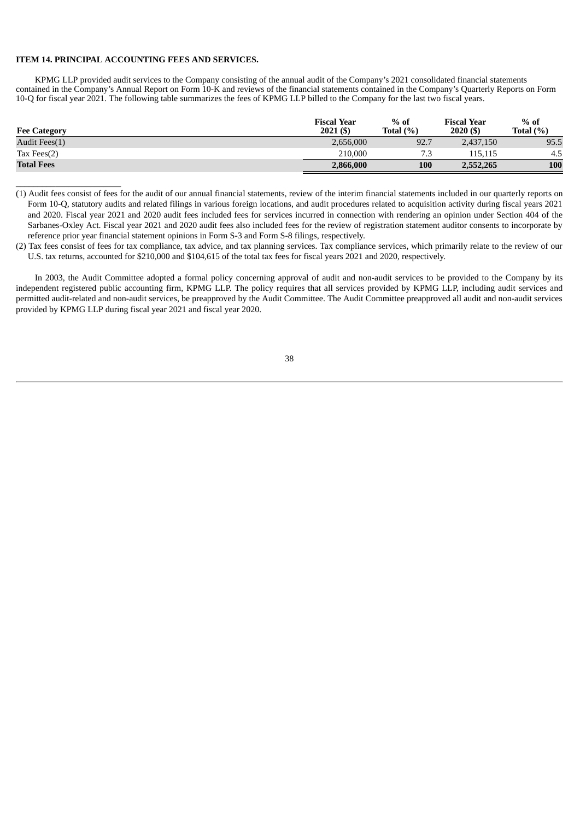#### **ITEM 14. PRINCIPAL ACCOUNTING FEES AND SERVICES.**

 $\_$ 

KPMG LLP provided audit services to the Company consisting of the annual audit of the Company's 2021 consolidated financial statements contained in the Company's Annual Report on Form 10-K and reviews of the financial statements contained in the Company's Quarterly Reports on Form 10-Q for fiscal year 2021. The following table summarizes the fees of KPMG LLP billed to the Company for the last two fiscal years.

| <b>Fee Category</b> | <b>Fiscal Year</b><br>$2021($ \$) | $%$ of<br>Total $(\% )$ | Fiscal Year<br>2020(5) | $%$ of<br>Total $(\%)$ |
|---------------------|-----------------------------------|-------------------------|------------------------|------------------------|
| Audit Fees(1)       | 2,656,000                         | 92.7                    | 2,437,150              | 95.5                   |
| Tax $Fees(2)$       | 210,000                           | 7.3                     | 115.115                | 4.5                    |
| <b>Total Fees</b>   | 2,866,000                         | 100                     | 2,552,265              | 100                    |

- (1) Audit fees consist of fees for the audit of our annual financial statements, review of the interim financial statements included in our quarterly reports on Form 10-Q, statutory audits and related filings in various foreign locations, and audit procedures related to acquisition activity during fiscal years 2021 and 2020. Fiscal year 2021 and 2020 audit fees included fees for services incurred in connection with rendering an opinion under Section 404 of the Sarbanes-Oxley Act. Fiscal year 2021 and 2020 audit fees also included fees for the review of registration statement auditor consents to incorporate by reference prior year financial statement opinions in Form S-3 and Form S-8 filings, respectively.
- (2) Tax fees consist of fees for tax compliance, tax advice, and tax planning services. Tax compliance services, which primarily relate to the review of our U.S. tax returns, accounted for \$210,000 and \$104,615 of the total tax fees for fiscal years 2021 and 2020, respectively.

In 2003, the Audit Committee adopted a formal policy concerning approval of audit and non-audit services to be provided to the Company by its independent registered public accounting firm, KPMG LLP. The policy requires that all services provided by KPMG LLP, including audit services and permitted audit-related and non-audit services, be preapproved by the Audit Committee. The Audit Committee preapproved all audit and non-audit services provided by KPMG LLP during fiscal year 2021 and fiscal year 2020.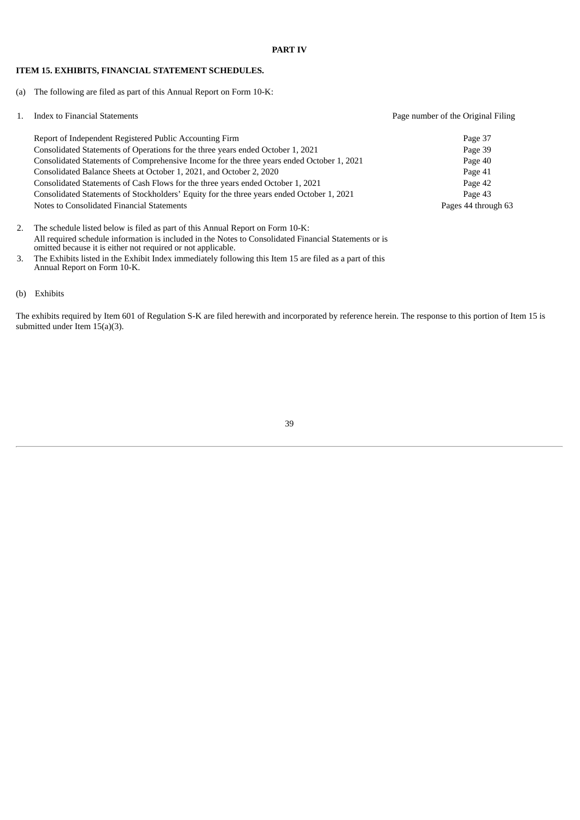### **ITEM 15. EXHIBITS, FINANCIAL STATEMENT SCHEDULES.**

(a) The following are filed as part of this Annual Report on Form 10-K:

| Report of Independent Registered Public Accounting Firm<br>Consolidated Statements of Operations for the three years ended October 1, 2021<br>Consolidated Statements of Comprehensive Income for the three years ended October 1, 2021<br>Consolidated Balance Sheets at October 1, 2021, and October 2, 2020<br>Consolidated Statements of Cash Flows for the three years ended October 1, 2021<br>Consolidated Statements of Stockholders' Equity for the three years ended October 1, 2021<br>Notes to Consolidated Financial Statements | Page number of the Original Filing |
|----------------------------------------------------------------------------------------------------------------------------------------------------------------------------------------------------------------------------------------------------------------------------------------------------------------------------------------------------------------------------------------------------------------------------------------------------------------------------------------------------------------------------------------------|------------------------------------|
|                                                                                                                                                                                                                                                                                                                                                                                                                                                                                                                                              | Page 37                            |
|                                                                                                                                                                                                                                                                                                                                                                                                                                                                                                                                              | Page 39                            |
|                                                                                                                                                                                                                                                                                                                                                                                                                                                                                                                                              | Page 40                            |
|                                                                                                                                                                                                                                                                                                                                                                                                                                                                                                                                              | Page 41                            |
|                                                                                                                                                                                                                                                                                                                                                                                                                                                                                                                                              | Page 42                            |
|                                                                                                                                                                                                                                                                                                                                                                                                                                                                                                                                              | Page 43                            |
|                                                                                                                                                                                                                                                                                                                                                                                                                                                                                                                                              | Pages 44 through 63                |

- 2. The schedule listed below is filed as part of this Annual Report on Form 10-K: All required schedule information is included in the Notes to Consolidated Financial Statements or is omitted because it is either not required or not applicable.
- 3. The Exhibits listed in the Exhibit Index immediately following this Item 15 are filed as a part of this Annual Report on Form 10-K.
- (b) Exhibits

The exhibits required by Item 601 of Regulation S-K are filed herewith and incorporated by reference herein. The response to this portion of Item 15 is submitted under Item 15(a)(3).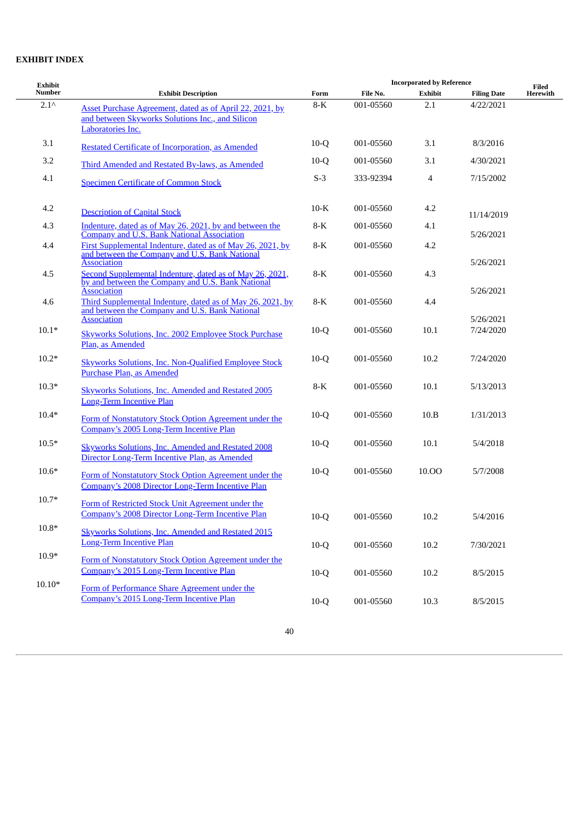# **EXHIBIT INDEX**

| <b>Exhibit</b> |                                                                                                                                    |                  | <b>Incorporated by Reference</b> | <b>Filed</b>   |                        |          |
|----------------|------------------------------------------------------------------------------------------------------------------------------------|------------------|----------------------------------|----------------|------------------------|----------|
| Number         | <b>Exhibit Description</b>                                                                                                         | Form             | File No.                         | <b>Exhibit</b> | <b>Filing Date</b>     | Herewith |
| $2.1^{\wedge}$ | Asset Purchase Agreement, dated as of April 22, 2021, by<br>and between Skyworks Solutions Inc., and Silicon<br>Laboratories Inc.  | $8-K$            | 001-05560                        | 2.1            | 4/22/2021              |          |
| 3.1            | Restated Certificate of Incorporation, as Amended                                                                                  | $10-Q$           | 001-05560                        | 3.1            | 8/3/2016               |          |
| 3.2            | Third Amended and Restated By-laws, as Amended                                                                                     | $10-Q$           | 001-05560                        | 3.1            | 4/30/2021              |          |
| 4.1            | <b>Specimen Certificate of Common Stock</b>                                                                                        | $S-3$            | 333-92394                        | $\overline{4}$ | 7/15/2002              |          |
| 4.2            | <b>Description of Capital Stock</b>                                                                                                | $10-K$           | 001-05560                        | 4.2            | 11/14/2019             |          |
| 4.3            | Indenture, dated as of May 26, 2021, by and between the<br>Company and U.S. Bank National Association                              | 8-K              | 001-05560                        | 4.1            | 5/26/2021              |          |
| 4.4            | First Supplemental Indenture, dated as of May 26, 2021, by<br>and between the Company and U.S. Bank National<br><b>Association</b> | 8-K              | 001-05560                        | 4.2            | 5/26/2021              |          |
| 4.5            | Second Supplemental Indenture, dated as of May 26, 2021,<br>by and between the Company and U.S. Bank National                      | $8-K$            | 001-05560                        | 4.3            |                        |          |
| 4.6            | <b>Association</b><br>Third Supplemental Indenture, dated as of May 26, 2021, by<br>and between the Company and U.S. Bank National | 8-K              | 001-05560                        | 4.4            | 5/26/2021              |          |
| $10.1*$        | <b>Association</b><br><b>Skyworks Solutions, Inc. 2002 Employee Stock Purchase</b>                                                 | $10-Q$           | 001-05560                        | 10.1           | 5/26/2021<br>7/24/2020 |          |
| $10.2*$        | Plan, as Amended<br><b>Skyworks Solutions, Inc. Non-Qualified Employee Stock</b><br>Purchase Plan, as Amended                      | $10-Q$           | 001-05560                        | 10.2           | 7/24/2020              |          |
| $10.3*$        | <b>Skyworks Solutions, Inc. Amended and Restated 2005</b><br><b>Long-Term Incentive Plan</b>                                       | 8-K              | 001-05560                        | 10.1           | 5/13/2013              |          |
| $10.4*$        | Form of Nonstatutory Stock Option Agreement under the<br>Company's 2005 Long-Term Incentive Plan                                   | $10-Q$           | 001-05560                        | 10.B           | 1/31/2013              |          |
| $10.5*$        | <b>Skyworks Solutions, Inc. Amended and Restated 2008</b><br>Director Long-Term Incentive Plan, as Amended                         | $10-Q$           | 001-05560                        | 10.1           | 5/4/2018               |          |
| $10.6*$        | Form of Nonstatutory Stock Option Agreement under the<br>Company's 2008 Director Long-Term Incentive Plan                          | $10-Q$           | 001-05560                        | 10.00          | 5/7/2008               |          |
| $10.7*$        | Form of Restricted Stock Unit Agreement under the<br>Company's 2008 Director Long-Term Incentive Plan                              | $10-Q$           | 001-05560                        | 10.2           | 5/4/2016               |          |
| $10.8*$        | <b>Skyworks Solutions, Inc. Amended and Restated 2015</b><br><b>Long-Term Incentive Plan</b>                                       | $10-Q$           | 001-05560                        | $10.2\,$       | 7/30/2021              |          |
| $10.9*$        | Form of Nonstatutory Stock Option Agreement under the<br>Company's 2015 Long-Term Incentive Plan                                   |                  |                                  |                |                        |          |
| $10.10*$       | Form of Performance Share Agreement under the<br>Company's 2015 Long-Term Incentive Plan                                           | $10-Q$<br>$10-Q$ | 001-05560<br>001-05560           | 10.2<br>10.3   | 8/5/2015<br>8/5/2015   |          |
|                |                                                                                                                                    |                  |                                  |                |                        |          |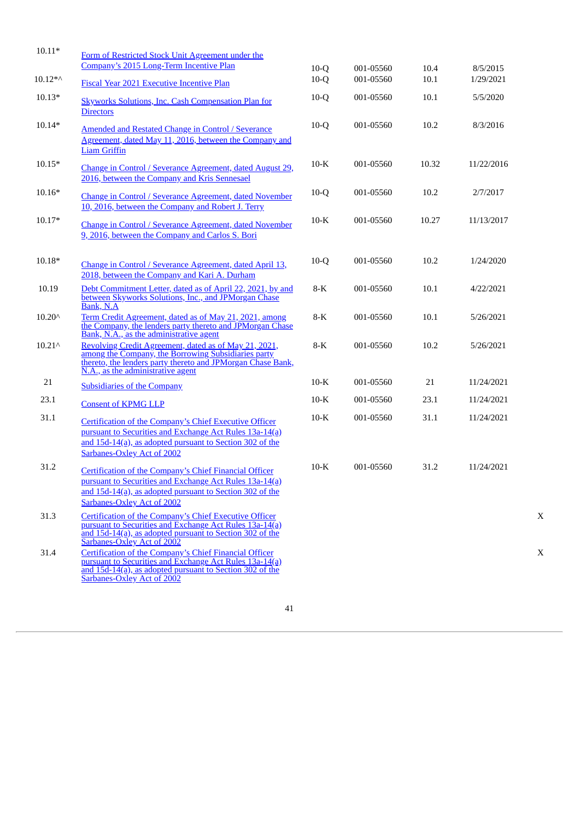| $10.11*$         | Form of Restricted Stock Unit Agreement under the<br>Company's 2015 Long-Term Incentive Plan                                                                                                                                |                  |                        |              |                       |
|------------------|-----------------------------------------------------------------------------------------------------------------------------------------------------------------------------------------------------------------------------|------------------|------------------------|--------------|-----------------------|
| $10.12**$        |                                                                                                                                                                                                                             | $10-o$<br>$10-Q$ | 001-05560<br>001-05560 | 10.4<br>10.1 | 8/5/2015<br>1/29/2021 |
|                  | Fiscal Year 2021 Executive Incentive Plan                                                                                                                                                                                   |                  |                        |              |                       |
| $10.13*$         | <b>Skyworks Solutions, Inc. Cash Compensation Plan for</b><br><b>Directors</b>                                                                                                                                              | $10-Q$           | 001-05560              | 10.1         | 5/5/2020              |
| $10.14*$         | <b>Amended and Restated Change in Control / Severance</b><br>Agreement, dated May 11, 2016, between the Company and<br><b>Liam Griffin</b>                                                                                  | $10-Q$           | 001-05560              | 10.2         | 8/3/2016              |
| $10.15*$         | Change in Control / Severance Agreement, dated August 29,<br>2016, between the Company and Kris Sennesael                                                                                                                   | $10-K$           | 001-05560              | 10.32        | 11/22/2016            |
| 10.16*           | <b>Change in Control / Severance Agreement, dated November</b><br>10, 2016, between the Company and Robert J. Terry                                                                                                         | $10-Q$           | 001-05560              | 10.2         | 2/7/2017              |
| $10.17*$         | <b>Change in Control / Severance Agreement, dated November</b><br>9, 2016, between the Company and Carlos S. Bori                                                                                                           | $10-K$           | 001-05560              | 10.27        | 11/13/2017            |
| 10.18*           | Change in Control / Severance Agreement, dated April 13,<br>2018, between the Company and Kari A. Durham                                                                                                                    | $10-Q$           | 001-05560              | 10.2         | 1/24/2020             |
| 10.19            | Debt Commitment Letter, dated as of April 22, 2021, by and<br>between Skyworks Solutions, Inc., and JPMorgan Chase<br>Bank, N.A                                                                                             | $8-K$            | 001-05560              | 10.1         | 4/22/2021             |
| $10.20\text{Å}$  | Term Credit Agreement, dated as of May 21, 2021, among<br>the Company, the lenders party thereto and JPMorgan Chase<br>Bank, N.A., as the administrative agent                                                              | $8-K$            | 001-05560              | 10.1         | 5/26/2021             |
| $10.21^{\wedge}$ | Revolving Credit Agreement, dated as of May 21, 2021,<br>among the Company, the Borrowing Subsidiaries party<br>thereto, the lenders party thereto and JPMorgan Chase Bank,<br>N.A., as the administrative agent            | $8-K$            | 001-05560              | 10.2         | 5/26/2021             |
| 21               | <b>Subsidiaries of the Company</b>                                                                                                                                                                                          | $10-K$           | 001-05560              | 21           | 11/24/2021            |
| 23.1             | <b>Consent of KPMG LLP</b>                                                                                                                                                                                                  | $10-K$           | 001-05560              | 23.1         | 11/24/2021            |
| 31.1             | <b>Certification of the Company's Chief Executive Officer</b><br>pursuant to Securities and Exchange Act Rules 13a-14(a)<br>and 15d-14(a), as adopted pursuant to Section 302 of the<br><b>Sarbanes-Oxley Act of 2002</b>   | $10-K$           | 001-05560              | 31.1         | 11/24/2021            |
| 31.2             | Certification of the Company's Chief Financial Officer<br>pursuant to Securities and Exchange Act Rules 13a-14(a)<br>and 15d-14(a), as adopted pursuant to Section 302 of the<br><b>Sarbanes-Oxley Act of 2002</b>          | $10-K$           | 001-05560              | 31.2         | 11/24/2021            |
| 31.3             | <b>Certification of the Company's Chief Executive Officer</b><br>pursuant to Securities and Exchange Act Rules 13a-14(a)<br>and 15d-14(a), as adopted pursuant to Section 302 of the<br>Sarbanes-Oxley Act of 2002          |                  |                        |              |                       |
| 31.4             | <b>Certification of the Company's Chief Financial Officer</b><br>pursuant to Securities and Exchange Act Rules $13a-14(a)$<br>and 15d-14(a), as adopted pursuant to Section 302 of the<br><b>Sarbanes-Oxley Act of 2002</b> |                  |                        |              |                       |
|                  |                                                                                                                                                                                                                             |                  |                        |              |                       |

X

X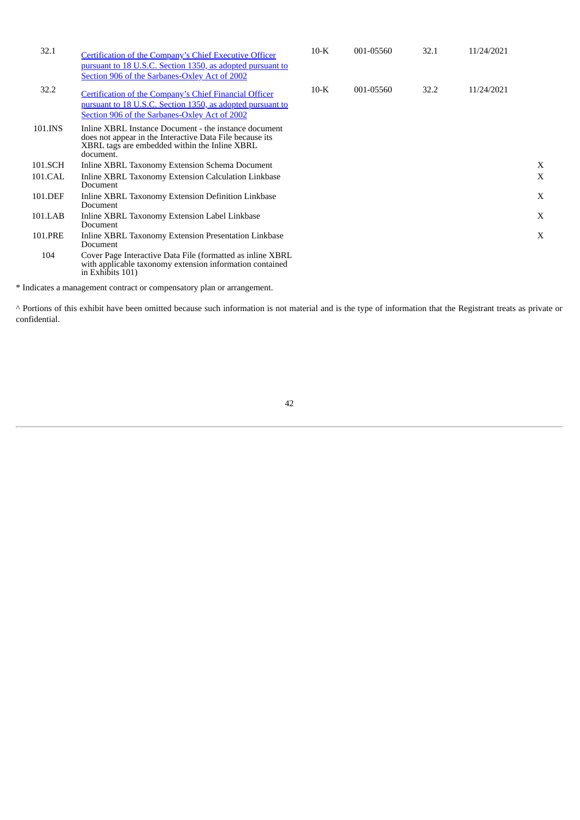| 32.1    | Certification of the Company's Chief Executive Officer<br>pursuant to 18 U.S.C. Section 1350, as adopted pursuant to<br>Section 906 of the Sarbanes-Oxley Act of 2002           | $10-K$ | 001-05560 | 32.1 | 11/24/2021 |   |
|---------|---------------------------------------------------------------------------------------------------------------------------------------------------------------------------------|--------|-----------|------|------------|---|
| 32.2    | Certification of the Company's Chief Financial Officer<br>pursuant to 18 U.S.C. Section 1350, as adopted pursuant to<br>Section 906 of the Sarbanes-Oxley Act of 2002           | $10-K$ | 001-05560 | 32.2 | 11/24/2021 |   |
| 101.INS | Inline XBRL Instance Document - the instance document<br>does not appear in the Interactive Data File because its<br>XBRL tags are embedded within the Inline XBRL<br>document. |        |           |      |            |   |
| 101.SCH | Inline XBRL Taxonomy Extension Schema Document                                                                                                                                  |        |           |      |            | X |
| 101.CAL | Inline XBRL Taxonomy Extension Calculation Linkbase<br>Document                                                                                                                 |        |           |      |            | X |
| 101.DEF | Inline XBRL Taxonomy Extension Definition Linkbase<br>Document                                                                                                                  |        |           |      |            | X |
| 101.LAB | Inline XBRL Taxonomy Extension Label Linkbase<br>Document                                                                                                                       |        |           |      |            | X |
| 101.PRE | Inline XBRL Taxonomy Extension Presentation Linkbase<br>Document                                                                                                                |        |           |      |            | X |
| 104     | Cover Page Interactive Data File (formatted as inline XBRL<br>with applicable taxonomy extension information contained<br>in Exhibits 101)                                      |        |           |      |            |   |

\* Indicates a management contract or compensatory plan or arrangement.

 $\wedge$  Portions of this exhibit have been omitted because such information is not material and is the type of information that the Registrant treats as private or confidential.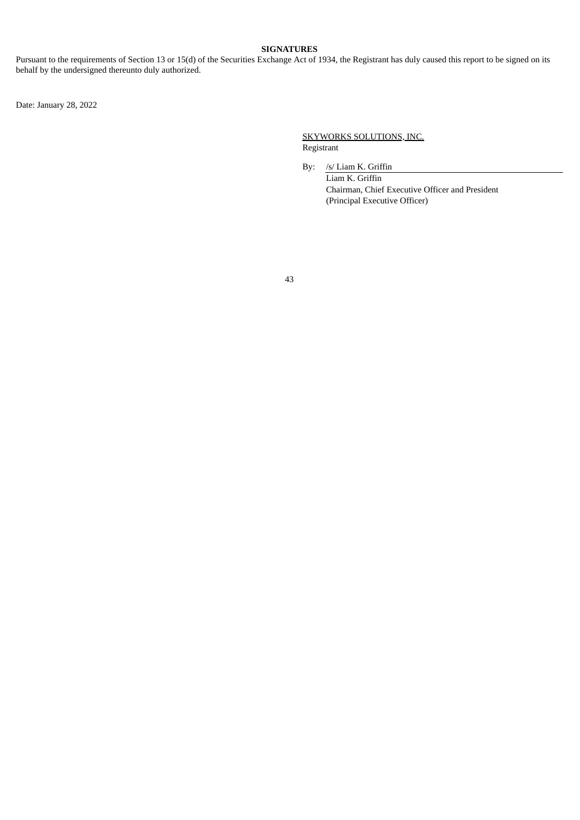### **SIGNATURES**

Pursuant to the requirements of Section 13 or 15(d) of the Securities Exchange Act of 1934, the Registrant has duly caused this report to be signed on its behalf by the undersigned thereunto duly authorized.

Date: January 28, 2022

SKYWORKS SOLUTIONS, INC. Registrant

By: /s/ Liam K. Griffin Liam K. Griffin

Chairman, Chief Executive Officer and President (Principal Executive Officer)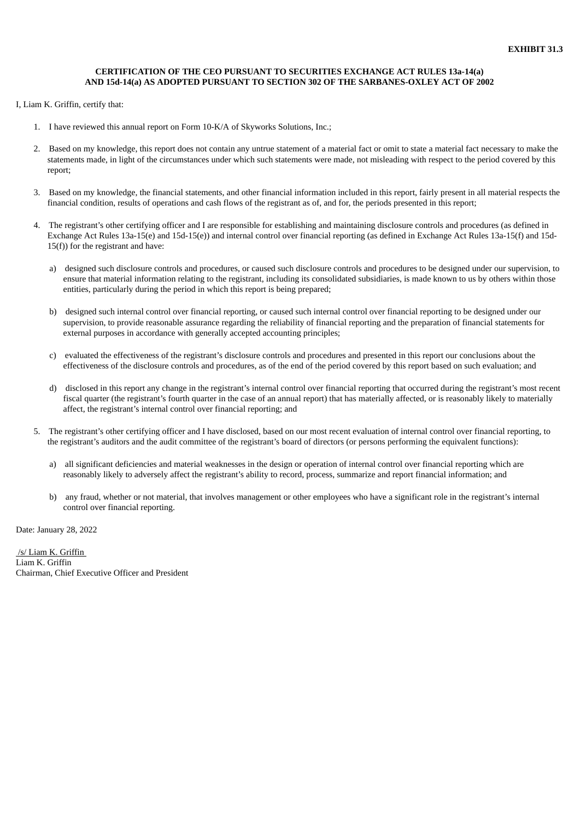#### <span id="page-43-0"></span>**CERTIFICATION OF THE CEO PURSUANT TO SECURITIES EXCHANGE ACT RULES 13a-14(a) AND 15d-14(a) AS ADOPTED PURSUANT TO SECTION 302 OF THE SARBANES-OXLEY ACT OF 2002**

I, Liam K. Griffin, certify that:

- 1. I have reviewed this annual report on Form 10-K/A of Skyworks Solutions, Inc.;
- 2. Based on my knowledge, this report does not contain any untrue statement of a material fact or omit to state a material fact necessary to make the statements made, in light of the circumstances under which such statements were made, not misleading with respect to the period covered by this report;
- 3. Based on my knowledge, the financial statements, and other financial information included in this report, fairly present in all material respects the financial condition, results of operations and cash flows of the registrant as of, and for, the periods presented in this report;
- 4. The registrant's other certifying officer and I are responsible for establishing and maintaining disclosure controls and procedures (as defined in Exchange Act Rules 13a-15(e) and 15d-15(e)) and internal control over financial reporting (as defined in Exchange Act Rules 13a-15(f) and 15d-15(f)) for the registrant and have:
	- a) designed such disclosure controls and procedures, or caused such disclosure controls and procedures to be designed under our supervision, to ensure that material information relating to the registrant, including its consolidated subsidiaries, is made known to us by others within those entities, particularly during the period in which this report is being prepared;
	- b) designed such internal control over financial reporting, or caused such internal control over financial reporting to be designed under our supervision, to provide reasonable assurance regarding the reliability of financial reporting and the preparation of financial statements for external purposes in accordance with generally accepted accounting principles;
	- c) evaluated the effectiveness of the registrant's disclosure controls and procedures and presented in this report our conclusions about the effectiveness of the disclosure controls and procedures, as of the end of the period covered by this report based on such evaluation; and
	- d) disclosed in this report any change in the registrant's internal control over financial reporting that occurred during the registrant's most recent fiscal quarter (the registrant's fourth quarter in the case of an annual report) that has materially affected, or is reasonably likely to materially affect, the registrant's internal control over financial reporting; and
- 5. The registrant's other certifying officer and I have disclosed, based on our most recent evaluation of internal control over financial reporting, to the registrant's auditors and the audit committee of the registrant's board of directors (or persons performing the equivalent functions):
	- a) all significant deficiencies and material weaknesses in the design or operation of internal control over financial reporting which are reasonably likely to adversely affect the registrant's ability to record, process, summarize and report financial information; and
	- b) any fraud, whether or not material, that involves management or other employees who have a significant role in the registrant's internal control over financial reporting.

Date: January 28, 2022

/s/ Liam K. Griffin Liam K. Griffin Chairman, Chief Executive Officer and President